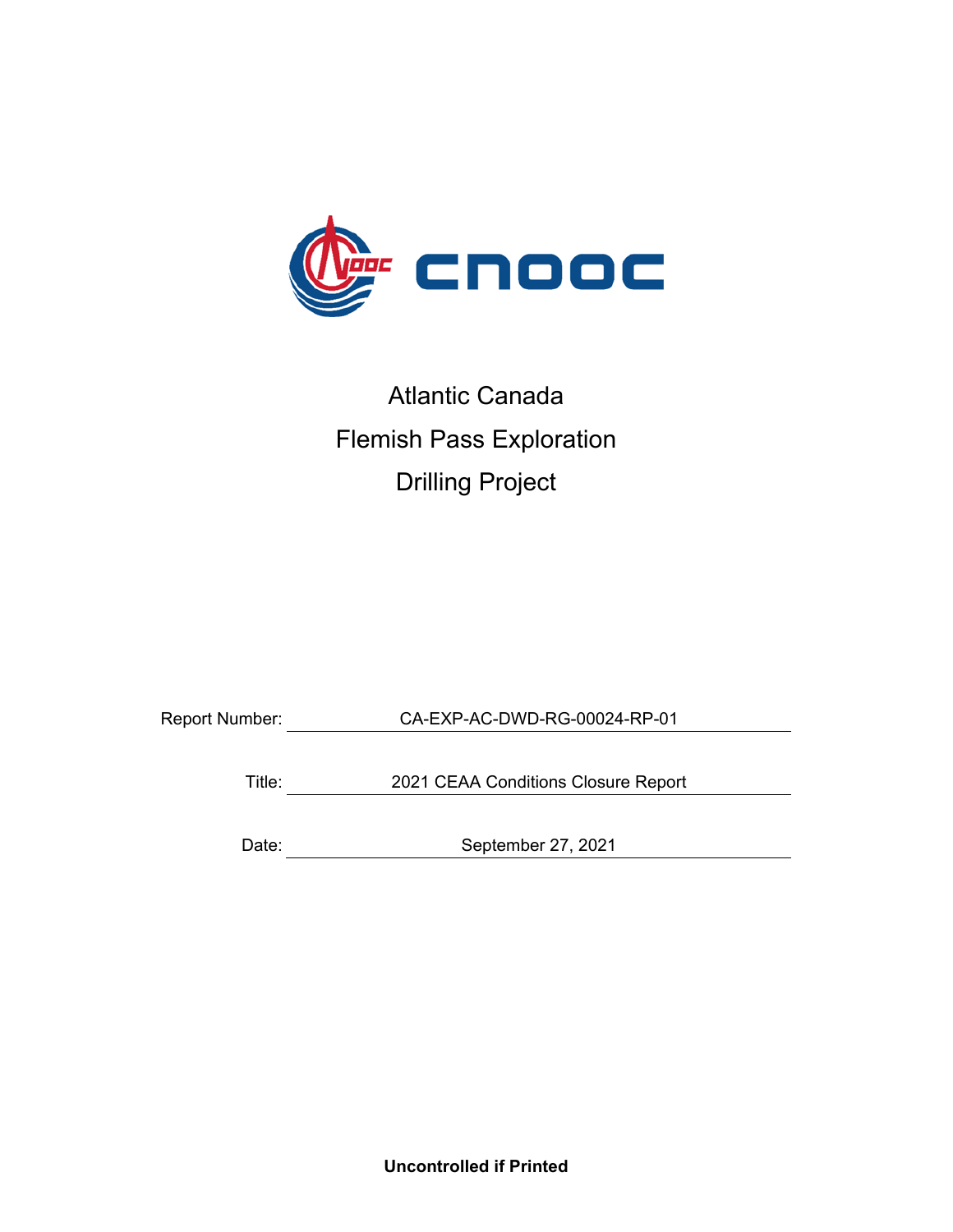

# Atlantic Canada Flemish Pass Exploration Drilling Project

Report Number: CA-EXP-AC-DWD-RG-00024-RP-01

Title: 2021 CEAA Conditions Closure Report

Date: September 27, 2021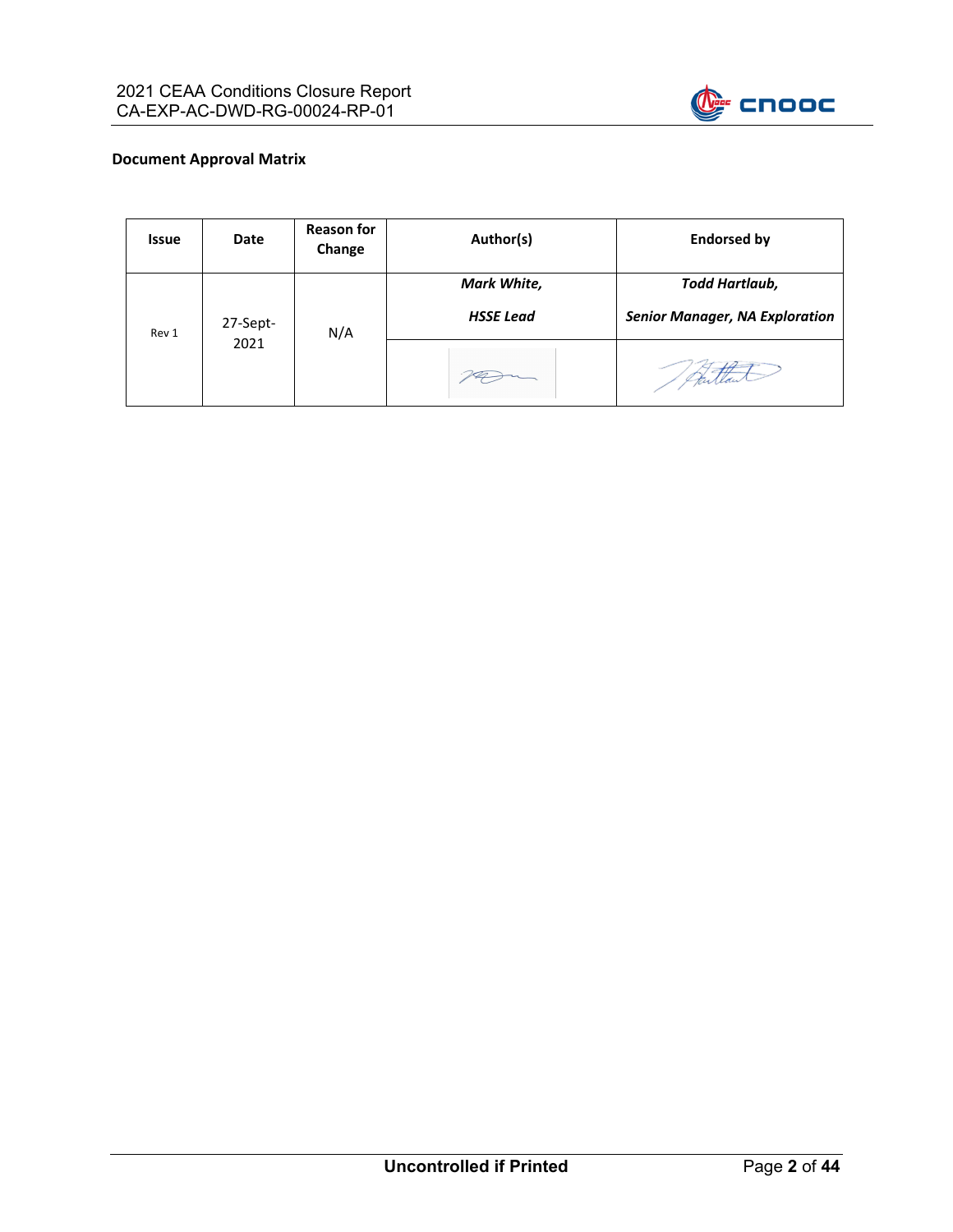

#### **Document Approval Matrix**

| <b>Issue</b> | <b>Date</b> | <b>Reason for</b><br>Change | Author(s)                       | <b>Endorsed by</b>                                             |
|--------------|-------------|-----------------------------|---------------------------------|----------------------------------------------------------------|
| Rev 1        | 27-Sept-    | N/A                         | Mark White,<br><b>HSSE Lead</b> | <b>Todd Hartlaub,</b><br><b>Senior Manager, NA Exploration</b> |
|              | 2021        |                             |                                 |                                                                |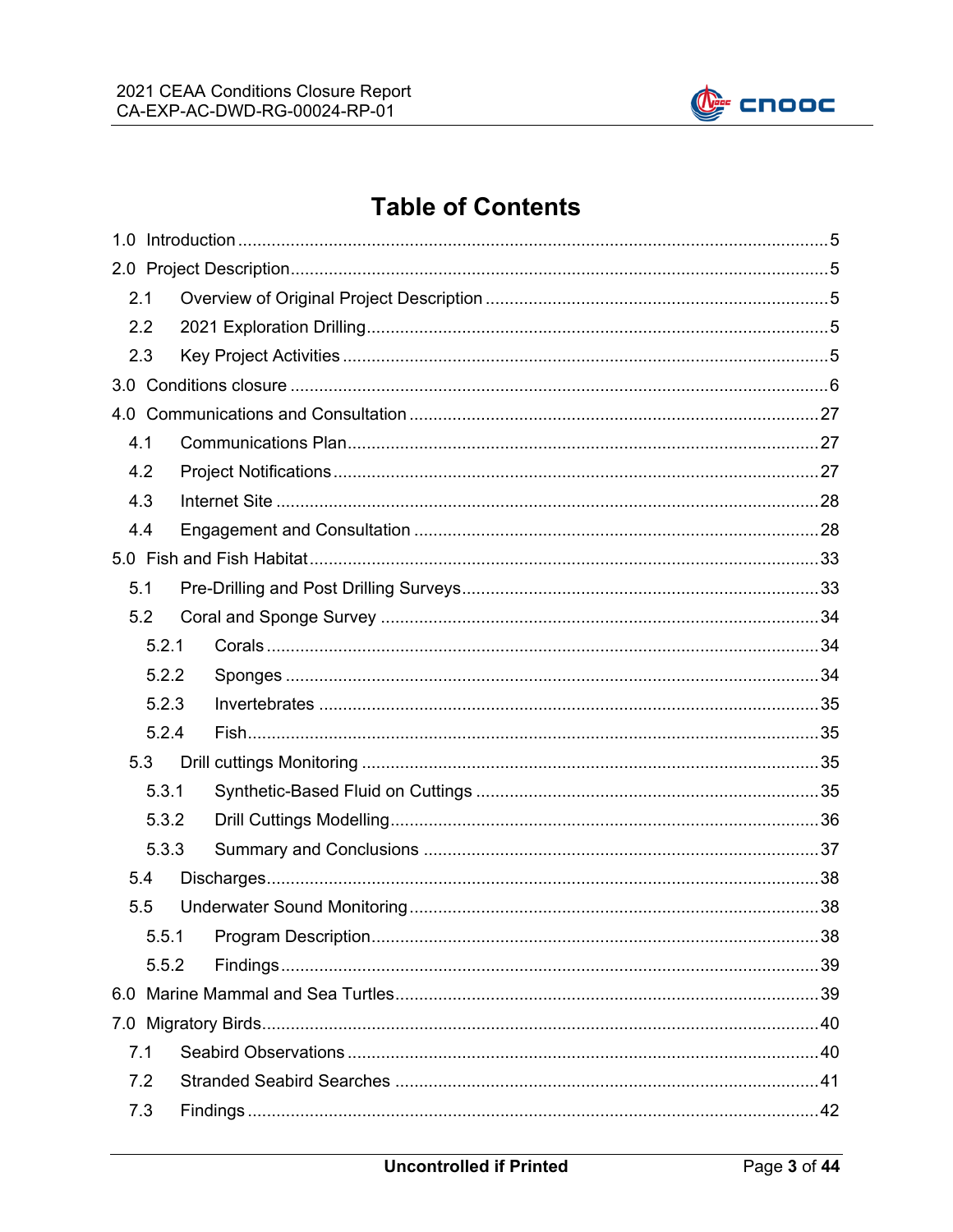

# **Table of Contents**

| 2.1 |       |  |  |
|-----|-------|--|--|
| 2.2 |       |  |  |
| 2.3 |       |  |  |
|     |       |  |  |
|     |       |  |  |
| 4.1 |       |  |  |
| 4.2 |       |  |  |
| 4.3 |       |  |  |
| 4.4 |       |  |  |
|     |       |  |  |
| 5.1 |       |  |  |
| 5.2 |       |  |  |
|     | 5.2.1 |  |  |
|     | 5.2.2 |  |  |
|     | 5.2.3 |  |  |
|     | 5.2.4 |  |  |
| 5.3 |       |  |  |
|     | 5.3.1 |  |  |
|     | 5.3.2 |  |  |
|     | 5.3.3 |  |  |
| 5.4 |       |  |  |
| 5.5 |       |  |  |
|     | 5.5.1 |  |  |
|     | 5.5.2 |  |  |
|     |       |  |  |
|     |       |  |  |
| 7.1 |       |  |  |
| 7.2 |       |  |  |
| 7.3 |       |  |  |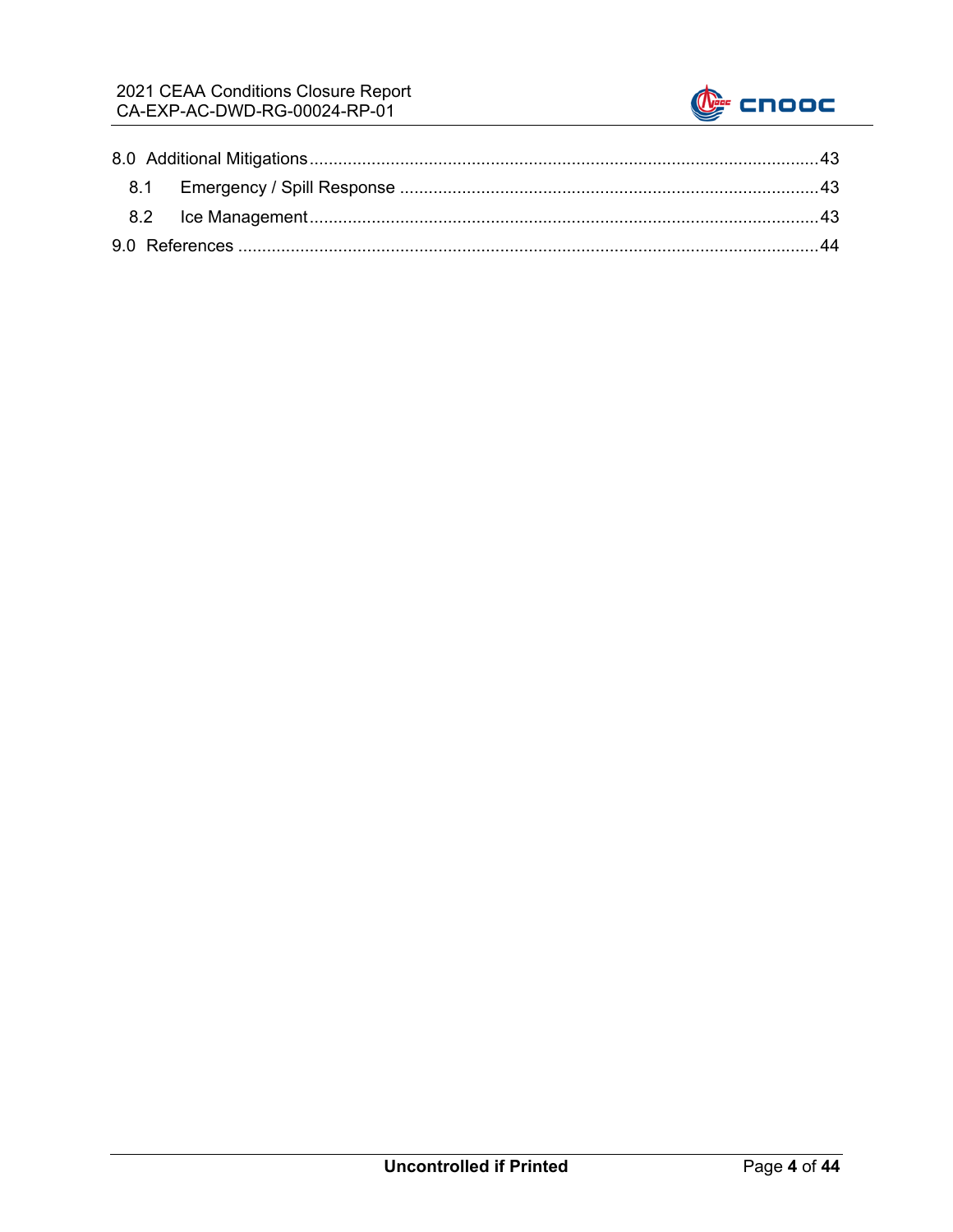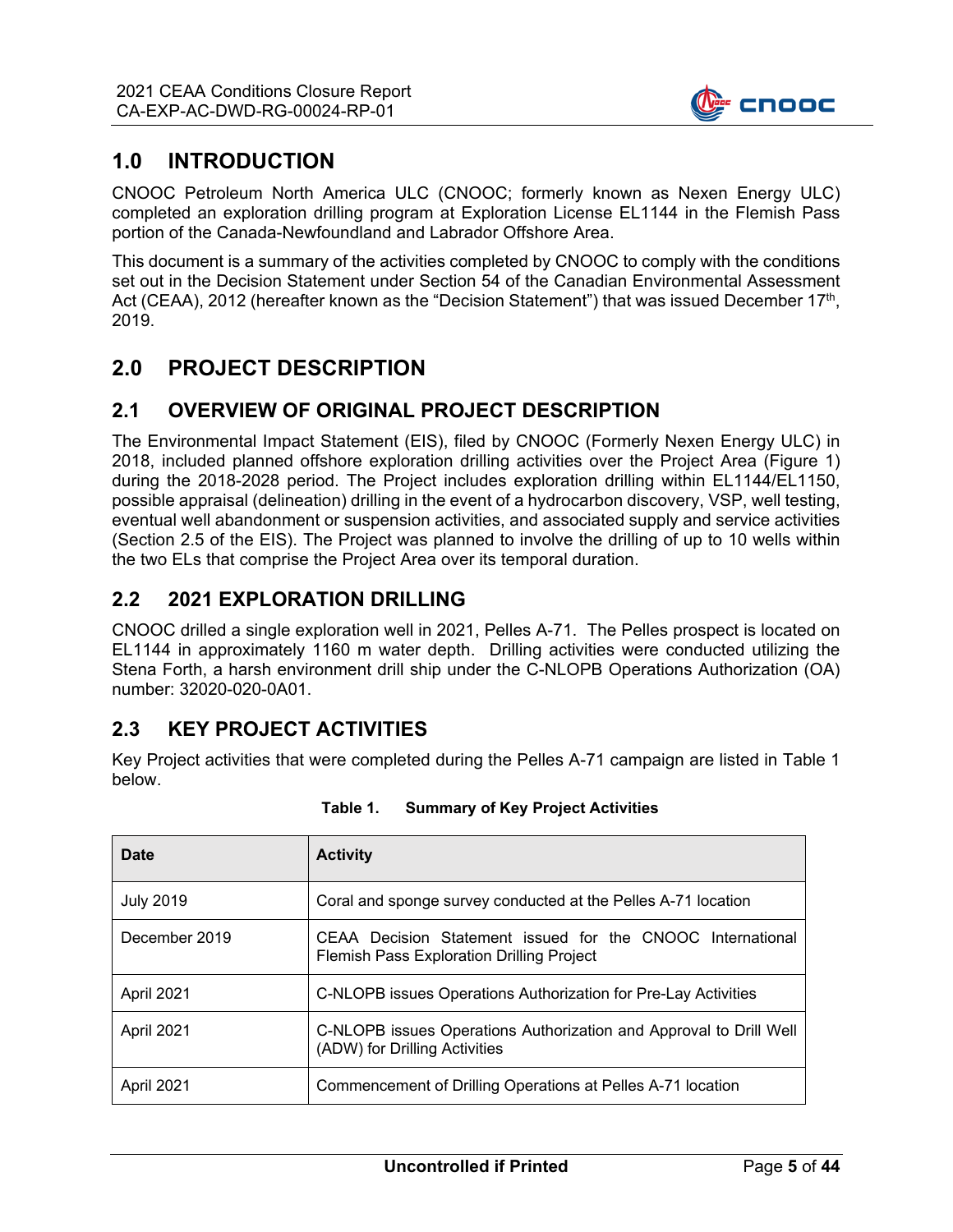

## **1.0 INTRODUCTION**

CNOOC Petroleum North America ULC (CNOOC; formerly known as Nexen Energy ULC) completed an exploration drilling program at Exploration License EL1144 in the Flemish Pass portion of the Canada-Newfoundland and Labrador Offshore Area.

This document is a summary of the activities completed by CNOOC to comply with the conditions set out in the Decision Statement under Section 54 of the Canadian Environmental Assessment Act (CEAA), 2012 (hereafter known as the "Decision Statement") that was issued December 17<sup>th</sup>, 2019.

## **2.0 PROJECT DESCRIPTION**

## **2.1 OVERVIEW OF ORIGINAL PROJECT DESCRIPTION**

The Environmental Impact Statement (EIS), filed by CNOOC (Formerly Nexen Energy ULC) in 2018, included planned offshore exploration drilling activities over the Project Area (Figure 1) during the 2018-2028 period. The Project includes exploration drilling within EL1144/EL1150, possible appraisal (delineation) drilling in the event of a hydrocarbon discovery, VSP, well testing, eventual well abandonment or suspension activities, and associated supply and service activities (Section 2.5 of the EIS). The Project was planned to involve the drilling of up to 10 wells within the two ELs that comprise the Project Area over its temporal duration.

#### **2.2 2021 EXPLORATION DRILLING**

CNOOC drilled a single exploration well in 2021, Pelles A-71. The Pelles prospect is located on EL1144 in approximately 1160 m water depth. Drilling activities were conducted utilizing the Stena Forth, a harsh environment drill ship under the C-NLOPB Operations Authorization (OA) number: 32020-020-0A01.

## **2.3 KEY PROJECT ACTIVITIES**

Key Project activities that were completed during the Pelles A-71 campaign are listed in Table 1 below.

| Date             | <b>Activity</b>                                                                                                |
|------------------|----------------------------------------------------------------------------------------------------------------|
| <b>July 2019</b> | Coral and sponge survey conducted at the Pelles A-71 location                                                  |
| December 2019    | CEAA Decision Statement issued for the CNOOC International<br><b>Flemish Pass Exploration Drilling Project</b> |
| April 2021       | C-NLOPB issues Operations Authorization for Pre-Lay Activities                                                 |
| April 2021       | C-NLOPB issues Operations Authorization and Approval to Drill Well<br>(ADW) for Drilling Activities            |
| April 2021       | Commencement of Drilling Operations at Pelles A-71 location                                                    |

| Table 1. |  |  |  | <b>Summary of Key Project Activities</b> |
|----------|--|--|--|------------------------------------------|
|----------|--|--|--|------------------------------------------|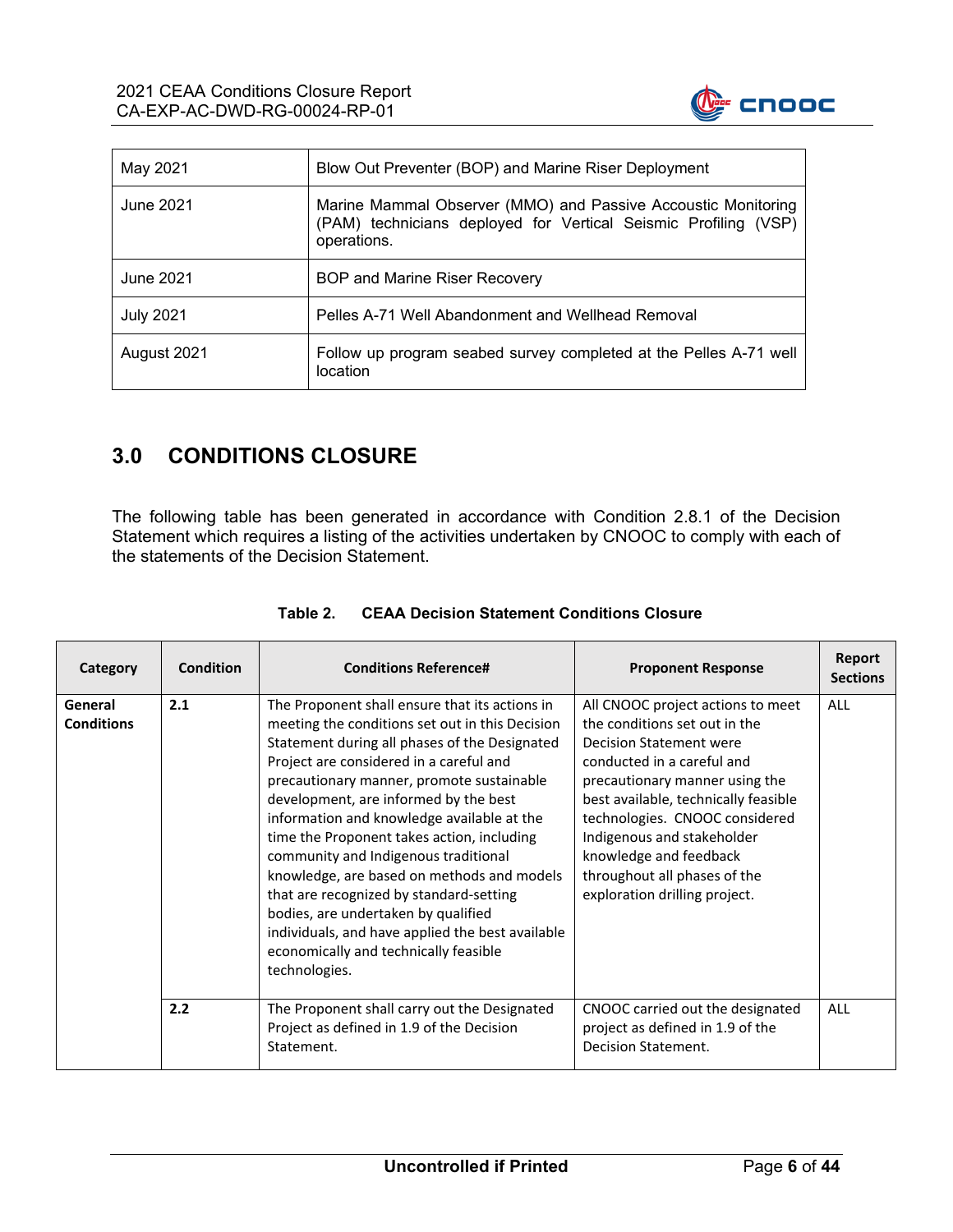

| May 2021         | Blow Out Preventer (BOP) and Marine Riser Deployment                                                                                            |
|------------------|-------------------------------------------------------------------------------------------------------------------------------------------------|
| June 2021        | Marine Mammal Observer (MMO) and Passive Accoustic Monitoring<br>(PAM) technicians deployed for Vertical Seismic Profiling (VSP)<br>operations. |
| June 2021        | <b>BOP and Marine Riser Recovery</b>                                                                                                            |
| <b>July 2021</b> | Pelles A-71 Well Abandonment and Wellhead Removal                                                                                               |
| August 2021      | Follow up program seabed survey completed at the Pelles A-71 well<br>location                                                                   |

# **3.0 CONDITIONS CLOSURE**

The following table has been generated in accordance with Condition 2.8.1 of the Decision Statement which requires a listing of the activities undertaken by CNOOC to comply with each of the statements of the Decision Statement.

| Category                     | <b>Condition</b> | <b>Conditions Reference#</b>                                                                                                                                                                                                                                                                                                                                                                                                                                                                                                                                                                                                                                          | <b>Proponent Response</b>                                                                                                                                                                                                                                                                                                                                               | Report<br><b>Sections</b> |
|------------------------------|------------------|-----------------------------------------------------------------------------------------------------------------------------------------------------------------------------------------------------------------------------------------------------------------------------------------------------------------------------------------------------------------------------------------------------------------------------------------------------------------------------------------------------------------------------------------------------------------------------------------------------------------------------------------------------------------------|-------------------------------------------------------------------------------------------------------------------------------------------------------------------------------------------------------------------------------------------------------------------------------------------------------------------------------------------------------------------------|---------------------------|
| General<br><b>Conditions</b> | 2.1              | The Proponent shall ensure that its actions in<br>meeting the conditions set out in this Decision<br>Statement during all phases of the Designated<br>Project are considered in a careful and<br>precautionary manner, promote sustainable<br>development, are informed by the best<br>information and knowledge available at the<br>time the Proponent takes action, including<br>community and Indigenous traditional<br>knowledge, are based on methods and models<br>that are recognized by standard-setting<br>bodies, are undertaken by qualified<br>individuals, and have applied the best available<br>economically and technically feasible<br>technologies. | All CNOOC project actions to meet<br>the conditions set out in the<br><b>Decision Statement were</b><br>conducted in a careful and<br>precautionary manner using the<br>best available, technically feasible<br>technologies. CNOOC considered<br>Indigenous and stakeholder<br>knowledge and feedback<br>throughout all phases of the<br>exploration drilling project. | <b>ALL</b>                |
|                              | 2.2              | The Proponent shall carry out the Designated<br>Project as defined in 1.9 of the Decision<br>Statement.                                                                                                                                                                                                                                                                                                                                                                                                                                                                                                                                                               | CNOOC carried out the designated<br>project as defined in 1.9 of the<br>Decision Statement.                                                                                                                                                                                                                                                                             | <b>ALL</b>                |

#### **Table 2. CEAA Decision Statement Conditions Closure**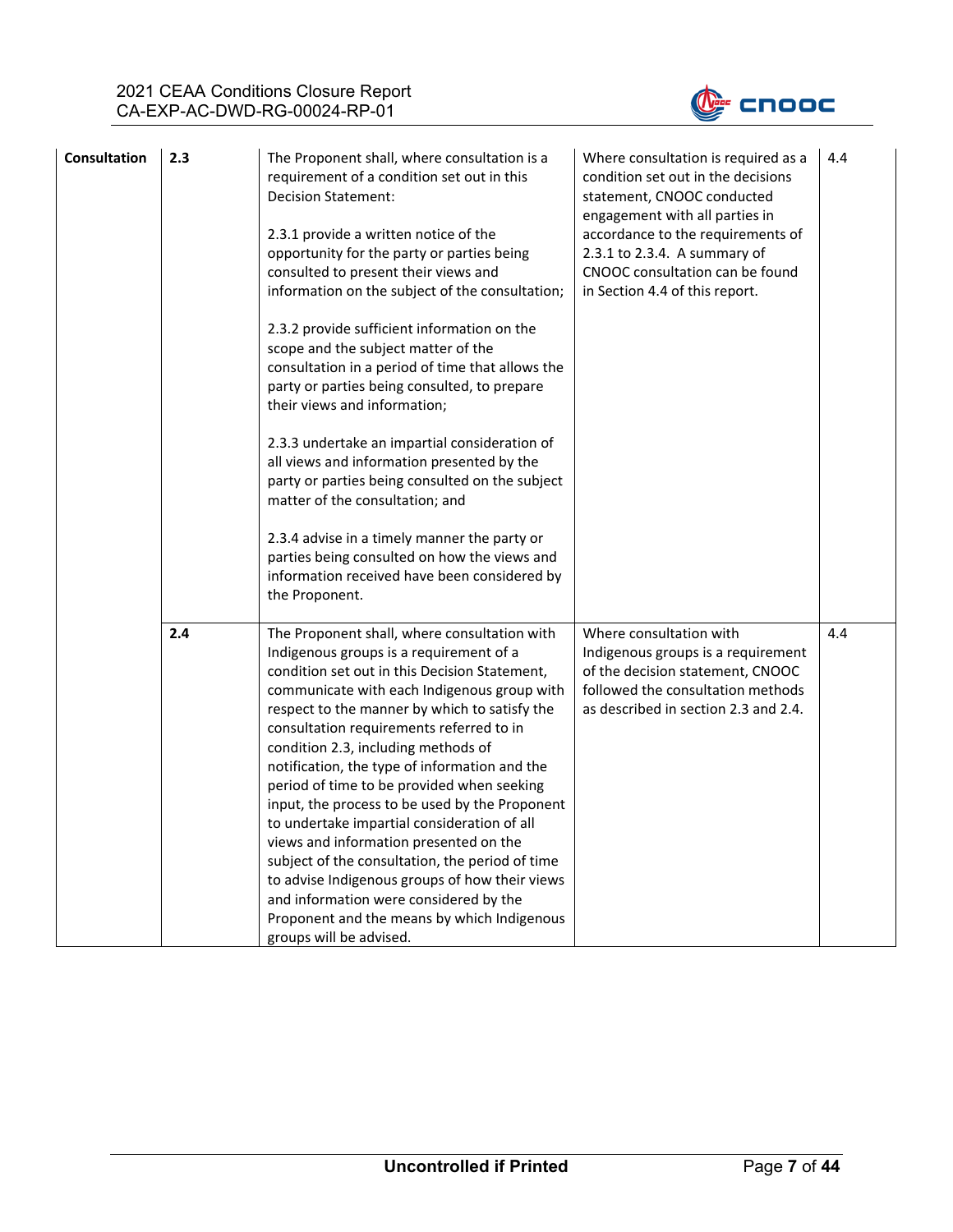

| <b>Consultation</b> | 2.3 | The Proponent shall, where consultation is a<br>requirement of a condition set out in this<br><b>Decision Statement:</b><br>2.3.1 provide a written notice of the<br>opportunity for the party or parties being<br>consulted to present their views and<br>information on the subject of the consultation;<br>2.3.2 provide sufficient information on the<br>scope and the subject matter of the<br>consultation in a period of time that allows the<br>party or parties being consulted, to prepare<br>their views and information;<br>2.3.3 undertake an impartial consideration of<br>all views and information presented by the<br>party or parties being consulted on the subject<br>matter of the consultation; and<br>2.3.4 advise in a timely manner the party or<br>parties being consulted on how the views and<br>information received have been considered by<br>the Proponent. | Where consultation is required as a<br>condition set out in the decisions<br>statement, CNOOC conducted<br>engagement with all parties in<br>accordance to the requirements of<br>2.3.1 to 2.3.4. A summary of<br>CNOOC consultation can be found<br>in Section 4.4 of this report. | 4.4 |
|---------------------|-----|---------------------------------------------------------------------------------------------------------------------------------------------------------------------------------------------------------------------------------------------------------------------------------------------------------------------------------------------------------------------------------------------------------------------------------------------------------------------------------------------------------------------------------------------------------------------------------------------------------------------------------------------------------------------------------------------------------------------------------------------------------------------------------------------------------------------------------------------------------------------------------------------|-------------------------------------------------------------------------------------------------------------------------------------------------------------------------------------------------------------------------------------------------------------------------------------|-----|
|                     | 2.4 | The Proponent shall, where consultation with<br>Indigenous groups is a requirement of a<br>condition set out in this Decision Statement,<br>communicate with each Indigenous group with<br>respect to the manner by which to satisfy the<br>consultation requirements referred to in<br>condition 2.3, including methods of<br>notification, the type of information and the<br>period of time to be provided when seeking<br>input, the process to be used by the Proponent<br>to undertake impartial consideration of all<br>views and information presented on the<br>subject of the consultation, the period of time<br>to advise Indigenous groups of how their views<br>and information were considered by the<br>Proponent and the means by which Indigenous<br>groups will be advised.                                                                                              | Where consultation with<br>Indigenous groups is a requirement<br>of the decision statement, CNOOC<br>followed the consultation methods<br>as described in section 2.3 and 2.4.                                                                                                      | 4.4 |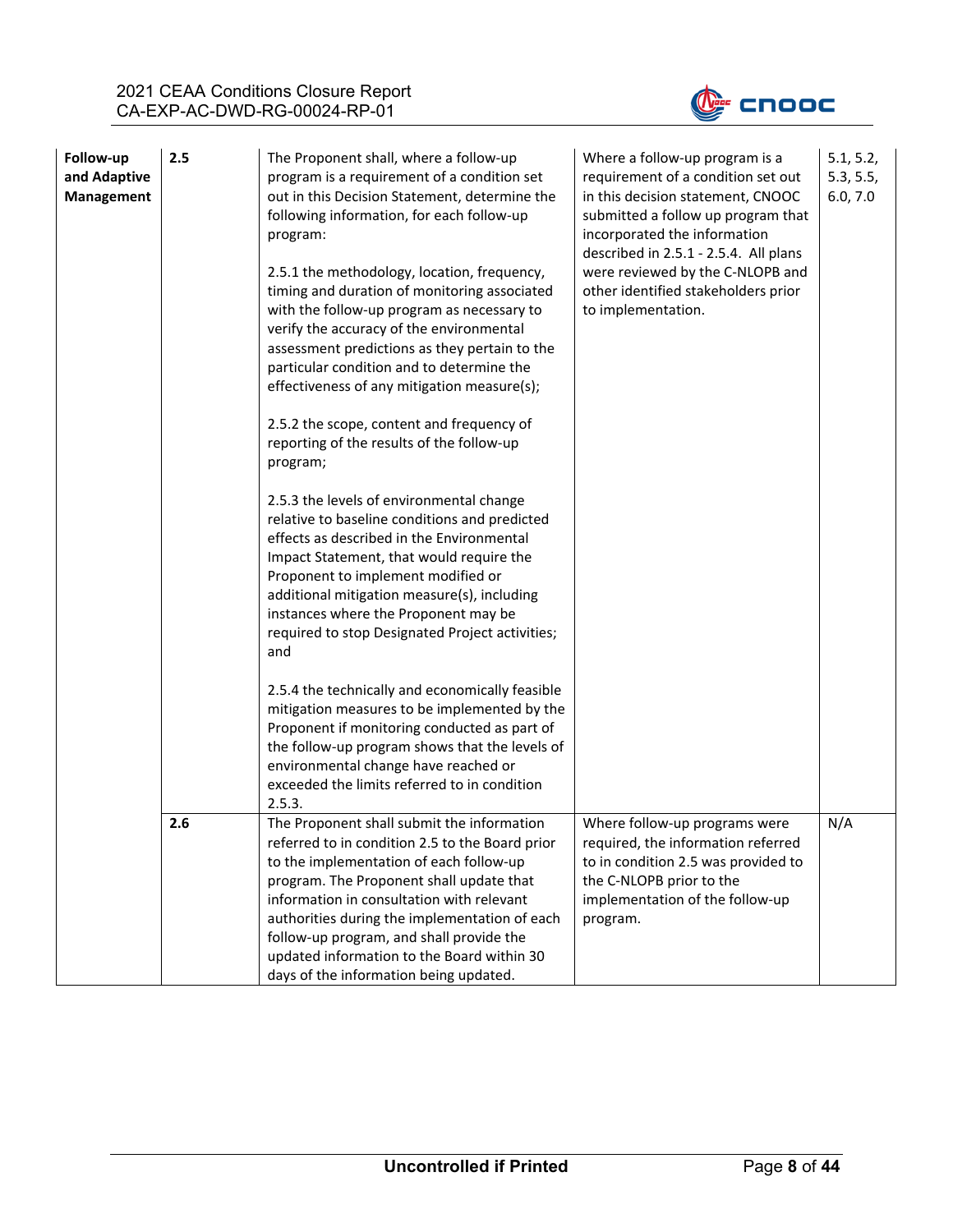

| Follow-up<br>and Adaptive<br><b>Management</b> | 2.5 | The Proponent shall, where a follow-up<br>program is a requirement of a condition set<br>out in this Decision Statement, determine the<br>following information, for each follow-up<br>program:<br>2.5.1 the methodology, location, frequency,<br>timing and duration of monitoring associated<br>with the follow-up program as necessary to<br>verify the accuracy of the environmental<br>assessment predictions as they pertain to the<br>particular condition and to determine the<br>effectiveness of any mitigation measure(s);<br>2.5.2 the scope, content and frequency of<br>reporting of the results of the follow-up<br>program;<br>2.5.3 the levels of environmental change<br>relative to baseline conditions and predicted<br>effects as described in the Environmental<br>Impact Statement, that would require the<br>Proponent to implement modified or<br>additional mitigation measure(s), including<br>instances where the Proponent may be<br>required to stop Designated Project activities;<br>and<br>2.5.4 the technically and economically feasible<br>mitigation measures to be implemented by the<br>Proponent if monitoring conducted as part of<br>the follow-up program shows that the levels of<br>environmental change have reached or<br>exceeded the limits referred to in condition<br>2.5.3. | Where a follow-up program is a<br>requirement of a condition set out<br>in this decision statement, CNOOC<br>submitted a follow up program that<br>incorporated the information<br>described in 2.5.1 - 2.5.4. All plans<br>were reviewed by the C-NLOPB and<br>other identified stakeholders prior<br>to implementation. | 5.1, 5.2,<br>5.3, 5.5,<br>6.0, 7.0 |
|------------------------------------------------|-----|---------------------------------------------------------------------------------------------------------------------------------------------------------------------------------------------------------------------------------------------------------------------------------------------------------------------------------------------------------------------------------------------------------------------------------------------------------------------------------------------------------------------------------------------------------------------------------------------------------------------------------------------------------------------------------------------------------------------------------------------------------------------------------------------------------------------------------------------------------------------------------------------------------------------------------------------------------------------------------------------------------------------------------------------------------------------------------------------------------------------------------------------------------------------------------------------------------------------------------------------------------------------------------------------------------------------------------|---------------------------------------------------------------------------------------------------------------------------------------------------------------------------------------------------------------------------------------------------------------------------------------------------------------------------|------------------------------------|
|                                                | 2.6 | The Proponent shall submit the information<br>referred to in condition 2.5 to the Board prior<br>to the implementation of each follow-up<br>program. The Proponent shall update that<br>information in consultation with relevant<br>authorities during the implementation of each<br>follow-up program, and shall provide the<br>updated information to the Board within 30<br>days of the information being updated.                                                                                                                                                                                                                                                                                                                                                                                                                                                                                                                                                                                                                                                                                                                                                                                                                                                                                                          | Where follow-up programs were<br>required, the information referred<br>to in condition 2.5 was provided to<br>the C-NLOPB prior to the<br>implementation of the follow-up<br>program.                                                                                                                                     | N/A                                |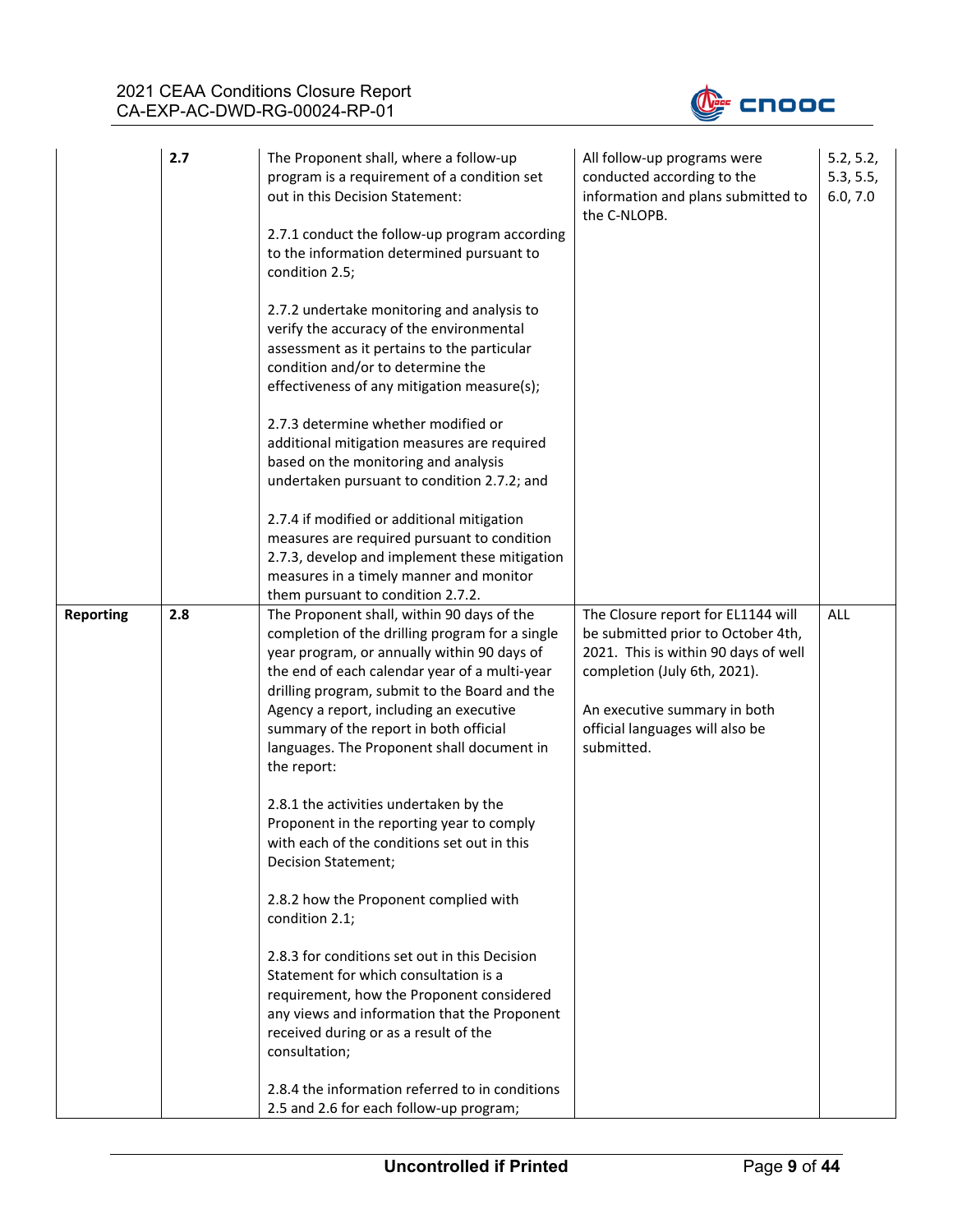

|                  | 2.7 | The Proponent shall, where a follow-up<br>program is a requirement of a condition set<br>out in this Decision Statement:<br>2.7.1 conduct the follow-up program according<br>to the information determined pursuant to<br>condition 2.5;                                                                                                                                                         | All follow-up programs were<br>conducted according to the<br>information and plans submitted to<br>the C-NLOPB.                                                                                                                   | 5.2, 5.2,<br>5.3, 5.5,<br>6.0, 7.0 |
|------------------|-----|--------------------------------------------------------------------------------------------------------------------------------------------------------------------------------------------------------------------------------------------------------------------------------------------------------------------------------------------------------------------------------------------------|-----------------------------------------------------------------------------------------------------------------------------------------------------------------------------------------------------------------------------------|------------------------------------|
|                  |     | 2.7.2 undertake monitoring and analysis to<br>verify the accuracy of the environmental<br>assessment as it pertains to the particular<br>condition and/or to determine the<br>effectiveness of any mitigation measure(s);                                                                                                                                                                        |                                                                                                                                                                                                                                   |                                    |
|                  |     | 2.7.3 determine whether modified or<br>additional mitigation measures are required<br>based on the monitoring and analysis<br>undertaken pursuant to condition 2.7.2; and                                                                                                                                                                                                                        |                                                                                                                                                                                                                                   |                                    |
|                  |     | 2.7.4 if modified or additional mitigation<br>measures are required pursuant to condition<br>2.7.3, develop and implement these mitigation<br>measures in a timely manner and monitor<br>them pursuant to condition 2.7.2.                                                                                                                                                                       |                                                                                                                                                                                                                                   |                                    |
| <b>Reporting</b> | 2.8 | The Proponent shall, within 90 days of the<br>completion of the drilling program for a single<br>year program, or annually within 90 days of<br>the end of each calendar year of a multi-year<br>drilling program, submit to the Board and the<br>Agency a report, including an executive<br>summary of the report in both official<br>languages. The Proponent shall document in<br>the report: | The Closure report for EL1144 will<br>be submitted prior to October 4th,<br>2021. This is within 90 days of well<br>completion (July 6th, 2021).<br>An executive summary in both<br>official languages will also be<br>submitted. | ALL                                |
|                  |     | 2.8.1 the activities undertaken by the<br>Proponent in the reporting year to comply<br>with each of the conditions set out in this<br>Decision Statement;                                                                                                                                                                                                                                        |                                                                                                                                                                                                                                   |                                    |
|                  |     | 2.8.2 how the Proponent complied with<br>condition 2.1;                                                                                                                                                                                                                                                                                                                                          |                                                                                                                                                                                                                                   |                                    |
|                  |     | 2.8.3 for conditions set out in this Decision<br>Statement for which consultation is a<br>requirement, how the Proponent considered<br>any views and information that the Proponent<br>received during or as a result of the<br>consultation;                                                                                                                                                    |                                                                                                                                                                                                                                   |                                    |
|                  |     | 2.8.4 the information referred to in conditions<br>2.5 and 2.6 for each follow-up program;                                                                                                                                                                                                                                                                                                       |                                                                                                                                                                                                                                   |                                    |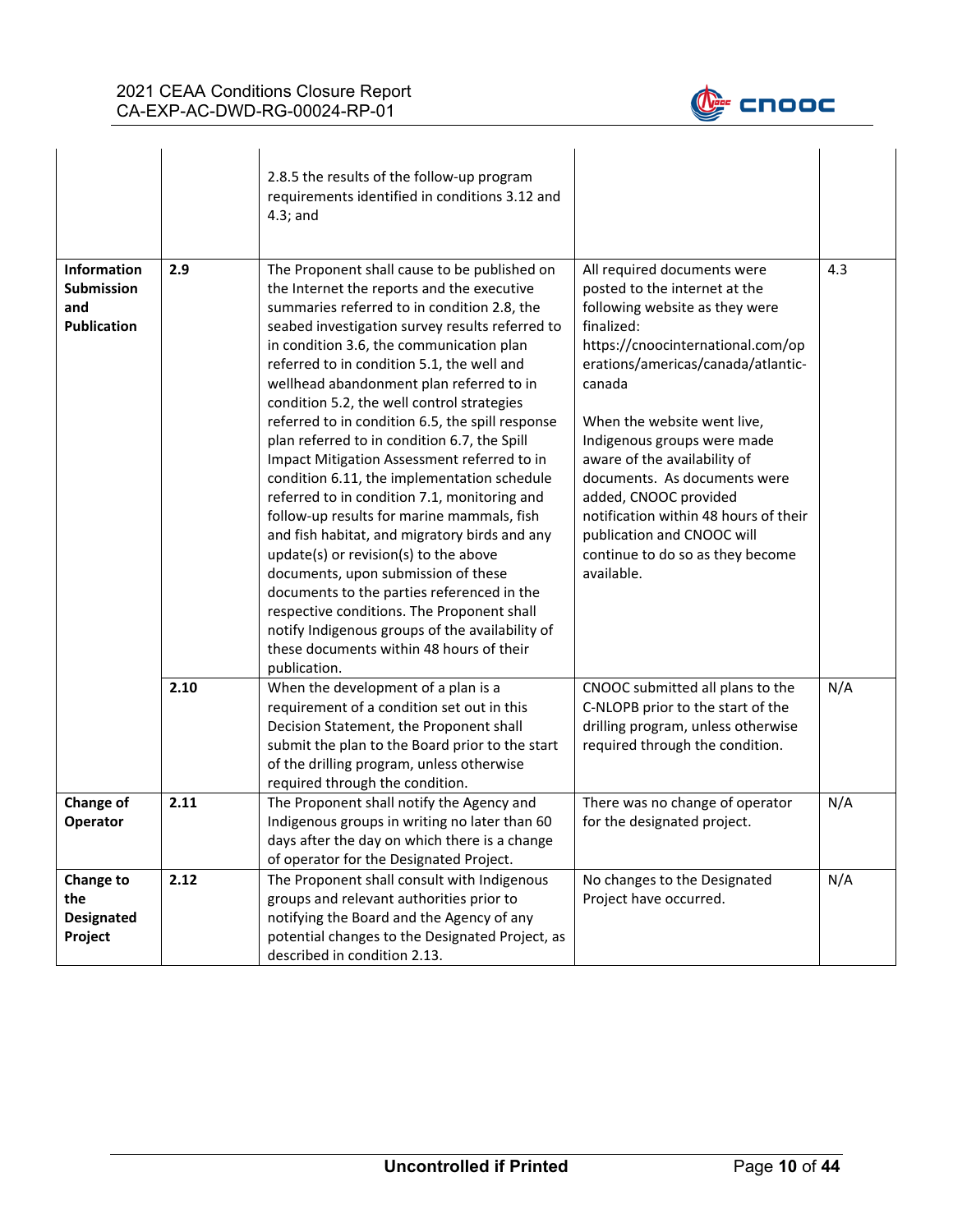

|                                                               |      | 2.8.5 the results of the follow-up program<br>requirements identified in conditions 3.12 and<br>$4.3$ ; and                                                                                                                                                                                                                                                                                                                                                                                                                                                                                                                                                                                                                                                                                                                                                                                                                                                                                                                  |                                                                                                                                                                                                                                                                                                                                                                                                                                                                                   |     |
|---------------------------------------------------------------|------|------------------------------------------------------------------------------------------------------------------------------------------------------------------------------------------------------------------------------------------------------------------------------------------------------------------------------------------------------------------------------------------------------------------------------------------------------------------------------------------------------------------------------------------------------------------------------------------------------------------------------------------------------------------------------------------------------------------------------------------------------------------------------------------------------------------------------------------------------------------------------------------------------------------------------------------------------------------------------------------------------------------------------|-----------------------------------------------------------------------------------------------------------------------------------------------------------------------------------------------------------------------------------------------------------------------------------------------------------------------------------------------------------------------------------------------------------------------------------------------------------------------------------|-----|
| Information<br><b>Submission</b><br>and<br><b>Publication</b> | 2.9  | The Proponent shall cause to be published on<br>the Internet the reports and the executive<br>summaries referred to in condition 2.8, the<br>seabed investigation survey results referred to<br>in condition 3.6, the communication plan<br>referred to in condition 5.1, the well and<br>wellhead abandonment plan referred to in<br>condition 5.2, the well control strategies<br>referred to in condition 6.5, the spill response<br>plan referred to in condition 6.7, the Spill<br>Impact Mitigation Assessment referred to in<br>condition 6.11, the implementation schedule<br>referred to in condition 7.1, monitoring and<br>follow-up results for marine mammals, fish<br>and fish habitat, and migratory birds and any<br>update(s) or revision(s) to the above<br>documents, upon submission of these<br>documents to the parties referenced in the<br>respective conditions. The Proponent shall<br>notify Indigenous groups of the availability of<br>these documents within 48 hours of their<br>publication. | All required documents were<br>posted to the internet at the<br>following website as they were<br>finalized:<br>https://cnoocinternational.com/op<br>erations/americas/canada/atlantic-<br>canada<br>When the website went live,<br>Indigenous groups were made<br>aware of the availability of<br>documents. As documents were<br>added, CNOOC provided<br>notification within 48 hours of their<br>publication and CNOOC will<br>continue to do so as they become<br>available. | 4.3 |
|                                                               | 2.10 | When the development of a plan is a<br>requirement of a condition set out in this<br>Decision Statement, the Proponent shall<br>submit the plan to the Board prior to the start<br>of the drilling program, unless otherwise<br>required through the condition.                                                                                                                                                                                                                                                                                                                                                                                                                                                                                                                                                                                                                                                                                                                                                              | CNOOC submitted all plans to the<br>C-NLOPB prior to the start of the<br>drilling program, unless otherwise<br>required through the condition.                                                                                                                                                                                                                                                                                                                                    | N/A |
| Change of<br>Operator                                         | 2.11 | The Proponent shall notify the Agency and<br>Indigenous groups in writing no later than 60<br>days after the day on which there is a change<br>of operator for the Designated Project.                                                                                                                                                                                                                                                                                                                                                                                                                                                                                                                                                                                                                                                                                                                                                                                                                                       | There was no change of operator<br>for the designated project.                                                                                                                                                                                                                                                                                                                                                                                                                    | N/A |
| Change to<br>the<br><b>Designated</b><br>Project              | 2.12 | The Proponent shall consult with Indigenous<br>groups and relevant authorities prior to<br>notifying the Board and the Agency of any<br>potential changes to the Designated Project, as<br>described in condition 2.13.                                                                                                                                                                                                                                                                                                                                                                                                                                                                                                                                                                                                                                                                                                                                                                                                      | No changes to the Designated<br>Project have occurred.                                                                                                                                                                                                                                                                                                                                                                                                                            | N/A |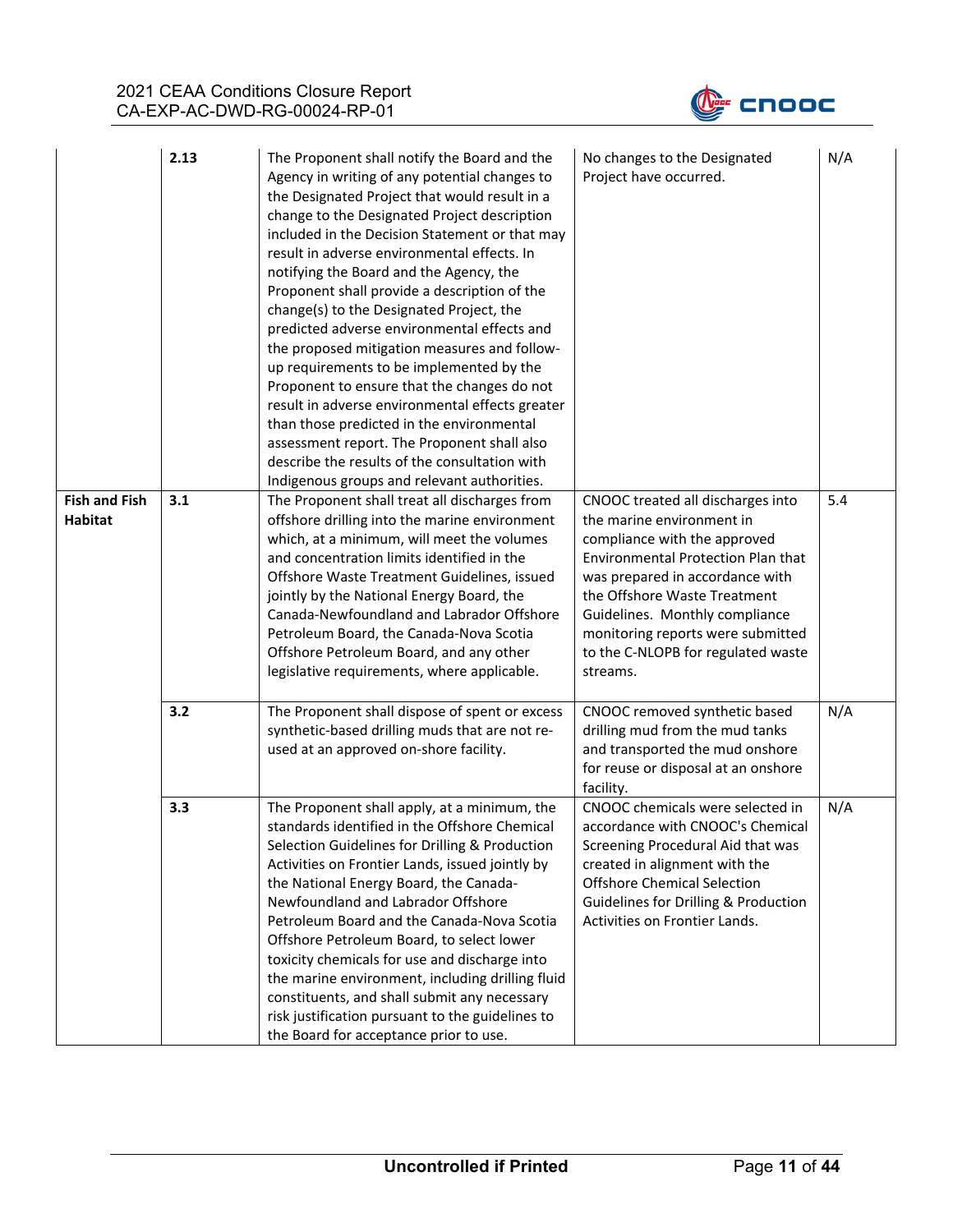

|                                        | 2.13 | The Proponent shall notify the Board and the<br>Agency in writing of any potential changes to<br>the Designated Project that would result in a<br>change to the Designated Project description<br>included in the Decision Statement or that may<br>result in adverse environmental effects. In<br>notifying the Board and the Agency, the<br>Proponent shall provide a description of the<br>change(s) to the Designated Project, the<br>predicted adverse environmental effects and<br>the proposed mitigation measures and follow-<br>up requirements to be implemented by the<br>Proponent to ensure that the changes do not<br>result in adverse environmental effects greater<br>than those predicted in the environmental<br>assessment report. The Proponent shall also<br>describe the results of the consultation with<br>Indigenous groups and relevant authorities. | No changes to the Designated<br>Project have occurred.                                                                                                                                                                                                                                                                           | N/A |
|----------------------------------------|------|---------------------------------------------------------------------------------------------------------------------------------------------------------------------------------------------------------------------------------------------------------------------------------------------------------------------------------------------------------------------------------------------------------------------------------------------------------------------------------------------------------------------------------------------------------------------------------------------------------------------------------------------------------------------------------------------------------------------------------------------------------------------------------------------------------------------------------------------------------------------------------|----------------------------------------------------------------------------------------------------------------------------------------------------------------------------------------------------------------------------------------------------------------------------------------------------------------------------------|-----|
| <b>Fish and Fish</b><br><b>Habitat</b> | 3.1  | The Proponent shall treat all discharges from<br>offshore drilling into the marine environment<br>which, at a minimum, will meet the volumes<br>and concentration limits identified in the<br>Offshore Waste Treatment Guidelines, issued<br>jointly by the National Energy Board, the<br>Canada-Newfoundland and Labrador Offshore<br>Petroleum Board, the Canada-Nova Scotia<br>Offshore Petroleum Board, and any other<br>legislative requirements, where applicable.                                                                                                                                                                                                                                                                                                                                                                                                        | CNOOC treated all discharges into<br>the marine environment in<br>compliance with the approved<br>Environmental Protection Plan that<br>was prepared in accordance with<br>the Offshore Waste Treatment<br>Guidelines. Monthly compliance<br>monitoring reports were submitted<br>to the C-NLOPB for regulated waste<br>streams. | 5.4 |
|                                        | 3.2  | The Proponent shall dispose of spent or excess<br>synthetic-based drilling muds that are not re-<br>used at an approved on-shore facility.                                                                                                                                                                                                                                                                                                                                                                                                                                                                                                                                                                                                                                                                                                                                      | CNOOC removed synthetic based<br>drilling mud from the mud tanks<br>and transported the mud onshore<br>for reuse or disposal at an onshore<br>facility.                                                                                                                                                                          | N/A |
|                                        | 3.3  | The Proponent shall apply, at a minimum, the<br>standards identified in the Offshore Chemical<br>Selection Guidelines for Drilling & Production<br>Activities on Frontier Lands, issued jointly by<br>the National Energy Board, the Canada-<br>Newfoundland and Labrador Offshore<br>Petroleum Board and the Canada-Nova Scotia<br>Offshore Petroleum Board, to select lower<br>toxicity chemicals for use and discharge into<br>the marine environment, including drilling fluid<br>constituents, and shall submit any necessary<br>risk justification pursuant to the guidelines to<br>the Board for acceptance prior to use.                                                                                                                                                                                                                                                | CNOOC chemicals were selected in<br>accordance with CNOOC's Chemical<br>Screening Procedural Aid that was<br>created in alignment with the<br><b>Offshore Chemical Selection</b><br>Guidelines for Drilling & Production<br>Activities on Frontier Lands.                                                                        | N/A |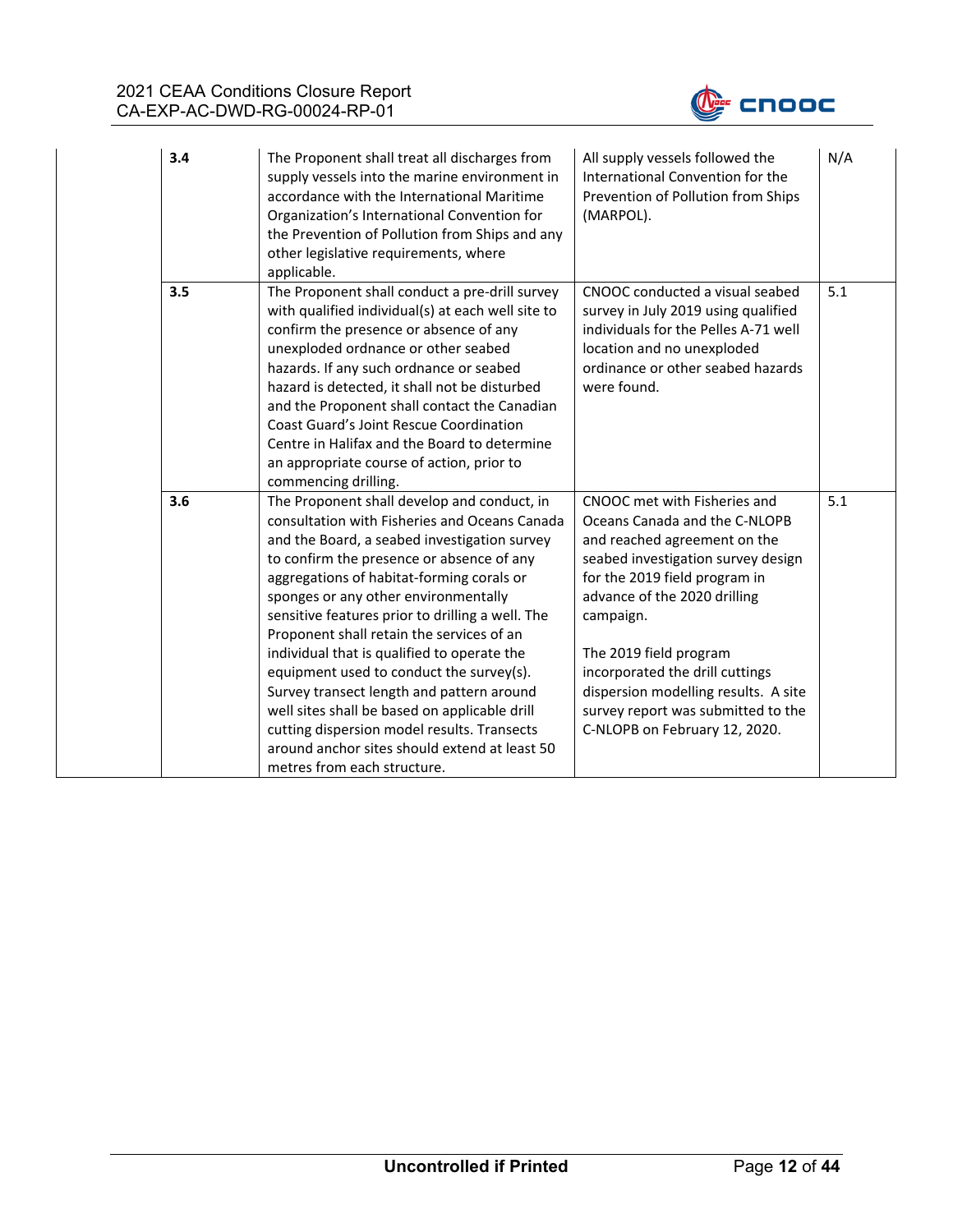

| 3.4 | The Proponent shall treat all discharges from<br>supply vessels into the marine environment in<br>accordance with the International Maritime<br>Organization's International Convention for<br>the Prevention of Pollution from Ships and any<br>other legislative requirements, where<br>applicable.                                                                                                                                                                                                                                                                                                                                                                                                   | All supply vessels followed the<br>International Convention for the<br>Prevention of Pollution from Ships<br>(MARPOL).                                                                                                                                                                                                                                                                        | N/A |
|-----|---------------------------------------------------------------------------------------------------------------------------------------------------------------------------------------------------------------------------------------------------------------------------------------------------------------------------------------------------------------------------------------------------------------------------------------------------------------------------------------------------------------------------------------------------------------------------------------------------------------------------------------------------------------------------------------------------------|-----------------------------------------------------------------------------------------------------------------------------------------------------------------------------------------------------------------------------------------------------------------------------------------------------------------------------------------------------------------------------------------------|-----|
| 3.5 | The Proponent shall conduct a pre-drill survey<br>with qualified individual(s) at each well site to<br>confirm the presence or absence of any<br>unexploded ordnance or other seabed<br>hazards. If any such ordnance or seabed<br>hazard is detected, it shall not be disturbed<br>and the Proponent shall contact the Canadian<br>Coast Guard's Joint Rescue Coordination<br>Centre in Halifax and the Board to determine<br>an appropriate course of action, prior to<br>commencing drilling.                                                                                                                                                                                                        | CNOOC conducted a visual seabed<br>survey in July 2019 using qualified<br>individuals for the Pelles A-71 well<br>location and no unexploded<br>ordinance or other seabed hazards<br>were found.                                                                                                                                                                                              | 5.1 |
| 3.6 | The Proponent shall develop and conduct, in<br>consultation with Fisheries and Oceans Canada<br>and the Board, a seabed investigation survey<br>to confirm the presence or absence of any<br>aggregations of habitat-forming corals or<br>sponges or any other environmentally<br>sensitive features prior to drilling a well. The<br>Proponent shall retain the services of an<br>individual that is qualified to operate the<br>equipment used to conduct the survey(s).<br>Survey transect length and pattern around<br>well sites shall be based on applicable drill<br>cutting dispersion model results. Transects<br>around anchor sites should extend at least 50<br>metres from each structure. | CNOOC met with Fisheries and<br>Oceans Canada and the C-NLOPB<br>and reached agreement on the<br>seabed investigation survey design<br>for the 2019 field program in<br>advance of the 2020 drilling<br>campaign.<br>The 2019 field program<br>incorporated the drill cuttings<br>dispersion modelling results. A site<br>survey report was submitted to the<br>C-NLOPB on February 12, 2020. | 5.1 |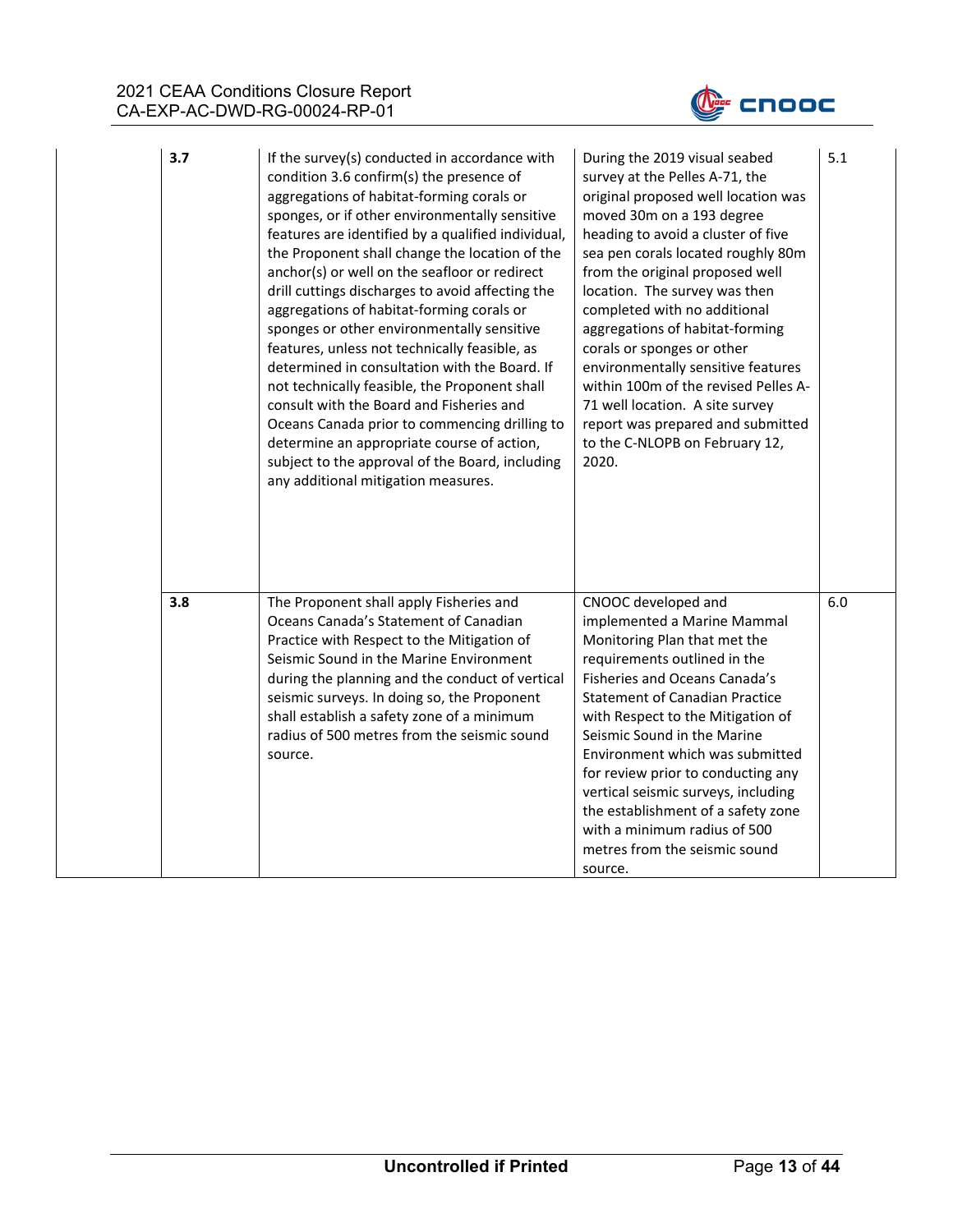

| 3.7 | If the survey(s) conducted in accordance with<br>condition 3.6 confirm(s) the presence of<br>aggregations of habitat-forming corals or<br>sponges, or if other environmentally sensitive<br>features are identified by a qualified individual,<br>the Proponent shall change the location of the<br>anchor(s) or well on the seafloor or redirect<br>drill cuttings discharges to avoid affecting the<br>aggregations of habitat-forming corals or<br>sponges or other environmentally sensitive<br>features, unless not technically feasible, as<br>determined in consultation with the Board. If<br>not technically feasible, the Proponent shall<br>consult with the Board and Fisheries and<br>Oceans Canada prior to commencing drilling to<br>determine an appropriate course of action,<br>subject to the approval of the Board, including<br>any additional mitigation measures. | During the 2019 visual seabed<br>survey at the Pelles A-71, the<br>original proposed well location was<br>moved 30m on a 193 degree<br>heading to avoid a cluster of five<br>sea pen corals located roughly 80m<br>from the original proposed well<br>location. The survey was then<br>completed with no additional<br>aggregations of habitat-forming<br>corals or sponges or other<br>environmentally sensitive features<br>within 100m of the revised Pelles A-<br>71 well location. A site survey<br>report was prepared and submitted<br>to the C-NLOPB on February 12,<br>2020. | 5.1 |
|-----|------------------------------------------------------------------------------------------------------------------------------------------------------------------------------------------------------------------------------------------------------------------------------------------------------------------------------------------------------------------------------------------------------------------------------------------------------------------------------------------------------------------------------------------------------------------------------------------------------------------------------------------------------------------------------------------------------------------------------------------------------------------------------------------------------------------------------------------------------------------------------------------|---------------------------------------------------------------------------------------------------------------------------------------------------------------------------------------------------------------------------------------------------------------------------------------------------------------------------------------------------------------------------------------------------------------------------------------------------------------------------------------------------------------------------------------------------------------------------------------|-----|
| 3.8 | The Proponent shall apply Fisheries and<br>Oceans Canada's Statement of Canadian<br>Practice with Respect to the Mitigation of<br>Seismic Sound in the Marine Environment<br>during the planning and the conduct of vertical<br>seismic surveys. In doing so, the Proponent<br>shall establish a safety zone of a minimum<br>radius of 500 metres from the seismic sound<br>source.                                                                                                                                                                                                                                                                                                                                                                                                                                                                                                      | CNOOC developed and<br>implemented a Marine Mammal<br>Monitoring Plan that met the<br>requirements outlined in the<br>Fisheries and Oceans Canada's<br><b>Statement of Canadian Practice</b><br>with Respect to the Mitigation of<br>Seismic Sound in the Marine<br>Environment which was submitted<br>for review prior to conducting any<br>vertical seismic surveys, including<br>the establishment of a safety zone<br>with a minimum radius of 500<br>metres from the seismic sound<br>source.                                                                                    | 6.0 |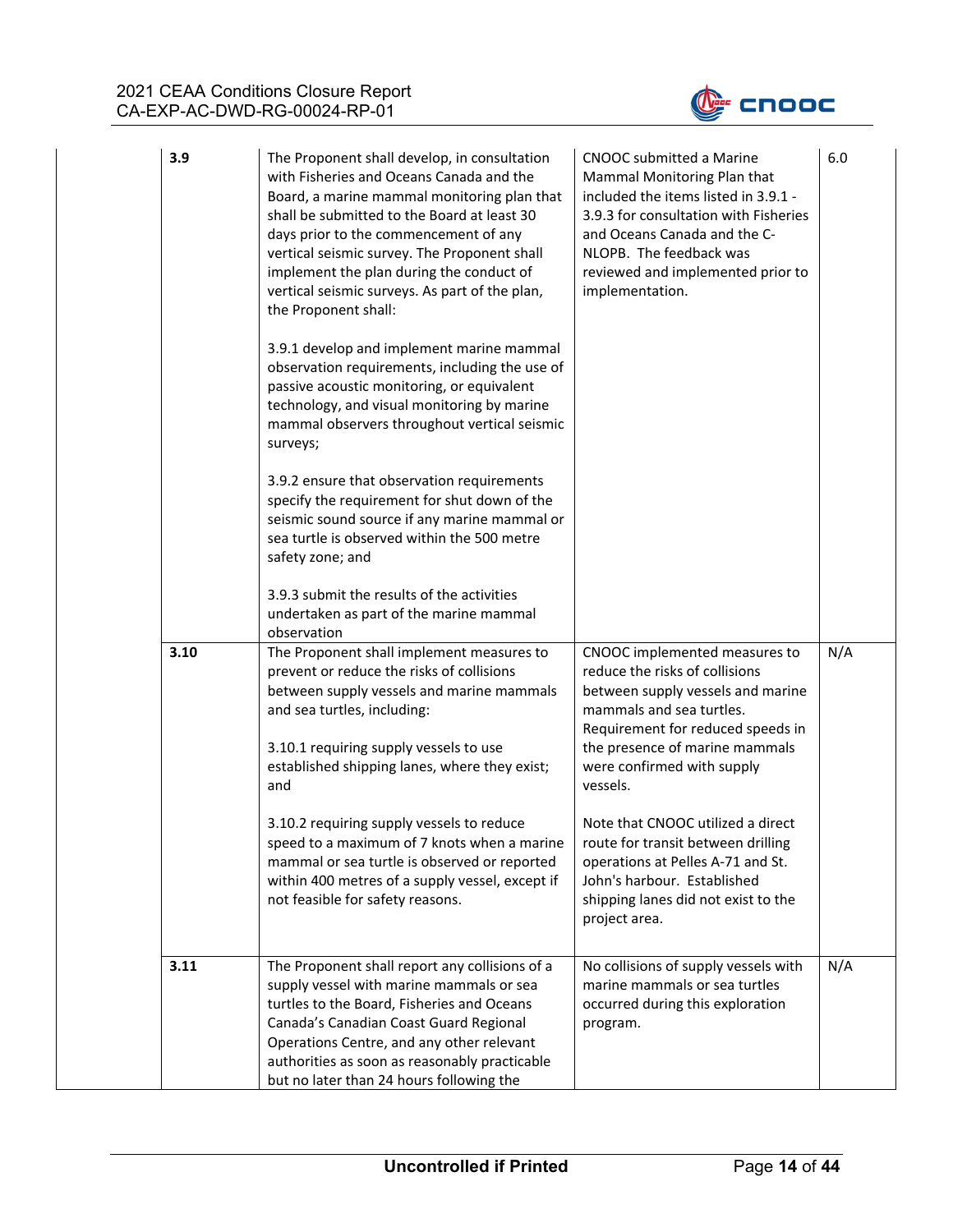

| 3.9  | The Proponent shall develop, in consultation<br>with Fisheries and Oceans Canada and the<br>Board, a marine mammal monitoring plan that<br>shall be submitted to the Board at least 30<br>days prior to the commencement of any<br>vertical seismic survey. The Proponent shall<br>implement the plan during the conduct of<br>vertical seismic surveys. As part of the plan,<br>the Proponent shall: | CNOOC submitted a Marine<br>Mammal Monitoring Plan that<br>included the items listed in 3.9.1 -<br>3.9.3 for consultation with Fisheries<br>and Oceans Canada and the C-<br>NLOPB. The feedback was<br>reviewed and implemented prior to<br>implementation. | 6.0 |
|------|-------------------------------------------------------------------------------------------------------------------------------------------------------------------------------------------------------------------------------------------------------------------------------------------------------------------------------------------------------------------------------------------------------|-------------------------------------------------------------------------------------------------------------------------------------------------------------------------------------------------------------------------------------------------------------|-----|
|      | 3.9.1 develop and implement marine mammal<br>observation requirements, including the use of<br>passive acoustic monitoring, or equivalent<br>technology, and visual monitoring by marine<br>mammal observers throughout vertical seismic<br>surveys;                                                                                                                                                  |                                                                                                                                                                                                                                                             |     |
|      | 3.9.2 ensure that observation requirements<br>specify the requirement for shut down of the<br>seismic sound source if any marine mammal or<br>sea turtle is observed within the 500 metre<br>safety zone; and                                                                                                                                                                                         |                                                                                                                                                                                                                                                             |     |
|      | 3.9.3 submit the results of the activities<br>undertaken as part of the marine mammal<br>observation                                                                                                                                                                                                                                                                                                  |                                                                                                                                                                                                                                                             |     |
| 3.10 | The Proponent shall implement measures to<br>prevent or reduce the risks of collisions<br>between supply vessels and marine mammals<br>and sea turtles, including:<br>3.10.1 requiring supply vessels to use<br>established shipping lanes, where they exist;<br>and                                                                                                                                  | CNOOC implemented measures to<br>reduce the risks of collisions<br>between supply vessels and marine<br>mammals and sea turtles.<br>Requirement for reduced speeds in<br>the presence of marine mammals<br>were confirmed with supply<br>vessels.           | N/A |
|      | 3.10.2 requiring supply vessels to reduce<br>speed to a maximum of 7 knots when a marine<br>mammal or sea turtle is observed or reported<br>within 400 metres of a supply vessel, except if<br>not feasible for safety reasons.                                                                                                                                                                       | Note that CNOOC utilized a direct<br>route for transit between drilling<br>operations at Pelles A-71 and St.<br>John's harbour. Established<br>shipping lanes did not exist to the<br>project area.                                                         |     |
| 3.11 | The Proponent shall report any collisions of a<br>supply vessel with marine mammals or sea<br>turtles to the Board, Fisheries and Oceans<br>Canada's Canadian Coast Guard Regional<br>Operations Centre, and any other relevant<br>authorities as soon as reasonably practicable<br>but no later than 24 hours following the                                                                          | No collisions of supply vessels with<br>marine mammals or sea turtles<br>occurred during this exploration<br>program.                                                                                                                                       | N/A |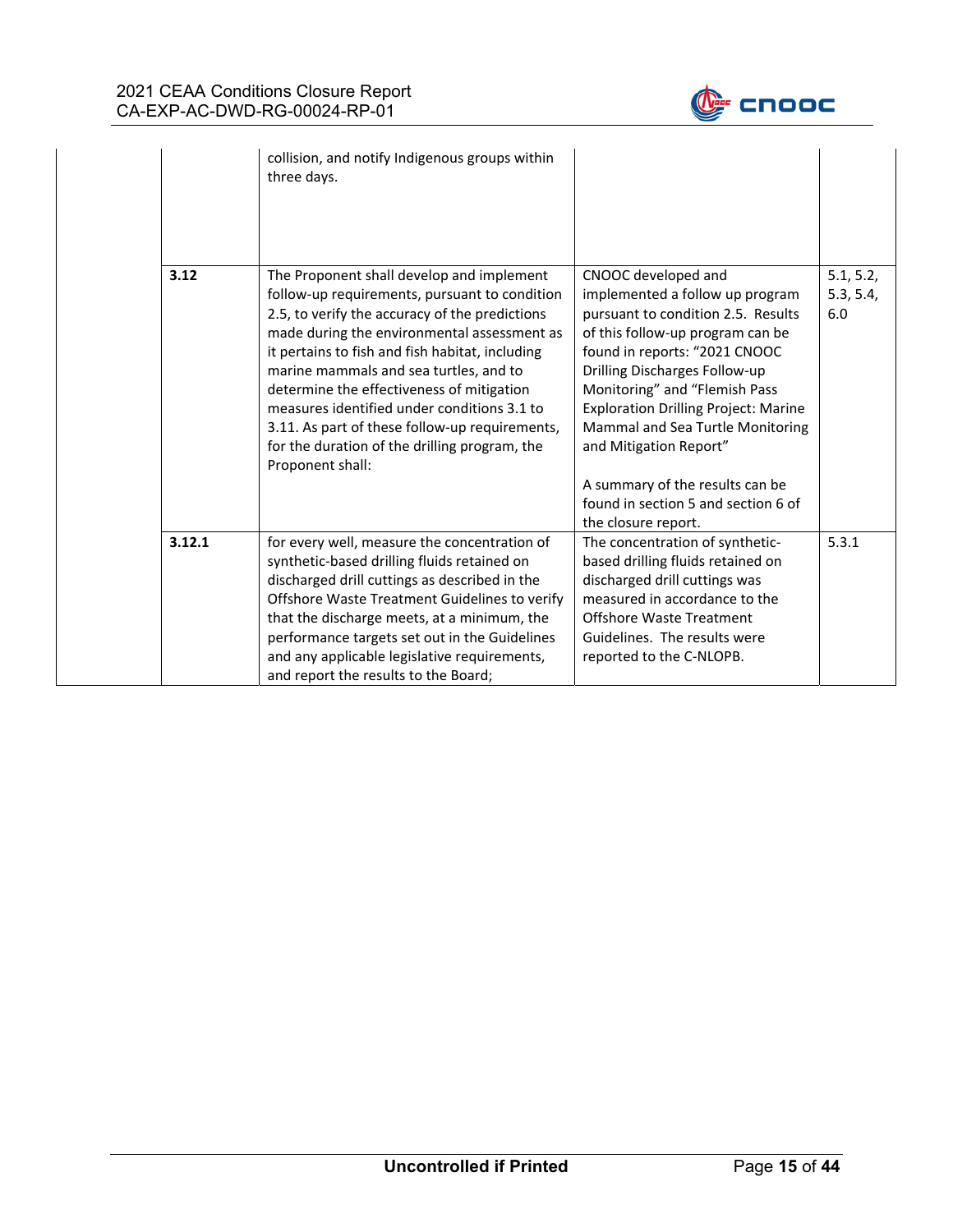

|        | collision, and notify Indigenous groups within<br>three days.                                                                                                                                                                                                                                                                                                                                                                                                                                               |                                                                                                                                                                                                                                                                                                                                                                                                                                                   |                               |
|--------|-------------------------------------------------------------------------------------------------------------------------------------------------------------------------------------------------------------------------------------------------------------------------------------------------------------------------------------------------------------------------------------------------------------------------------------------------------------------------------------------------------------|---------------------------------------------------------------------------------------------------------------------------------------------------------------------------------------------------------------------------------------------------------------------------------------------------------------------------------------------------------------------------------------------------------------------------------------------------|-------------------------------|
| 3.12   | The Proponent shall develop and implement<br>follow-up requirements, pursuant to condition<br>2.5, to verify the accuracy of the predictions<br>made during the environmental assessment as<br>it pertains to fish and fish habitat, including<br>marine mammals and sea turtles, and to<br>determine the effectiveness of mitigation<br>measures identified under conditions 3.1 to<br>3.11. As part of these follow-up requirements,<br>for the duration of the drilling program, the<br>Proponent shall: | CNOOC developed and<br>implemented a follow up program<br>pursuant to condition 2.5. Results<br>of this follow-up program can be<br>found in reports: "2021 CNOOC<br>Drilling Discharges Follow-up<br>Monitoring" and "Flemish Pass<br><b>Exploration Drilling Project: Marine</b><br>Mammal and Sea Turtle Monitoring<br>and Mitigation Report"<br>A summary of the results can be<br>found in section 5 and section 6 of<br>the closure report. | 5.1, 5.2,<br>5.3, 5.4,<br>6.0 |
| 3.12.1 | for every well, measure the concentration of<br>synthetic-based drilling fluids retained on<br>discharged drill cuttings as described in the<br>Offshore Waste Treatment Guidelines to verify<br>that the discharge meets, at a minimum, the<br>performance targets set out in the Guidelines<br>and any applicable legislative requirements,<br>and report the results to the Board;                                                                                                                       | The concentration of synthetic-<br>based drilling fluids retained on<br>discharged drill cuttings was<br>measured in accordance to the<br><b>Offshore Waste Treatment</b><br>Guidelines. The results were<br>reported to the C-NLOPB.                                                                                                                                                                                                             | 5.3.1                         |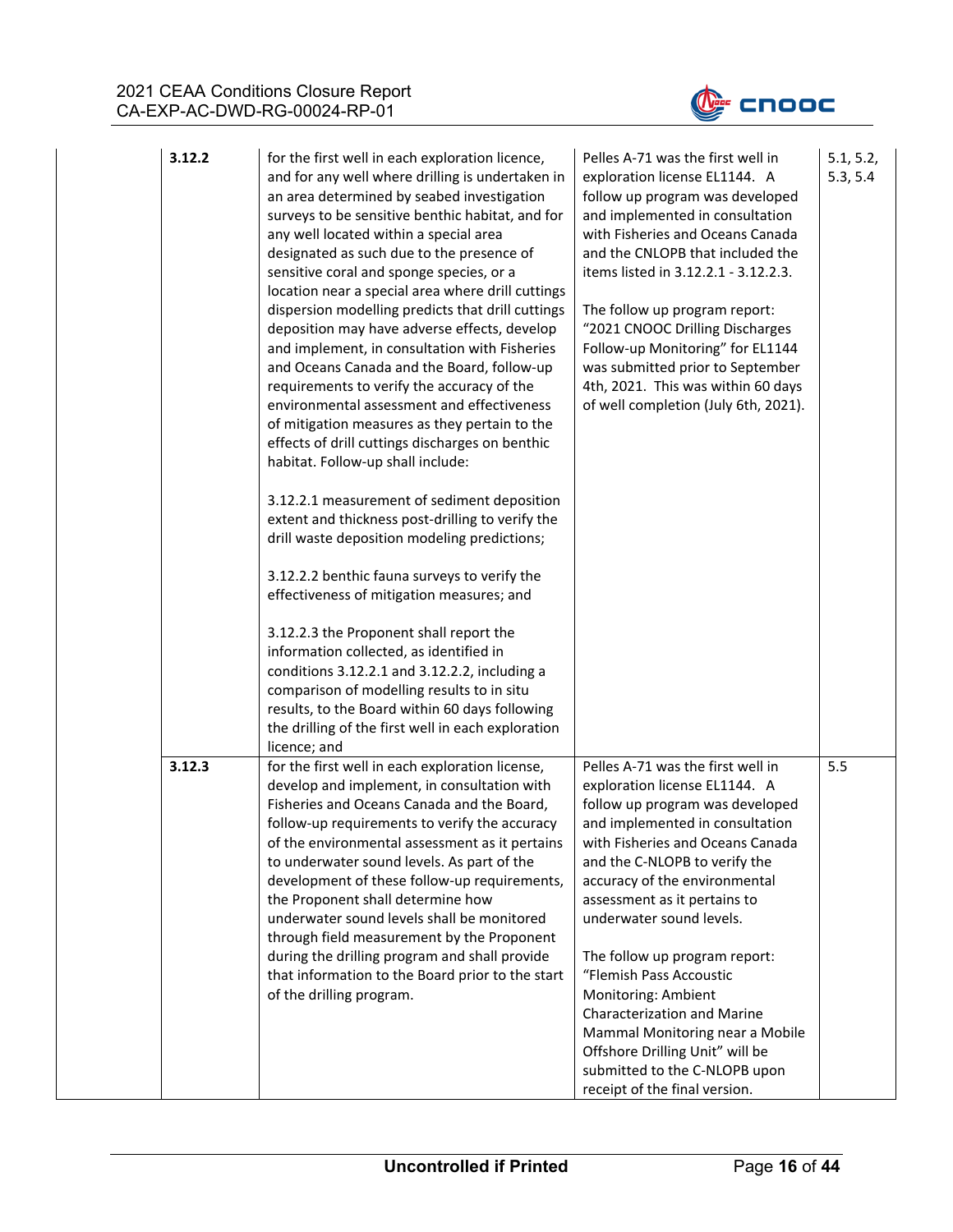

| 3.12.2 | for the first well in each exploration licence,<br>and for any well where drilling is undertaken in<br>an area determined by seabed investigation<br>surveys to be sensitive benthic habitat, and for<br>any well located within a special area<br>designated as such due to the presence of<br>sensitive coral and sponge species, or a<br>location near a special area where drill cuttings<br>dispersion modelling predicts that drill cuttings<br>deposition may have adverse effects, develop<br>and implement, in consultation with Fisheries<br>and Oceans Canada and the Board, follow-up<br>requirements to verify the accuracy of the<br>environmental assessment and effectiveness<br>of mitigation measures as they pertain to the<br>effects of drill cuttings discharges on benthic<br>habitat. Follow-up shall include:<br>3.12.2.1 measurement of sediment deposition<br>extent and thickness post-drilling to verify the<br>drill waste deposition modeling predictions;<br>3.12.2.2 benthic fauna surveys to verify the<br>effectiveness of mitigation measures; and<br>3.12.2.3 the Proponent shall report the<br>information collected, as identified in<br>conditions 3.12.2.1 and 3.12.2.2, including a<br>comparison of modelling results to in situ<br>results, to the Board within 60 days following<br>the drilling of the first well in each exploration<br>licence; and | Pelles A-71 was the first well in<br>exploration license EL1144. A<br>follow up program was developed<br>and implemented in consultation<br>with Fisheries and Oceans Canada<br>and the CNLOPB that included the<br>items listed in 3.12.2.1 - 3.12.2.3.<br>The follow up program report:<br>"2021 CNOOC Drilling Discharges<br>Follow-up Monitoring" for EL1144<br>was submitted prior to September<br>4th, 2021. This was within 60 days<br>of well completion (July 6th, 2021).                                                                                   | 5.1, 5.2,<br>5.3, 5.4 |
|--------|-----------------------------------------------------------------------------------------------------------------------------------------------------------------------------------------------------------------------------------------------------------------------------------------------------------------------------------------------------------------------------------------------------------------------------------------------------------------------------------------------------------------------------------------------------------------------------------------------------------------------------------------------------------------------------------------------------------------------------------------------------------------------------------------------------------------------------------------------------------------------------------------------------------------------------------------------------------------------------------------------------------------------------------------------------------------------------------------------------------------------------------------------------------------------------------------------------------------------------------------------------------------------------------------------------------------------------------------------------------------------------------------------------|----------------------------------------------------------------------------------------------------------------------------------------------------------------------------------------------------------------------------------------------------------------------------------------------------------------------------------------------------------------------------------------------------------------------------------------------------------------------------------------------------------------------------------------------------------------------|-----------------------|
| 3.12.3 | for the first well in each exploration license,<br>develop and implement, in consultation with<br>Fisheries and Oceans Canada and the Board,<br>follow-up requirements to verify the accuracy<br>of the environmental assessment as it pertains<br>to underwater sound levels. As part of the<br>development of these follow-up requirements,<br>the Proponent shall determine how<br>underwater sound levels shall be monitored<br>through field measurement by the Proponent<br>during the drilling program and shall provide<br>that information to the Board prior to the start<br>of the drilling program.                                                                                                                                                                                                                                                                                                                                                                                                                                                                                                                                                                                                                                                                                                                                                                                     | Pelles A-71 was the first well in<br>exploration license EL1144. A<br>follow up program was developed<br>and implemented in consultation<br>with Fisheries and Oceans Canada<br>and the C-NLOPB to verify the<br>accuracy of the environmental<br>assessment as it pertains to<br>underwater sound levels.<br>The follow up program report:<br>"Flemish Pass Accoustic<br>Monitoring: Ambient<br>Characterization and Marine<br>Mammal Monitoring near a Mobile<br>Offshore Drilling Unit" will be<br>submitted to the C-NLOPB upon<br>receipt of the final version. | 5.5                   |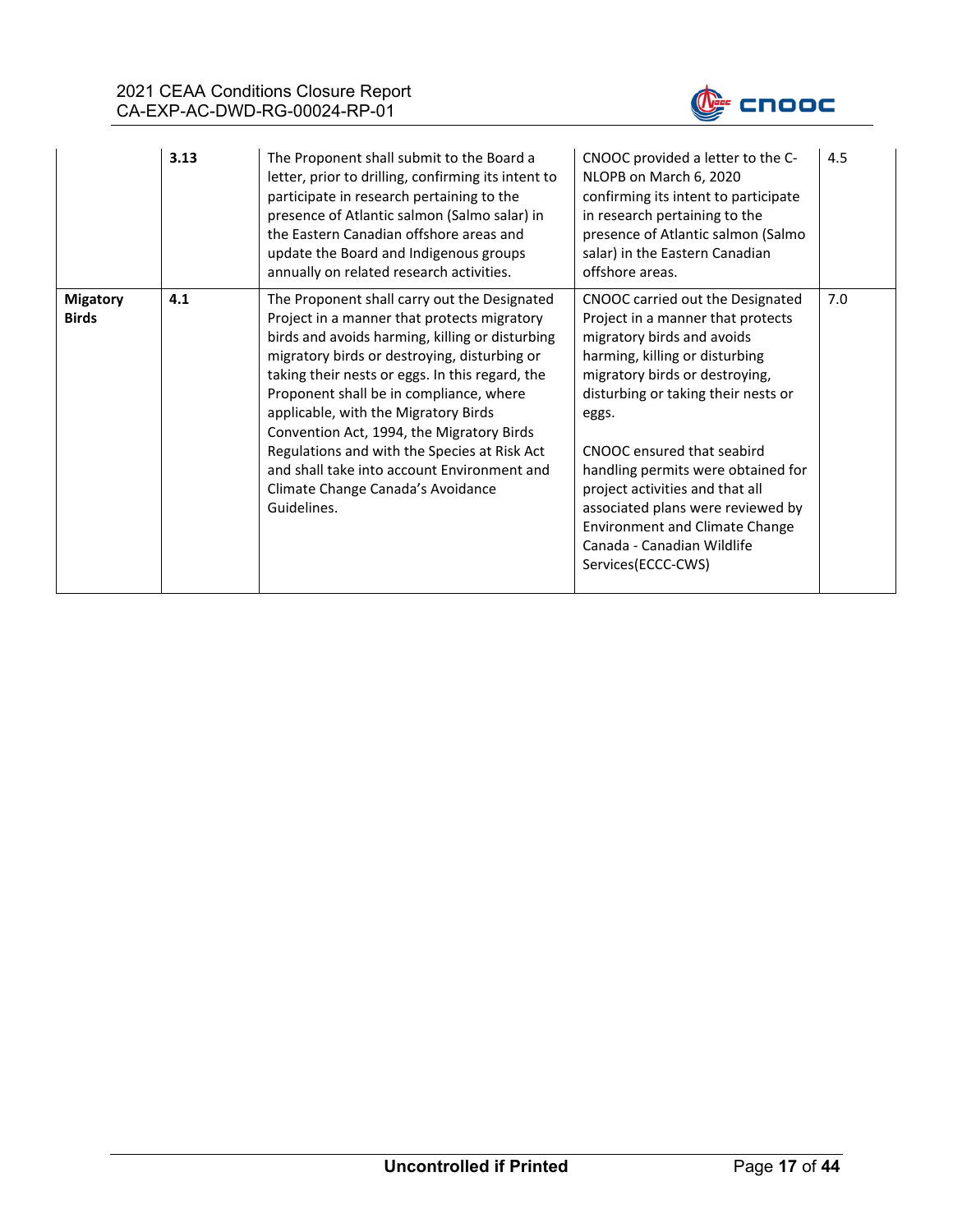

|                                 | 3.13 | The Proponent shall submit to the Board a<br>letter, prior to drilling, confirming its intent to<br>participate in research pertaining to the<br>presence of Atlantic salmon (Salmo salar) in<br>the Eastern Canadian offshore areas and<br>update the Board and Indigenous groups<br>annually on related research activities.                                                                                                                                                                                                       | CNOOC provided a letter to the C-<br>NLOPB on March 6, 2020<br>confirming its intent to participate<br>in research pertaining to the<br>presence of Atlantic salmon (Salmo<br>salar) in the Eastern Canadian<br>offshore areas.                                                                                                                                                                                                                                  | 4.5 |
|---------------------------------|------|--------------------------------------------------------------------------------------------------------------------------------------------------------------------------------------------------------------------------------------------------------------------------------------------------------------------------------------------------------------------------------------------------------------------------------------------------------------------------------------------------------------------------------------|------------------------------------------------------------------------------------------------------------------------------------------------------------------------------------------------------------------------------------------------------------------------------------------------------------------------------------------------------------------------------------------------------------------------------------------------------------------|-----|
| <b>Migatory</b><br><b>Birds</b> | 4.1  | The Proponent shall carry out the Designated<br>Project in a manner that protects migratory<br>birds and avoids harming, killing or disturbing<br>migratory birds or destroying, disturbing or<br>taking their nests or eggs. In this regard, the<br>Proponent shall be in compliance, where<br>applicable, with the Migratory Birds<br>Convention Act, 1994, the Migratory Birds<br>Regulations and with the Species at Risk Act<br>and shall take into account Environment and<br>Climate Change Canada's Avoidance<br>Guidelines. | CNOOC carried out the Designated<br>Project in a manner that protects<br>migratory birds and avoids<br>harming, killing or disturbing<br>migratory birds or destroying,<br>disturbing or taking their nests or<br>eggs.<br>CNOOC ensured that seabird<br>handling permits were obtained for<br>project activities and that all<br>associated plans were reviewed by<br><b>Environment and Climate Change</b><br>Canada - Canadian Wildlife<br>Services(ECCC-CWS) | 7.0 |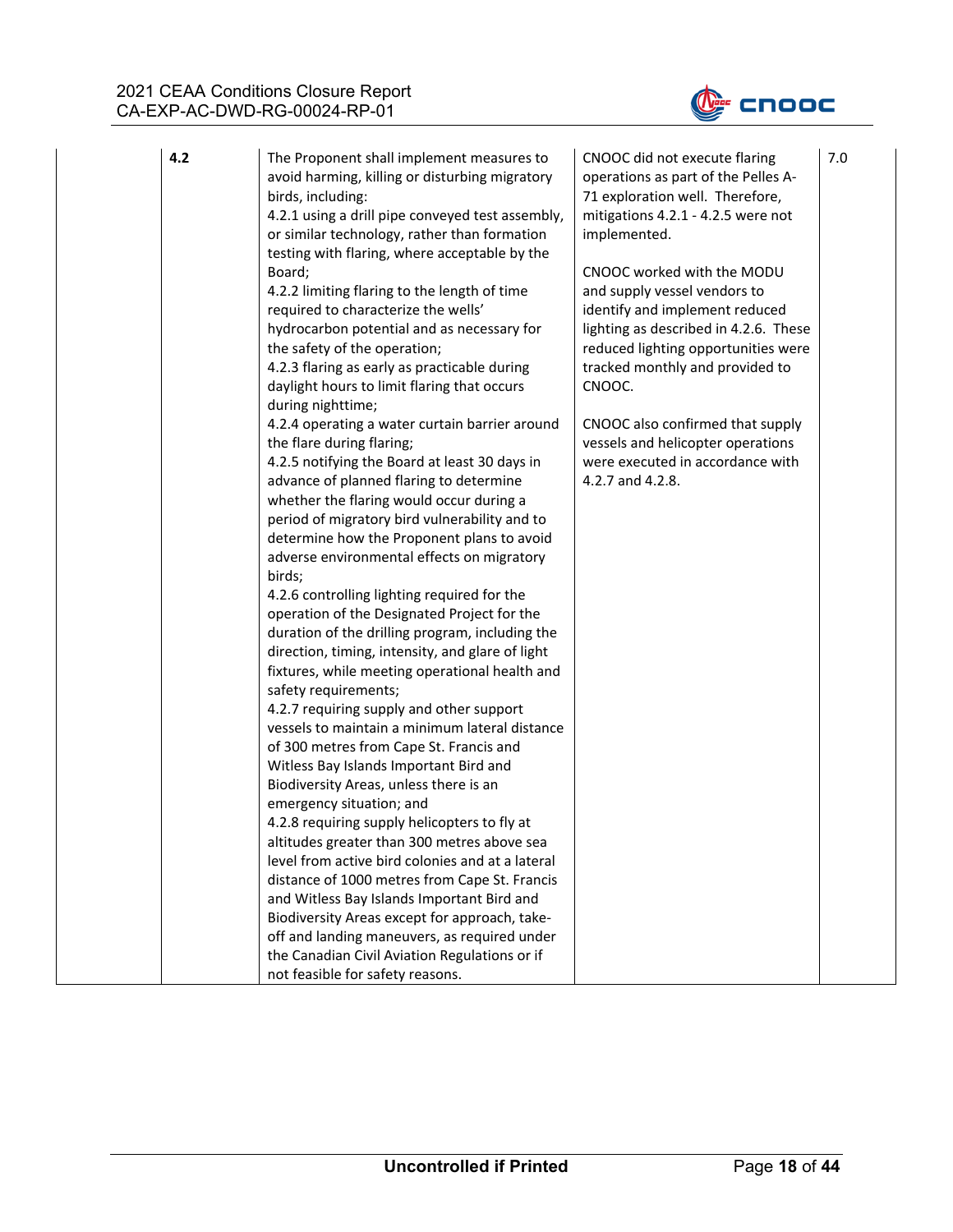

| 4.2 | The Proponent shall implement measures to<br>avoid harming, killing or disturbing migratory<br>birds, including:<br>4.2.1 using a drill pipe conveyed test assembly,<br>or similar technology, rather than formation<br>testing with flaring, where acceptable by the<br>Board;<br>4.2.2 limiting flaring to the length of time<br>required to characterize the wells'<br>hydrocarbon potential and as necessary for<br>the safety of the operation;<br>4.2.3 flaring as early as practicable during<br>daylight hours to limit flaring that occurs<br>during nighttime;<br>4.2.4 operating a water curtain barrier around<br>the flare during flaring;<br>4.2.5 notifying the Board at least 30 days in<br>advance of planned flaring to determine<br>whether the flaring would occur during a<br>period of migratory bird vulnerability and to<br>determine how the Proponent plans to avoid<br>adverse environmental effects on migratory<br>birds;<br>4.2.6 controlling lighting required for the<br>operation of the Designated Project for the<br>duration of the drilling program, including the<br>direction, timing, intensity, and glare of light<br>fixtures, while meeting operational health and<br>safety requirements;<br>4.2.7 requiring supply and other support<br>vessels to maintain a minimum lateral distance<br>of 300 metres from Cape St. Francis and<br>Witless Bay Islands Important Bird and<br>Biodiversity Areas, unless there is an<br>emergency situation; and<br>4.2.8 requiring supply helicopters to fly at<br>altitudes greater than 300 metres above sea<br>level from active bird colonies and at a lateral<br>distance of 1000 metres from Cape St. Francis<br>and Witless Bay Islands Important Bird and<br>Biodiversity Areas except for approach, take-<br>off and landing maneuvers, as required under<br>the Canadian Civil Aviation Regulations or if<br>not feasible for safety reasons. | CNOOC did not execute flaring<br>operations as part of the Pelles A-<br>71 exploration well. Therefore,<br>mitigations 4.2.1 - 4.2.5 were not<br>implemented.<br>CNOOC worked with the MODU<br>and supply vessel vendors to<br>identify and implement reduced<br>lighting as described in 4.2.6. These<br>reduced lighting opportunities were<br>tracked monthly and provided to<br>CNOOC.<br>CNOOC also confirmed that supply<br>vessels and helicopter operations<br>were executed in accordance with<br>4.2.7 and 4.2.8. | 7.0 |
|-----|----------------------------------------------------------------------------------------------------------------------------------------------------------------------------------------------------------------------------------------------------------------------------------------------------------------------------------------------------------------------------------------------------------------------------------------------------------------------------------------------------------------------------------------------------------------------------------------------------------------------------------------------------------------------------------------------------------------------------------------------------------------------------------------------------------------------------------------------------------------------------------------------------------------------------------------------------------------------------------------------------------------------------------------------------------------------------------------------------------------------------------------------------------------------------------------------------------------------------------------------------------------------------------------------------------------------------------------------------------------------------------------------------------------------------------------------------------------------------------------------------------------------------------------------------------------------------------------------------------------------------------------------------------------------------------------------------------------------------------------------------------------------------------------------------------------------------------------------------------------------------------------------------------------------------------------|-----------------------------------------------------------------------------------------------------------------------------------------------------------------------------------------------------------------------------------------------------------------------------------------------------------------------------------------------------------------------------------------------------------------------------------------------------------------------------------------------------------------------------|-----|
|-----|----------------------------------------------------------------------------------------------------------------------------------------------------------------------------------------------------------------------------------------------------------------------------------------------------------------------------------------------------------------------------------------------------------------------------------------------------------------------------------------------------------------------------------------------------------------------------------------------------------------------------------------------------------------------------------------------------------------------------------------------------------------------------------------------------------------------------------------------------------------------------------------------------------------------------------------------------------------------------------------------------------------------------------------------------------------------------------------------------------------------------------------------------------------------------------------------------------------------------------------------------------------------------------------------------------------------------------------------------------------------------------------------------------------------------------------------------------------------------------------------------------------------------------------------------------------------------------------------------------------------------------------------------------------------------------------------------------------------------------------------------------------------------------------------------------------------------------------------------------------------------------------------------------------------------------------|-----------------------------------------------------------------------------------------------------------------------------------------------------------------------------------------------------------------------------------------------------------------------------------------------------------------------------------------------------------------------------------------------------------------------------------------------------------------------------------------------------------------------------|-----|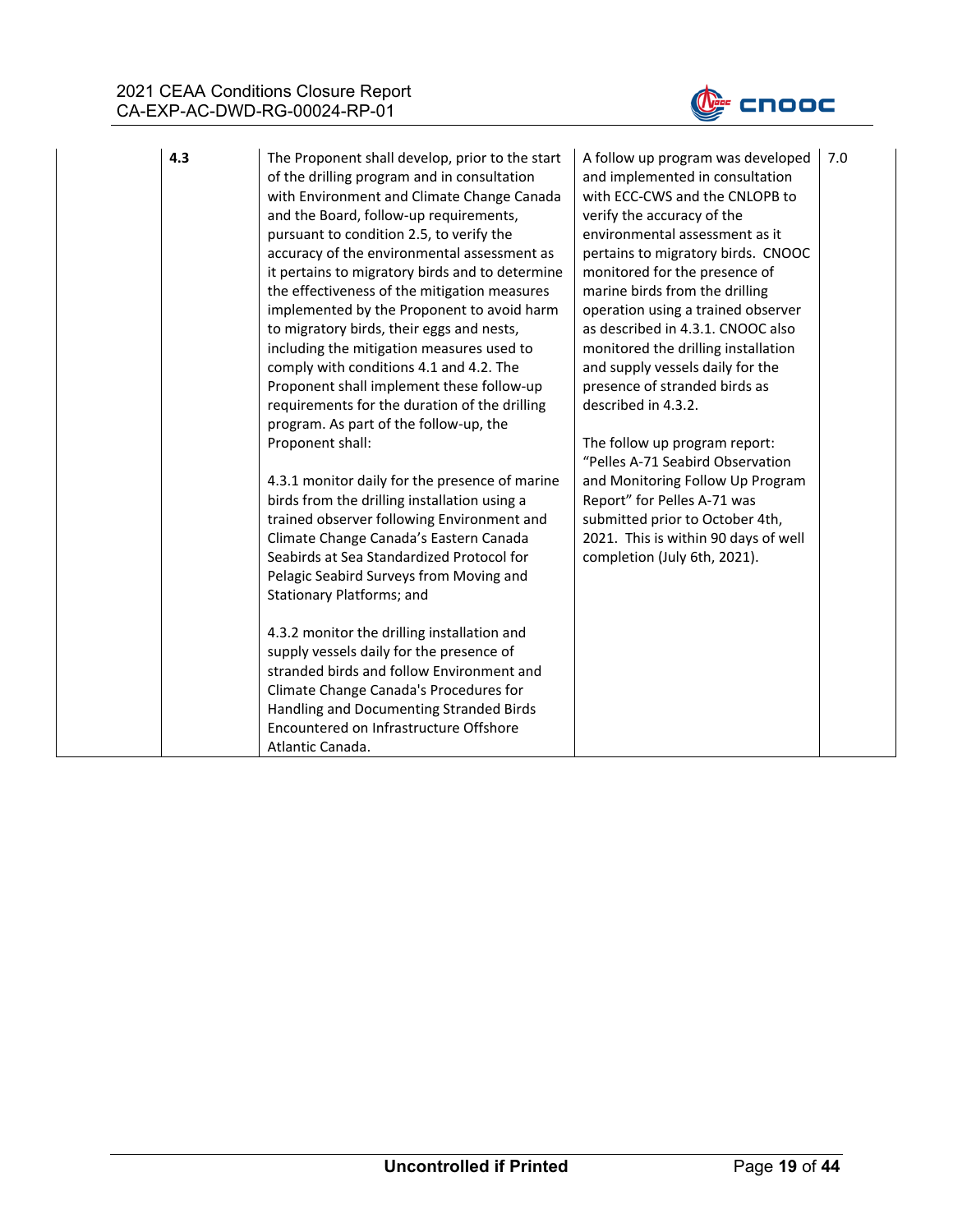

| 4.3 | The Proponent shall develop, prior to the start                                      | A follow up program was developed                              |
|-----|--------------------------------------------------------------------------------------|----------------------------------------------------------------|
|     | of the drilling program and in consultation                                          | and implemented in consultation                                |
|     | with Environment and Climate Change Canada                                           | with ECC-CWS and the CNLOPB to                                 |
|     | and the Board, follow-up requirements,                                               | verify the accuracy of the                                     |
|     | pursuant to condition 2.5, to verify the                                             | environmental assessment as it                                 |
|     | accuracy of the environmental assessment as                                          | pertains to migratory birds. CNOOC                             |
|     | it pertains to migratory birds and to determine                                      | monitored for the presence of                                  |
|     | the effectiveness of the mitigation measures                                         | marine birds from the drilling                                 |
|     | implemented by the Proponent to avoid harm                                           | operation using a trained observer                             |
|     | to migratory birds, their eggs and nests,                                            | as described in 4.3.1. CNOOC also                              |
|     | including the mitigation measures used to                                            | monitored the drilling installation                            |
|     | comply with conditions 4.1 and 4.2. The                                              | and supply vessels daily for the                               |
|     | Proponent shall implement these follow-up                                            | presence of stranded birds as                                  |
|     | requirements for the duration of the drilling                                        | described in 4.3.2.                                            |
|     | program. As part of the follow-up, the                                               |                                                                |
|     | Proponent shall:                                                                     | The follow up program report:                                  |
|     |                                                                                      | "Pelles A-71 Seabird Observation                               |
|     | 4.3.1 monitor daily for the presence of marine                                       | and Monitoring Follow Up Program                               |
|     | birds from the drilling installation using a                                         | Report" for Pelles A-71 was<br>submitted prior to October 4th, |
|     | trained observer following Environment and<br>Climate Change Canada's Eastern Canada | 2021. This is within 90 days of well                           |
|     | Seabirds at Sea Standardized Protocol for                                            | completion (July 6th, 2021).                                   |
|     | Pelagic Seabird Surveys from Moving and                                              |                                                                |
|     | Stationary Platforms; and                                                            |                                                                |
|     |                                                                                      |                                                                |
|     | 4.3.2 monitor the drilling installation and                                          |                                                                |
|     | supply vessels daily for the presence of                                             |                                                                |
|     | stranded birds and follow Environment and                                            |                                                                |
|     | Climate Change Canada's Procedures for                                               |                                                                |
|     | Handling and Documenting Stranded Birds                                              |                                                                |
|     | Encountered on Infrastructure Offshore                                               |                                                                |
|     | Atlantic Canada.                                                                     |                                                                |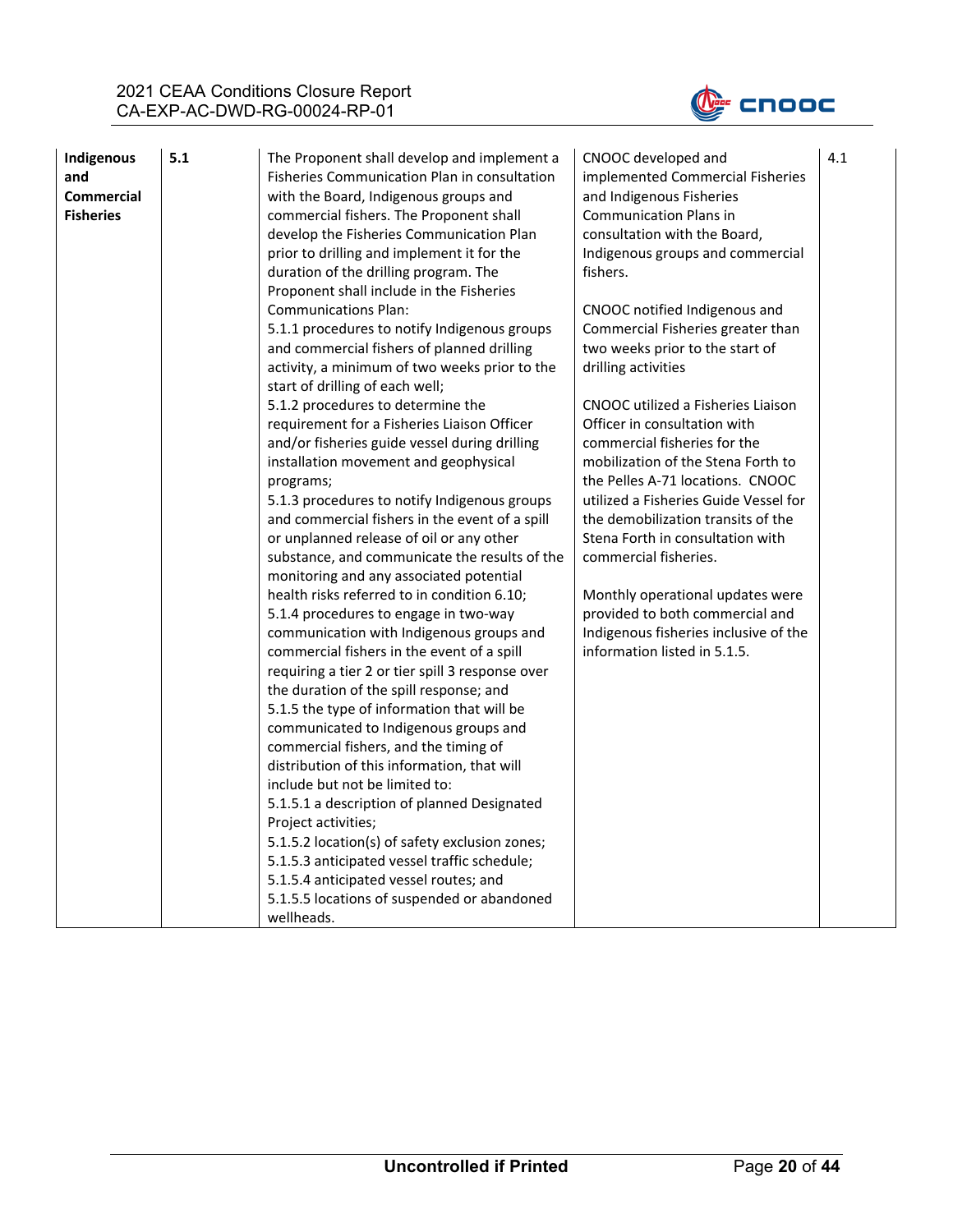

| Indigenous        | 5.1 | The Proponent shall develop and implement a      | CNOOC developed and                   | 4.1 |
|-------------------|-----|--------------------------------------------------|---------------------------------------|-----|
| and               |     | Fisheries Communication Plan in consultation     | implemented Commercial Fisheries      |     |
| <b>Commercial</b> |     | with the Board, Indigenous groups and            | and Indigenous Fisheries              |     |
| <b>Fisheries</b>  |     | commercial fishers. The Proponent shall          | <b>Communication Plans in</b>         |     |
|                   |     | develop the Fisheries Communication Plan         | consultation with the Board,          |     |
|                   |     | prior to drilling and implement it for the       | Indigenous groups and commercial      |     |
|                   |     | duration of the drilling program. The            | fishers.                              |     |
|                   |     | Proponent shall include in the Fisheries         |                                       |     |
|                   |     | <b>Communications Plan:</b>                      | CNOOC notified Indigenous and         |     |
|                   |     | 5.1.1 procedures to notify Indigenous groups     | Commercial Fisheries greater than     |     |
|                   |     | and commercial fishers of planned drilling       | two weeks prior to the start of       |     |
|                   |     | activity, a minimum of two weeks prior to the    | drilling activities                   |     |
|                   |     | start of drilling of each well;                  |                                       |     |
|                   |     | 5.1.2 procedures to determine the                | CNOOC utilized a Fisheries Liaison    |     |
|                   |     | requirement for a Fisheries Liaison Officer      | Officer in consultation with          |     |
|                   |     | and/or fisheries guide vessel during drilling    | commercial fisheries for the          |     |
|                   |     | installation movement and geophysical            | mobilization of the Stena Forth to    |     |
|                   |     | programs;                                        | the Pelles A-71 locations. CNOOC      |     |
|                   |     | 5.1.3 procedures to notify Indigenous groups     | utilized a Fisheries Guide Vessel for |     |
|                   |     | and commercial fishers in the event of a spill   | the demobilization transits of the    |     |
|                   |     | or unplanned release of oil or any other         | Stena Forth in consultation with      |     |
|                   |     | substance, and communicate the results of the    | commercial fisheries.                 |     |
|                   |     | monitoring and any associated potential          |                                       |     |
|                   |     | health risks referred to in condition 6.10;      | Monthly operational updates were      |     |
|                   |     | 5.1.4 procedures to engage in two-way            | provided to both commercial and       |     |
|                   |     | communication with Indigenous groups and         | Indigenous fisheries inclusive of the |     |
|                   |     | commercial fishers in the event of a spill       | information listed in 5.1.5.          |     |
|                   |     | requiring a tier 2 or tier spill 3 response over |                                       |     |
|                   |     | the duration of the spill response; and          |                                       |     |
|                   |     | 5.1.5 the type of information that will be       |                                       |     |
|                   |     | communicated to Indigenous groups and            |                                       |     |
|                   |     | commercial fishers, and the timing of            |                                       |     |
|                   |     | distribution of this information, that will      |                                       |     |
|                   |     | include but not be limited to:                   |                                       |     |
|                   |     |                                                  |                                       |     |
|                   |     | 5.1.5.1 a description of planned Designated      |                                       |     |
|                   |     | Project activities;                              |                                       |     |
|                   |     | 5.1.5.2 location(s) of safety exclusion zones;   |                                       |     |
|                   |     | 5.1.5.3 anticipated vessel traffic schedule;     |                                       |     |
|                   |     | 5.1.5.4 anticipated vessel routes; and           |                                       |     |
|                   |     | 5.1.5.5 locations of suspended or abandoned      |                                       |     |
|                   |     | wellheads.                                       |                                       |     |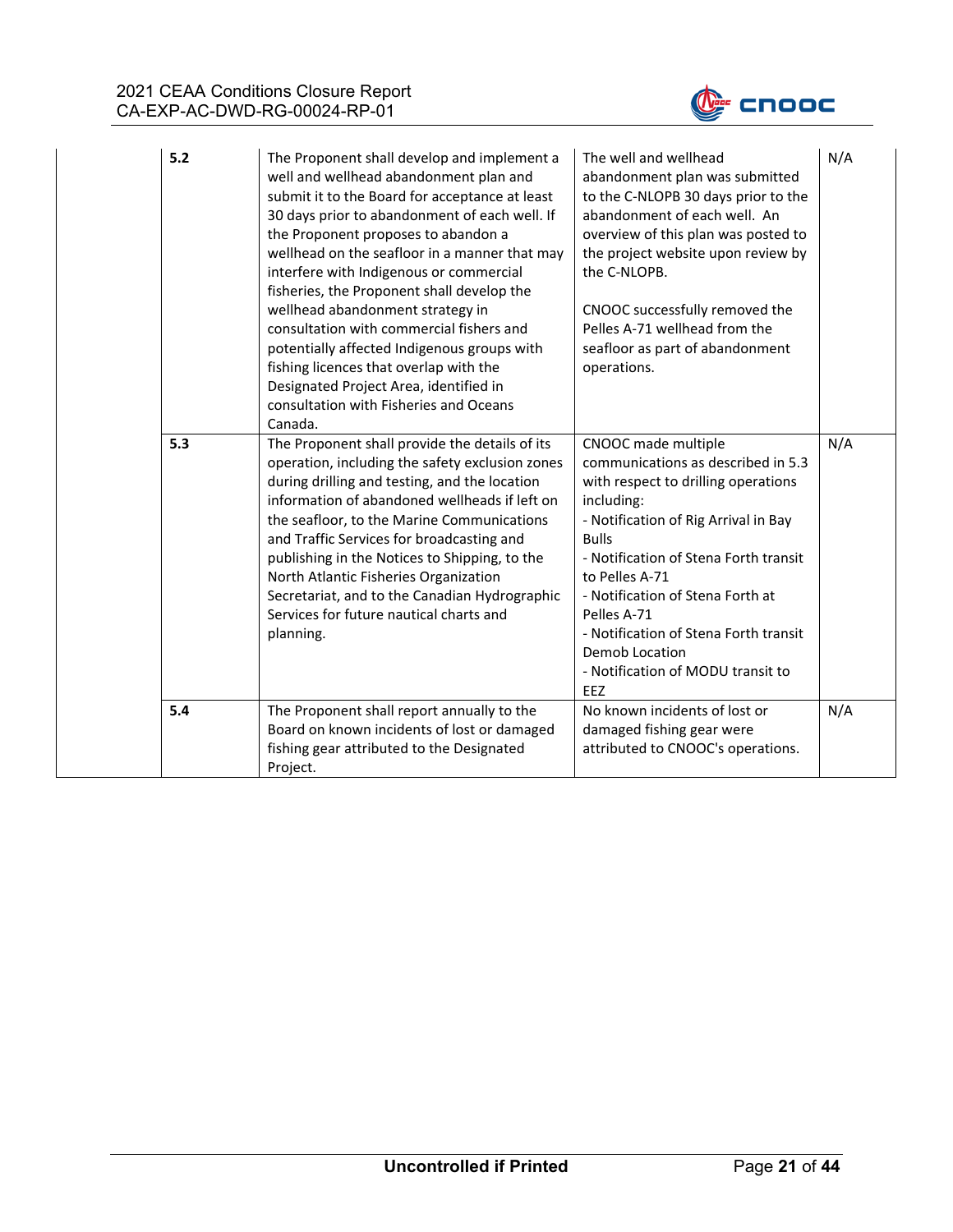

| 5.2 | The Proponent shall develop and implement a<br>well and wellhead abandonment plan and<br>submit it to the Board for acceptance at least<br>30 days prior to abandonment of each well. If<br>the Proponent proposes to abandon a<br>wellhead on the seafloor in a manner that may<br>interfere with Indigenous or commercial<br>fisheries, the Proponent shall develop the<br>wellhead abandonment strategy in<br>consultation with commercial fishers and<br>potentially affected Indigenous groups with<br>fishing licences that overlap with the<br>Designated Project Area, identified in<br>consultation with Fisheries and Oceans<br>Canada. | The well and wellhead<br>abandonment plan was submitted<br>to the C-NLOPB 30 days prior to the<br>abandonment of each well. An<br>overview of this plan was posted to<br>the project website upon review by<br>the C-NLOPB.<br>CNOOC successfully removed the<br>Pelles A-71 wellhead from the<br>seafloor as part of abandonment<br>operations.                                                   | N/A |
|-----|---------------------------------------------------------------------------------------------------------------------------------------------------------------------------------------------------------------------------------------------------------------------------------------------------------------------------------------------------------------------------------------------------------------------------------------------------------------------------------------------------------------------------------------------------------------------------------------------------------------------------------------------------|----------------------------------------------------------------------------------------------------------------------------------------------------------------------------------------------------------------------------------------------------------------------------------------------------------------------------------------------------------------------------------------------------|-----|
| 5.3 | The Proponent shall provide the details of its<br>operation, including the safety exclusion zones<br>during drilling and testing, and the location<br>information of abandoned wellheads if left on<br>the seafloor, to the Marine Communications<br>and Traffic Services for broadcasting and<br>publishing in the Notices to Shipping, to the<br>North Atlantic Fisheries Organization<br>Secretariat, and to the Canadian Hydrographic<br>Services for future nautical charts and<br>planning.                                                                                                                                                 | CNOOC made multiple<br>communications as described in 5.3<br>with respect to drilling operations<br>including:<br>- Notification of Rig Arrival in Bay<br><b>Bulls</b><br>- Notification of Stena Forth transit<br>to Pelles A-71<br>- Notification of Stena Forth at<br>Pelles A-71<br>- Notification of Stena Forth transit<br>Demob Location<br>- Notification of MODU transit to<br><b>EEZ</b> | N/A |
| 5.4 | The Proponent shall report annually to the<br>Board on known incidents of lost or damaged<br>fishing gear attributed to the Designated<br>Project.                                                                                                                                                                                                                                                                                                                                                                                                                                                                                                | No known incidents of lost or<br>damaged fishing gear were<br>attributed to CNOOC's operations.                                                                                                                                                                                                                                                                                                    | N/A |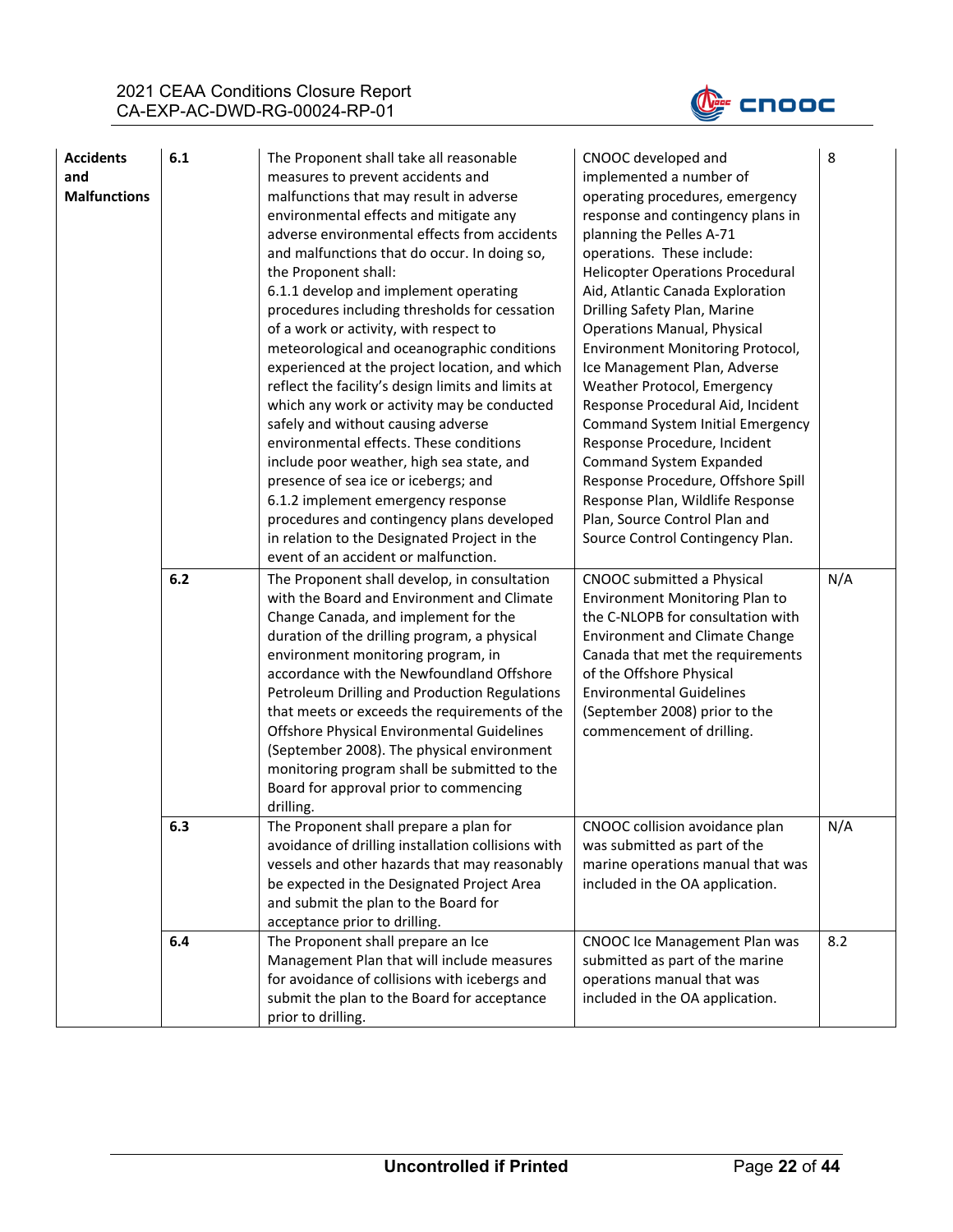

| <b>Accidents</b><br>and<br><b>Malfunctions</b> | 6.1<br>6.2 | The Proponent shall take all reasonable<br>measures to prevent accidents and<br>malfunctions that may result in adverse<br>environmental effects and mitigate any<br>adverse environmental effects from accidents<br>and malfunctions that do occur. In doing so,<br>the Proponent shall:<br>6.1.1 develop and implement operating<br>procedures including thresholds for cessation<br>of a work or activity, with respect to<br>meteorological and oceanographic conditions<br>experienced at the project location, and which<br>reflect the facility's design limits and limits at<br>which any work or activity may be conducted<br>safely and without causing adverse<br>environmental effects. These conditions<br>include poor weather, high sea state, and<br>presence of sea ice or icebergs; and<br>6.1.2 implement emergency response<br>procedures and contingency plans developed<br>in relation to the Designated Project in the<br>event of an accident or malfunction.<br>The Proponent shall develop, in consultation<br>with the Board and Environment and Climate<br>Change Canada, and implement for the<br>duration of the drilling program, a physical<br>environment monitoring program, in<br>accordance with the Newfoundland Offshore<br>Petroleum Drilling and Production Regulations<br>that meets or exceeds the requirements of the<br>Offshore Physical Environmental Guidelines<br>(September 2008). The physical environment<br>monitoring program shall be submitted to the | CNOOC developed and<br>implemented a number of<br>operating procedures, emergency<br>response and contingency plans in<br>planning the Pelles A-71<br>operations. These include:<br><b>Helicopter Operations Procedural</b><br>Aid, Atlantic Canada Exploration<br>Drilling Safety Plan, Marine<br><b>Operations Manual, Physical</b><br>Environment Monitoring Protocol,<br>Ice Management Plan, Adverse<br>Weather Protocol, Emergency<br>Response Procedural Aid, Incident<br><b>Command System Initial Emergency</b><br>Response Procedure, Incident<br><b>Command System Expanded</b><br>Response Procedure, Offshore Spill<br>Response Plan, Wildlife Response<br>Plan, Source Control Plan and<br>Source Control Contingency Plan.<br>CNOOC submitted a Physical<br>Environment Monitoring Plan to<br>the C-NLOPB for consultation with<br><b>Environment and Climate Change</b><br>Canada that met the requirements<br>of the Offshore Physical<br><b>Environmental Guidelines</b><br>(September 2008) prior to the<br>commencement of drilling. | 8<br>N/A |
|------------------------------------------------|------------|--------------------------------------------------------------------------------------------------------------------------------------------------------------------------------------------------------------------------------------------------------------------------------------------------------------------------------------------------------------------------------------------------------------------------------------------------------------------------------------------------------------------------------------------------------------------------------------------------------------------------------------------------------------------------------------------------------------------------------------------------------------------------------------------------------------------------------------------------------------------------------------------------------------------------------------------------------------------------------------------------------------------------------------------------------------------------------------------------------------------------------------------------------------------------------------------------------------------------------------------------------------------------------------------------------------------------------------------------------------------------------------------------------------------------------------------------------------------------------------------------------------|----------------------------------------------------------------------------------------------------------------------------------------------------------------------------------------------------------------------------------------------------------------------------------------------------------------------------------------------------------------------------------------------------------------------------------------------------------------------------------------------------------------------------------------------------------------------------------------------------------------------------------------------------------------------------------------------------------------------------------------------------------------------------------------------------------------------------------------------------------------------------------------------------------------------------------------------------------------------------------------------------------------------------------------------------------|----------|
|                                                |            | Board for approval prior to commencing<br>drilling.                                                                                                                                                                                                                                                                                                                                                                                                                                                                                                                                                                                                                                                                                                                                                                                                                                                                                                                                                                                                                                                                                                                                                                                                                                                                                                                                                                                                                                                          |                                                                                                                                                                                                                                                                                                                                                                                                                                                                                                                                                                                                                                                                                                                                                                                                                                                                                                                                                                                                                                                          |          |
|                                                | 6.3        | The Proponent shall prepare a plan for<br>avoidance of drilling installation collisions with<br>vessels and other hazards that may reasonably<br>be expected in the Designated Project Area<br>and submit the plan to the Board for<br>acceptance prior to drilling.                                                                                                                                                                                                                                                                                                                                                                                                                                                                                                                                                                                                                                                                                                                                                                                                                                                                                                                                                                                                                                                                                                                                                                                                                                         | CNOOC collision avoidance plan<br>was submitted as part of the<br>marine operations manual that was<br>included in the OA application.                                                                                                                                                                                                                                                                                                                                                                                                                                                                                                                                                                                                                                                                                                                                                                                                                                                                                                                   | N/A      |
|                                                | 6.4        | The Proponent shall prepare an Ice<br>Management Plan that will include measures<br>for avoidance of collisions with icebergs and<br>submit the plan to the Board for acceptance<br>prior to drilling.                                                                                                                                                                                                                                                                                                                                                                                                                                                                                                                                                                                                                                                                                                                                                                                                                                                                                                                                                                                                                                                                                                                                                                                                                                                                                                       | CNOOC Ice Management Plan was<br>submitted as part of the marine<br>operations manual that was<br>included in the OA application.                                                                                                                                                                                                                                                                                                                                                                                                                                                                                                                                                                                                                                                                                                                                                                                                                                                                                                                        | 8.2      |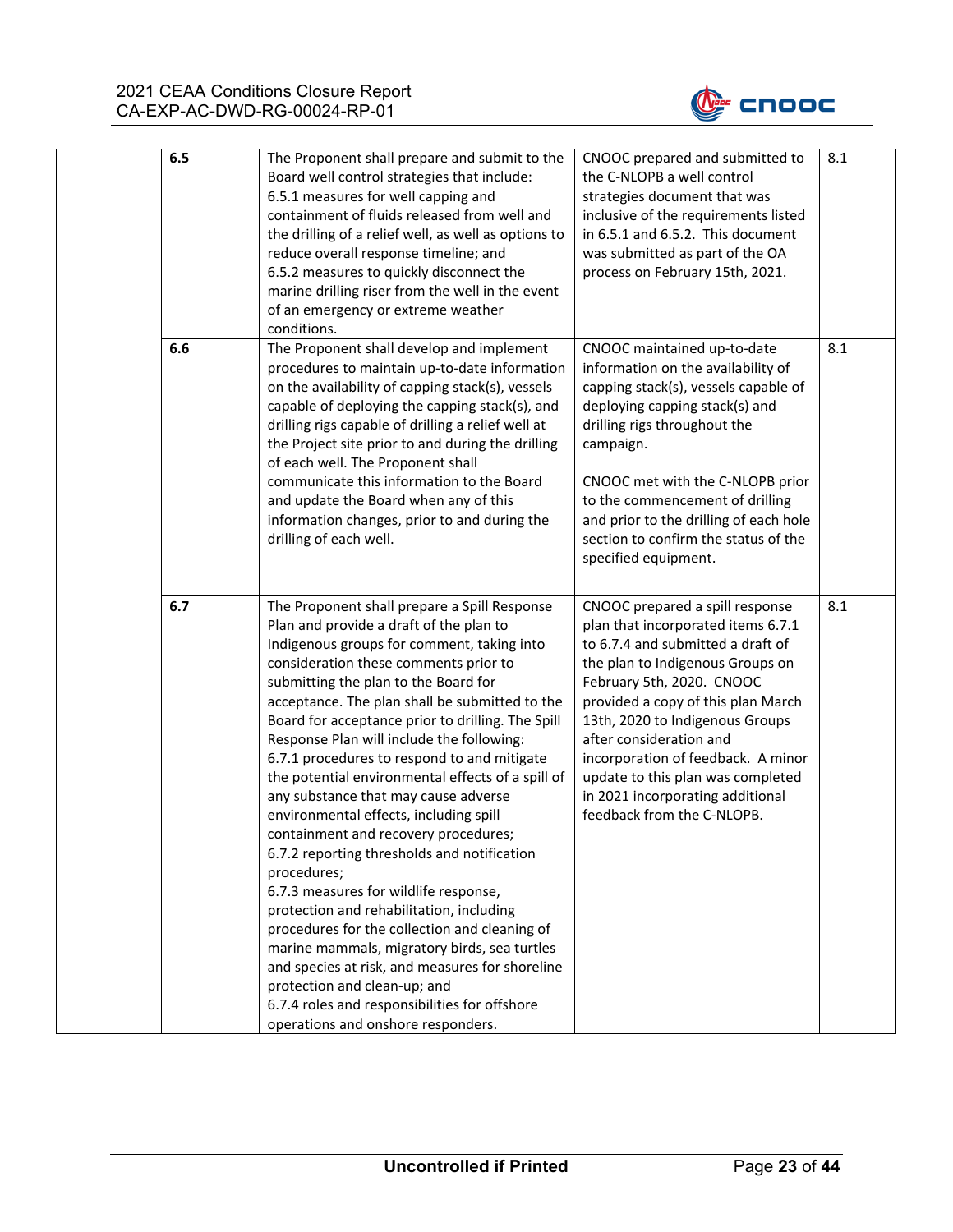

| 6.5 | The Proponent shall prepare and submit to the<br>Board well control strategies that include:<br>6.5.1 measures for well capping and<br>containment of fluids released from well and<br>the drilling of a relief well, as well as options to<br>reduce overall response timeline; and<br>6.5.2 measures to quickly disconnect the<br>marine drilling riser from the well in the event<br>of an emergency or extreme weather<br>conditions.                                                                                                                                                                                                                                                                                                                                                                                                                                                                                                                                                                                              | CNOOC prepared and submitted to<br>the C-NLOPB a well control<br>strategies document that was<br>inclusive of the requirements listed<br>in 6.5.1 and 6.5.2. This document<br>was submitted as part of the OA<br>process on February 15th, 2021.                                                                                                                                                                             | 8.1 |
|-----|----------------------------------------------------------------------------------------------------------------------------------------------------------------------------------------------------------------------------------------------------------------------------------------------------------------------------------------------------------------------------------------------------------------------------------------------------------------------------------------------------------------------------------------------------------------------------------------------------------------------------------------------------------------------------------------------------------------------------------------------------------------------------------------------------------------------------------------------------------------------------------------------------------------------------------------------------------------------------------------------------------------------------------------|------------------------------------------------------------------------------------------------------------------------------------------------------------------------------------------------------------------------------------------------------------------------------------------------------------------------------------------------------------------------------------------------------------------------------|-----|
| 6.6 | The Proponent shall develop and implement<br>procedures to maintain up-to-date information<br>on the availability of capping stack(s), vessels<br>capable of deploying the capping stack(s), and<br>drilling rigs capable of drilling a relief well at<br>the Project site prior to and during the drilling<br>of each well. The Proponent shall<br>communicate this information to the Board<br>and update the Board when any of this<br>information changes, prior to and during the<br>drilling of each well.                                                                                                                                                                                                                                                                                                                                                                                                                                                                                                                       | CNOOC maintained up-to-date<br>information on the availability of<br>capping stack(s), vessels capable of<br>deploying capping stack(s) and<br>drilling rigs throughout the<br>campaign.<br>CNOOC met with the C-NLOPB prior<br>to the commencement of drilling<br>and prior to the drilling of each hole<br>section to confirm the status of the<br>specified equipment.                                                    | 8.1 |
| 6.7 | The Proponent shall prepare a Spill Response<br>Plan and provide a draft of the plan to<br>Indigenous groups for comment, taking into<br>consideration these comments prior to<br>submitting the plan to the Board for<br>acceptance. The plan shall be submitted to the<br>Board for acceptance prior to drilling. The Spill<br>Response Plan will include the following:<br>6.7.1 procedures to respond to and mitigate<br>the potential environmental effects of a spill of<br>any substance that may cause adverse<br>environmental effects, including spill<br>containment and recovery procedures;<br>6.7.2 reporting thresholds and notification<br>procedures;<br>6.7.3 measures for wildlife response,<br>protection and rehabilitation, including<br>procedures for the collection and cleaning of<br>marine mammals, migratory birds, sea turtles<br>and species at risk, and measures for shoreline<br>protection and clean-up; and<br>6.7.4 roles and responsibilities for offshore<br>operations and onshore responders. | CNOOC prepared a spill response<br>plan that incorporated items 6.7.1<br>to 6.7.4 and submitted a draft of<br>the plan to Indigenous Groups on<br>February 5th, 2020. CNOOC<br>provided a copy of this plan March<br>13th, 2020 to Indigenous Groups<br>after consideration and<br>incorporation of feedback. A minor<br>update to this plan was completed<br>in 2021 incorporating additional<br>feedback from the C-NLOPB. | 8.1 |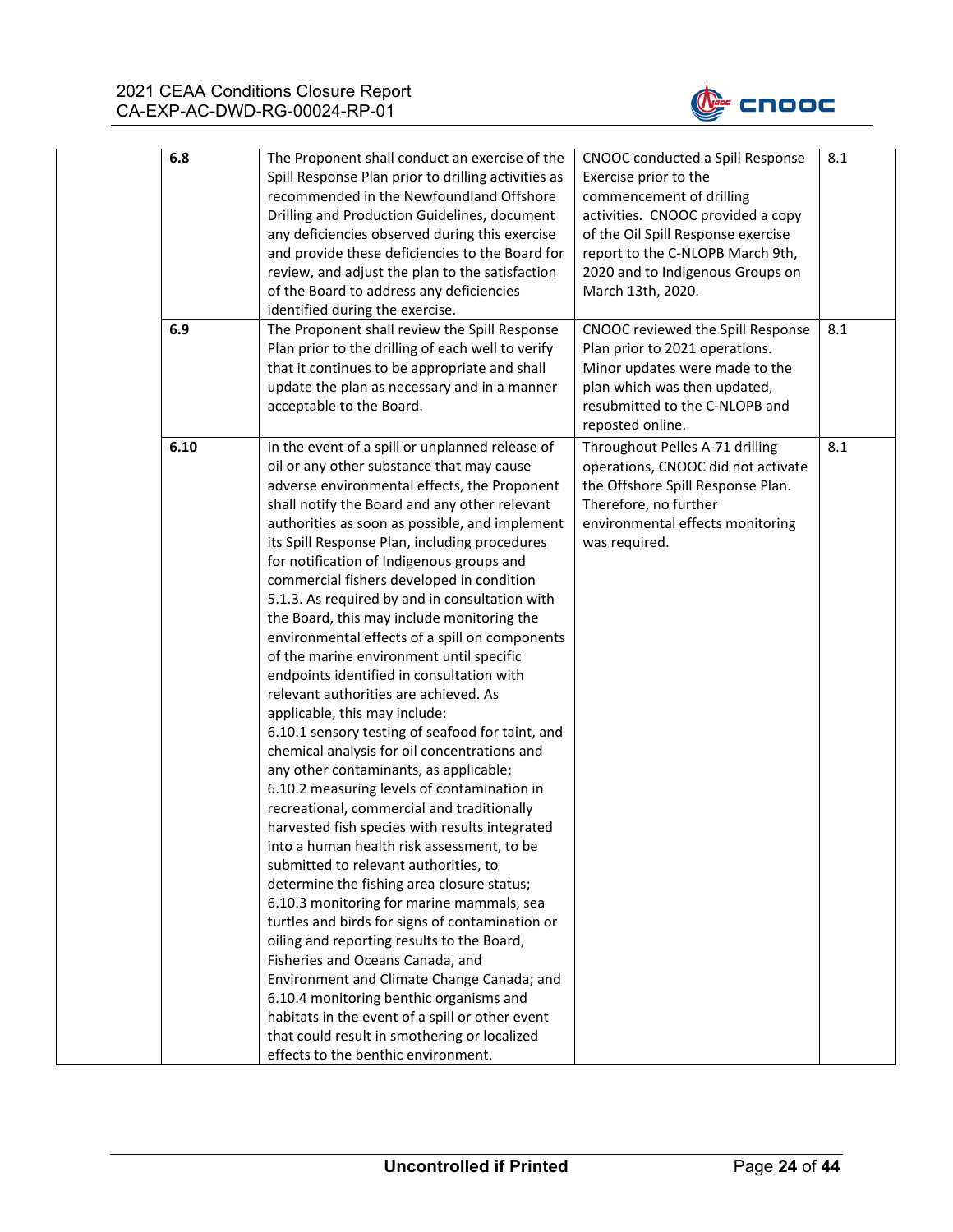

| 6.8  | The Proponent shall conduct an exercise of the<br>Spill Response Plan prior to drilling activities as<br>recommended in the Newfoundland Offshore<br>Drilling and Production Guidelines, document<br>any deficiencies observed during this exercise<br>and provide these deficiencies to the Board for<br>review, and adjust the plan to the satisfaction<br>of the Board to address any deficiencies<br>identified during the exercise.                                                                                                                                                                                                                                                                                                                                                                                                                                                                                                                                                                                                                                                                                                                                                                                                                                                                                                                                                                                                                                                                                                                               | CNOOC conducted a Spill Response<br>Exercise prior to the<br>commencement of drilling<br>activities. CNOOC provided a copy<br>of the Oil Spill Response exercise<br>report to the C-NLOPB March 9th,<br>2020 and to Indigenous Groups on<br>March 13th, 2020. | 8.1 |
|------|------------------------------------------------------------------------------------------------------------------------------------------------------------------------------------------------------------------------------------------------------------------------------------------------------------------------------------------------------------------------------------------------------------------------------------------------------------------------------------------------------------------------------------------------------------------------------------------------------------------------------------------------------------------------------------------------------------------------------------------------------------------------------------------------------------------------------------------------------------------------------------------------------------------------------------------------------------------------------------------------------------------------------------------------------------------------------------------------------------------------------------------------------------------------------------------------------------------------------------------------------------------------------------------------------------------------------------------------------------------------------------------------------------------------------------------------------------------------------------------------------------------------------------------------------------------------|---------------------------------------------------------------------------------------------------------------------------------------------------------------------------------------------------------------------------------------------------------------|-----|
| 6.9  | The Proponent shall review the Spill Response<br>Plan prior to the drilling of each well to verify<br>that it continues to be appropriate and shall<br>update the plan as necessary and in a manner<br>acceptable to the Board.                                                                                                                                                                                                                                                                                                                                                                                                                                                                                                                                                                                                                                                                                                                                                                                                                                                                                                                                                                                                                                                                                                                                                                                                                                                                                                                                        | CNOOC reviewed the Spill Response<br>Plan prior to 2021 operations.<br>Minor updates were made to the<br>plan which was then updated,<br>resubmitted to the C-NLOPB and<br>reposted online.                                                                   | 8.1 |
| 6.10 | In the event of a spill or unplanned release of<br>oil or any other substance that may cause<br>adverse environmental effects, the Proponent<br>shall notify the Board and any other relevant<br>authorities as soon as possible, and implement<br>its Spill Response Plan, including procedures<br>for notification of Indigenous groups and<br>commercial fishers developed in condition<br>5.1.3. As required by and in consultation with<br>the Board, this may include monitoring the<br>environmental effects of a spill on components<br>of the marine environment until specific<br>endpoints identified in consultation with<br>relevant authorities are achieved. As<br>applicable, this may include:<br>6.10.1 sensory testing of seafood for taint, and<br>chemical analysis for oil concentrations and<br>any other contaminants, as applicable;<br>6.10.2 measuring levels of contamination in<br>recreational, commercial and traditionally<br>harvested fish species with results integrated<br>into a human health risk assessment, to be<br>submitted to relevant authorities, to<br>determine the fishing area closure status;<br>6.10.3 monitoring for marine mammals, sea<br>turtles and birds for signs of contamination or<br>oiling and reporting results to the Board,<br>Fisheries and Oceans Canada, and<br>Environment and Climate Change Canada; and<br>6.10.4 monitoring benthic organisms and<br>habitats in the event of a spill or other event<br>that could result in smothering or localized<br>effects to the benthic environment. | Throughout Pelles A-71 drilling<br>operations, CNOOC did not activate<br>the Offshore Spill Response Plan.<br>Therefore, no further<br>environmental effects monitoring<br>was required.                                                                      | 8.1 |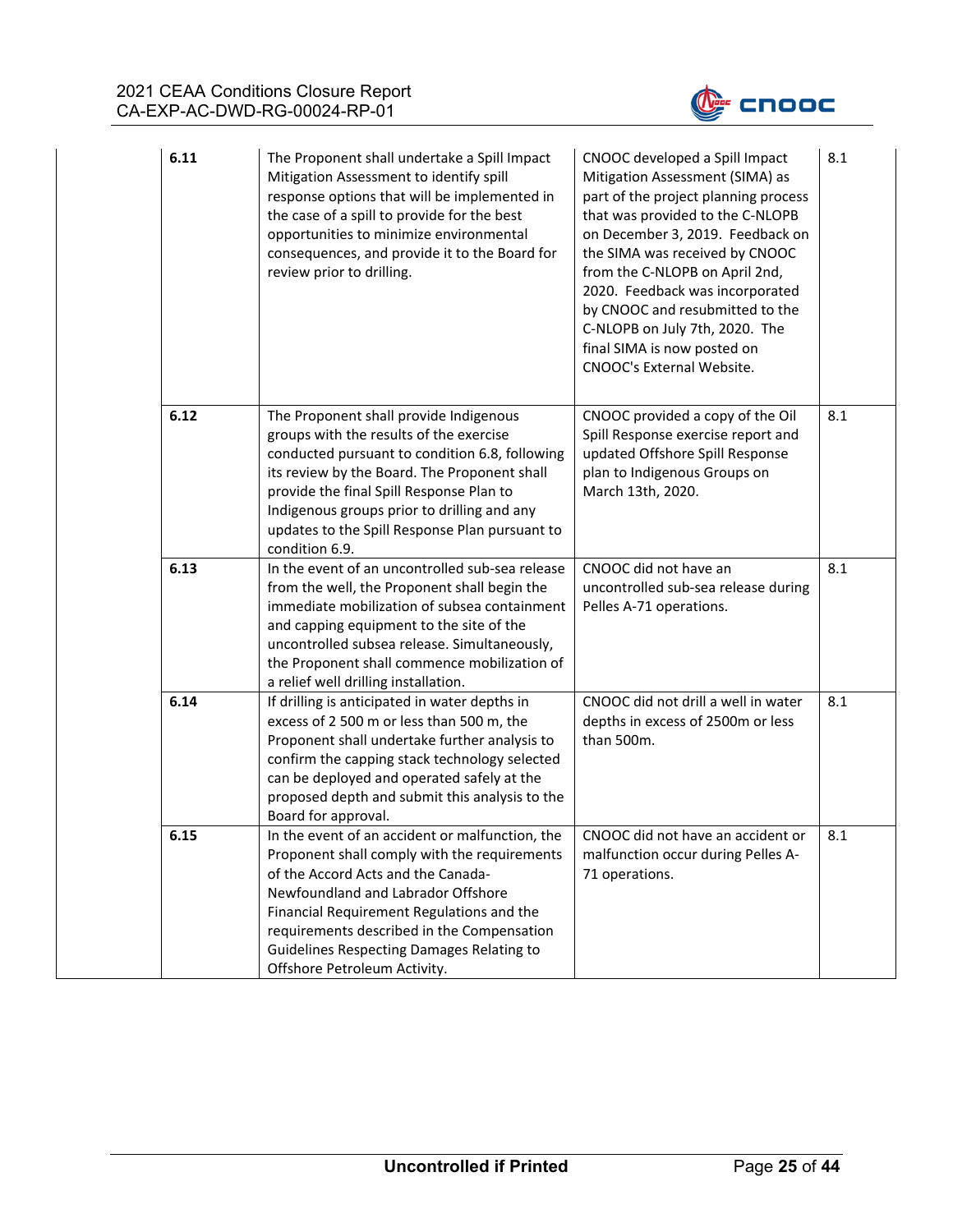

| 6.11 | The Proponent shall undertake a Spill Impact<br>Mitigation Assessment to identify spill<br>response options that will be implemented in<br>the case of a spill to provide for the best<br>opportunities to minimize environmental<br>consequences, and provide it to the Board for<br>review prior to drilling.                                            | CNOOC developed a Spill Impact<br>Mitigation Assessment (SIMA) as<br>part of the project planning process<br>that was provided to the C-NLOPB<br>on December 3, 2019. Feedback on<br>the SIMA was received by CNOOC<br>from the C-NLOPB on April 2nd,<br>2020. Feedback was incorporated<br>by CNOOC and resubmitted to the<br>C-NLOPB on July 7th, 2020. The<br>final SIMA is now posted on<br>CNOOC's External Website. | 8.1 |
|------|------------------------------------------------------------------------------------------------------------------------------------------------------------------------------------------------------------------------------------------------------------------------------------------------------------------------------------------------------------|---------------------------------------------------------------------------------------------------------------------------------------------------------------------------------------------------------------------------------------------------------------------------------------------------------------------------------------------------------------------------------------------------------------------------|-----|
| 6.12 | The Proponent shall provide Indigenous<br>groups with the results of the exercise<br>conducted pursuant to condition 6.8, following<br>its review by the Board. The Proponent shall<br>provide the final Spill Response Plan to<br>Indigenous groups prior to drilling and any<br>updates to the Spill Response Plan pursuant to<br>condition 6.9.         | CNOOC provided a copy of the Oil<br>Spill Response exercise report and<br>updated Offshore Spill Response<br>plan to Indigenous Groups on<br>March 13th, 2020.                                                                                                                                                                                                                                                            | 8.1 |
| 6.13 | In the event of an uncontrolled sub-sea release<br>from the well, the Proponent shall begin the<br>immediate mobilization of subsea containment<br>and capping equipment to the site of the<br>uncontrolled subsea release. Simultaneously,<br>the Proponent shall commence mobilization of<br>a relief well drilling installation.                        | CNOOC did not have an<br>uncontrolled sub-sea release during<br>Pelles A-71 operations.                                                                                                                                                                                                                                                                                                                                   | 8.1 |
| 6.14 | If drilling is anticipated in water depths in<br>excess of 2 500 m or less than 500 m, the<br>Proponent shall undertake further analysis to<br>confirm the capping stack technology selected<br>can be deployed and operated safely at the<br>proposed depth and submit this analysis to the<br>Board for approval.                                        | CNOOC did not drill a well in water<br>depths in excess of 2500m or less<br>than 500m.                                                                                                                                                                                                                                                                                                                                    | 8.1 |
| 6.15 | In the event of an accident or malfunction, the<br>Proponent shall comply with the requirements<br>of the Accord Acts and the Canada-<br>Newfoundland and Labrador Offshore<br>Financial Requirement Regulations and the<br>requirements described in the Compensation<br><b>Guidelines Respecting Damages Relating to</b><br>Offshore Petroleum Activity. | CNOOC did not have an accident or<br>malfunction occur during Pelles A-<br>71 operations.                                                                                                                                                                                                                                                                                                                                 | 8.1 |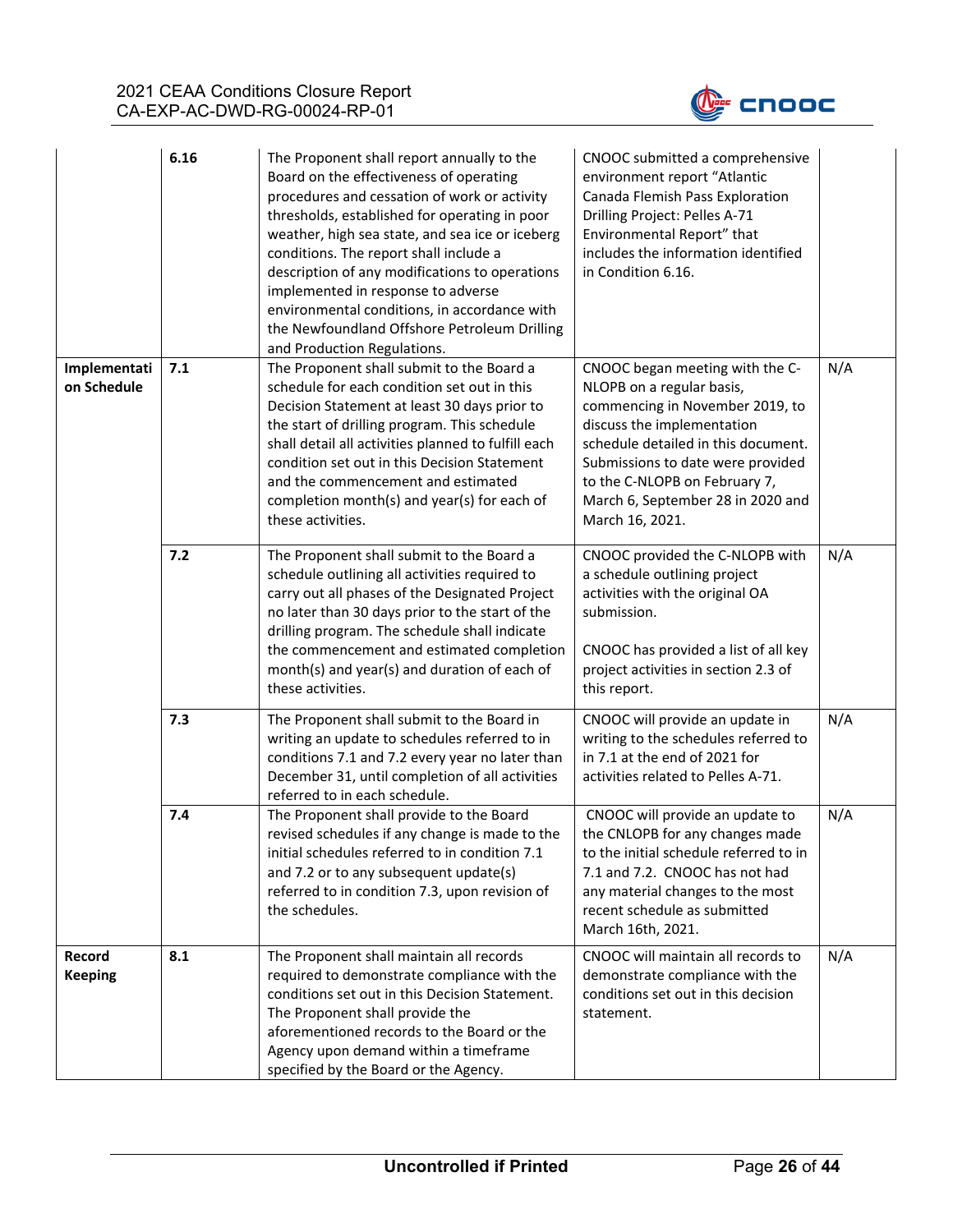

|                             | 6.16 | The Proponent shall report annually to the<br>Board on the effectiveness of operating<br>procedures and cessation of work or activity<br>thresholds, established for operating in poor<br>weather, high sea state, and sea ice or iceberg<br>conditions. The report shall include a<br>description of any modifications to operations<br>implemented in response to adverse<br>environmental conditions, in accordance with<br>the Newfoundland Offshore Petroleum Drilling<br>and Production Regulations. | CNOOC submitted a comprehensive<br>environment report "Atlantic<br>Canada Flemish Pass Exploration<br>Drilling Project: Pelles A-71<br>Environmental Report" that<br>includes the information identified<br>in Condition 6.16.                                                                     |     |
|-----------------------------|------|------------------------------------------------------------------------------------------------------------------------------------------------------------------------------------------------------------------------------------------------------------------------------------------------------------------------------------------------------------------------------------------------------------------------------------------------------------------------------------------------------------|----------------------------------------------------------------------------------------------------------------------------------------------------------------------------------------------------------------------------------------------------------------------------------------------------|-----|
| Implementati<br>on Schedule | 7.1  | The Proponent shall submit to the Board a<br>schedule for each condition set out in this<br>Decision Statement at least 30 days prior to<br>the start of drilling program. This schedule<br>shall detail all activities planned to fulfill each<br>condition set out in this Decision Statement<br>and the commencement and estimated<br>completion month(s) and year(s) for each of<br>these activities.                                                                                                  | CNOOC began meeting with the C-<br>NLOPB on a regular basis,<br>commencing in November 2019, to<br>discuss the implementation<br>schedule detailed in this document.<br>Submissions to date were provided<br>to the C-NLOPB on February 7,<br>March 6, September 28 in 2020 and<br>March 16, 2021. | N/A |
|                             | 7.2  | The Proponent shall submit to the Board a<br>schedule outlining all activities required to<br>carry out all phases of the Designated Project<br>no later than 30 days prior to the start of the<br>drilling program. The schedule shall indicate<br>the commencement and estimated completion<br>month(s) and year(s) and duration of each of<br>these activities.                                                                                                                                         | CNOOC provided the C-NLOPB with<br>a schedule outlining project<br>activities with the original OA<br>submission.<br>CNOOC has provided a list of all key<br>project activities in section 2.3 of<br>this report.                                                                                  | N/A |
|                             | 7.3  | The Proponent shall submit to the Board in<br>writing an update to schedules referred to in<br>conditions 7.1 and 7.2 every year no later than<br>December 31, until completion of all activities<br>referred to in each schedule.                                                                                                                                                                                                                                                                         | CNOOC will provide an update in<br>writing to the schedules referred to<br>in 7.1 at the end of 2021 for<br>activities related to Pelles A-71.                                                                                                                                                     | N/A |
|                             | 7.4  | The Proponent shall provide to the Board<br>revised schedules if any change is made to the<br>initial schedules referred to in condition 7.1<br>and 7.2 or to any subsequent update(s)<br>referred to in condition 7.3, upon revision of<br>the schedules.                                                                                                                                                                                                                                                 | CNOOC will provide an update to<br>the CNLOPB for any changes made<br>to the initial schedule referred to in<br>7.1 and 7.2. CNOOC has not had<br>any material changes to the most<br>recent schedule as submitted<br>March 16th, 2021.                                                            | N/A |
| Record<br><b>Keeping</b>    | 8.1  | The Proponent shall maintain all records<br>required to demonstrate compliance with the<br>conditions set out in this Decision Statement.<br>The Proponent shall provide the<br>aforementioned records to the Board or the<br>Agency upon demand within a timeframe<br>specified by the Board or the Agency.                                                                                                                                                                                               | CNOOC will maintain all records to<br>demonstrate compliance with the<br>conditions set out in this decision<br>statement.                                                                                                                                                                         | N/A |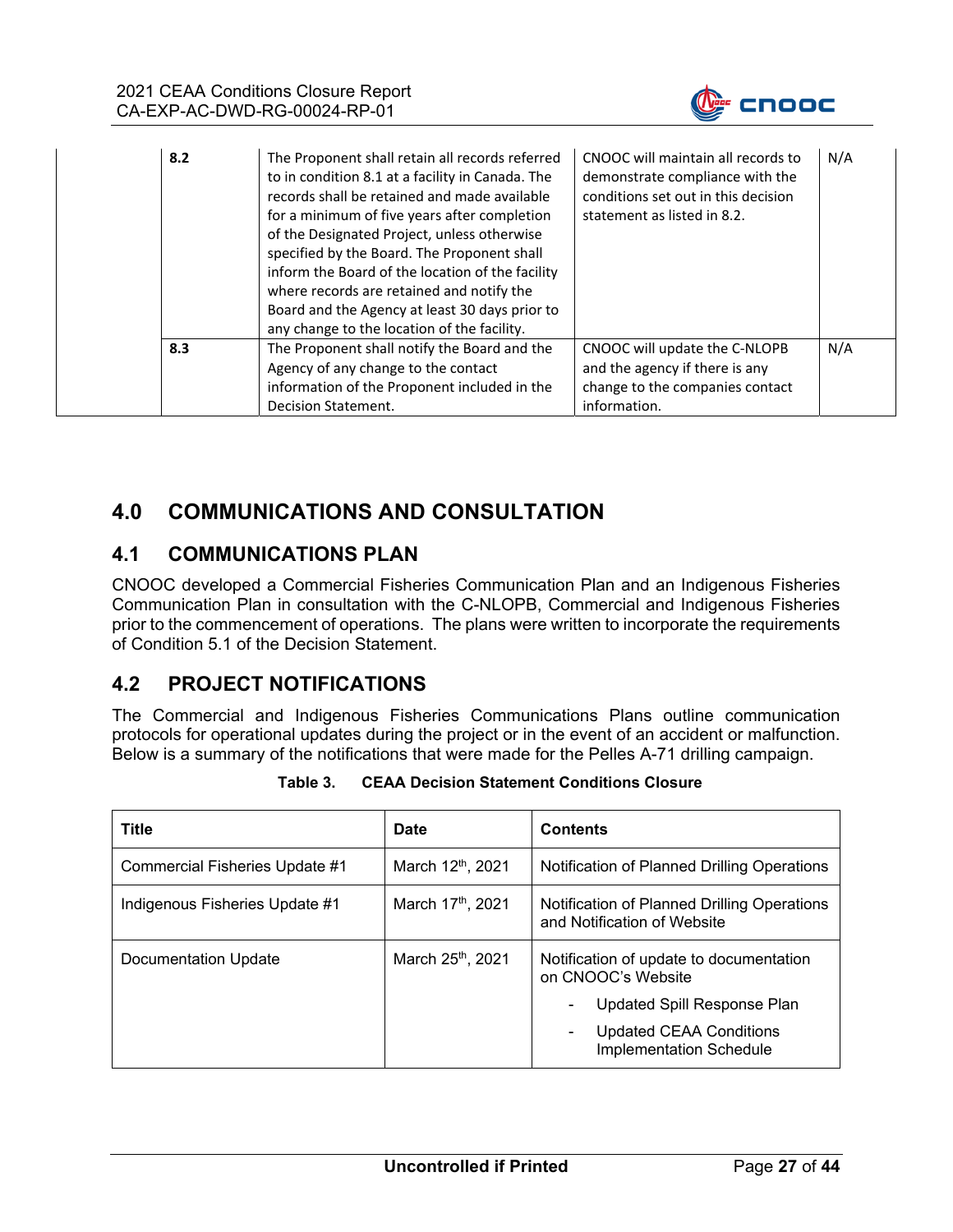

| 8.2 | The Proponent shall retain all records referred<br>to in condition 8.1 at a facility in Canada. The<br>records shall be retained and made available<br>for a minimum of five years after completion<br>of the Designated Project, unless otherwise<br>specified by the Board. The Proponent shall<br>inform the Board of the location of the facility<br>where records are retained and notify the<br>Board and the Agency at least 30 days prior to<br>any change to the location of the facility. | CNOOC will maintain all records to<br>demonstrate compliance with the<br>conditions set out in this decision<br>statement as listed in 8.2. | N/A |
|-----|-----------------------------------------------------------------------------------------------------------------------------------------------------------------------------------------------------------------------------------------------------------------------------------------------------------------------------------------------------------------------------------------------------------------------------------------------------------------------------------------------------|---------------------------------------------------------------------------------------------------------------------------------------------|-----|
| 8.3 | The Proponent shall notify the Board and the<br>Agency of any change to the contact<br>information of the Proponent included in the<br>Decision Statement.                                                                                                                                                                                                                                                                                                                                          | CNOOC will update the C-NLOPB<br>and the agency if there is any<br>change to the companies contact<br>information.                          | N/A |

# **4.0 COMMUNICATIONS AND CONSULTATION**

## **4.1 COMMUNICATIONS PLAN**

CNOOC developed a Commercial Fisheries Communication Plan and an Indigenous Fisheries Communication Plan in consultation with the C-NLOPB, Commercial and Indigenous Fisheries prior to the commencement of operations. The plans were written to incorporate the requirements of Condition 5.1 of the Decision Statement.

## **4.2 PROJECT NOTIFICATIONS**

The Commercial and Indigenous Fisheries Communications Plans outline communication protocols for operational updates during the project or in the event of an accident or malfunction. Below is a summary of the notifications that were made for the Pelles A-71 drilling campaign.

| Title                          | <b>Date</b>                   | <b>Contents</b>                                                                                                                                                             |  |  |
|--------------------------------|-------------------------------|-----------------------------------------------------------------------------------------------------------------------------------------------------------------------------|--|--|
| Commercial Fisheries Update #1 | March 12 <sup>th</sup> , 2021 | Notification of Planned Drilling Operations                                                                                                                                 |  |  |
| Indigenous Fisheries Update #1 | March 17 <sup>th</sup> , 2021 | Notification of Planned Drilling Operations<br>and Notification of Website                                                                                                  |  |  |
| Documentation Update           | March 25 <sup>th</sup> , 2021 | Notification of update to documentation<br>on CNOOC's Website<br>Updated Spill Response Plan<br>۰<br><b>Updated CEAA Conditions</b><br>۰.<br><b>Implementation Schedule</b> |  |  |

| Table 3. | <b>CEAA Decision Statement Conditions Closure</b> |
|----------|---------------------------------------------------|
|----------|---------------------------------------------------|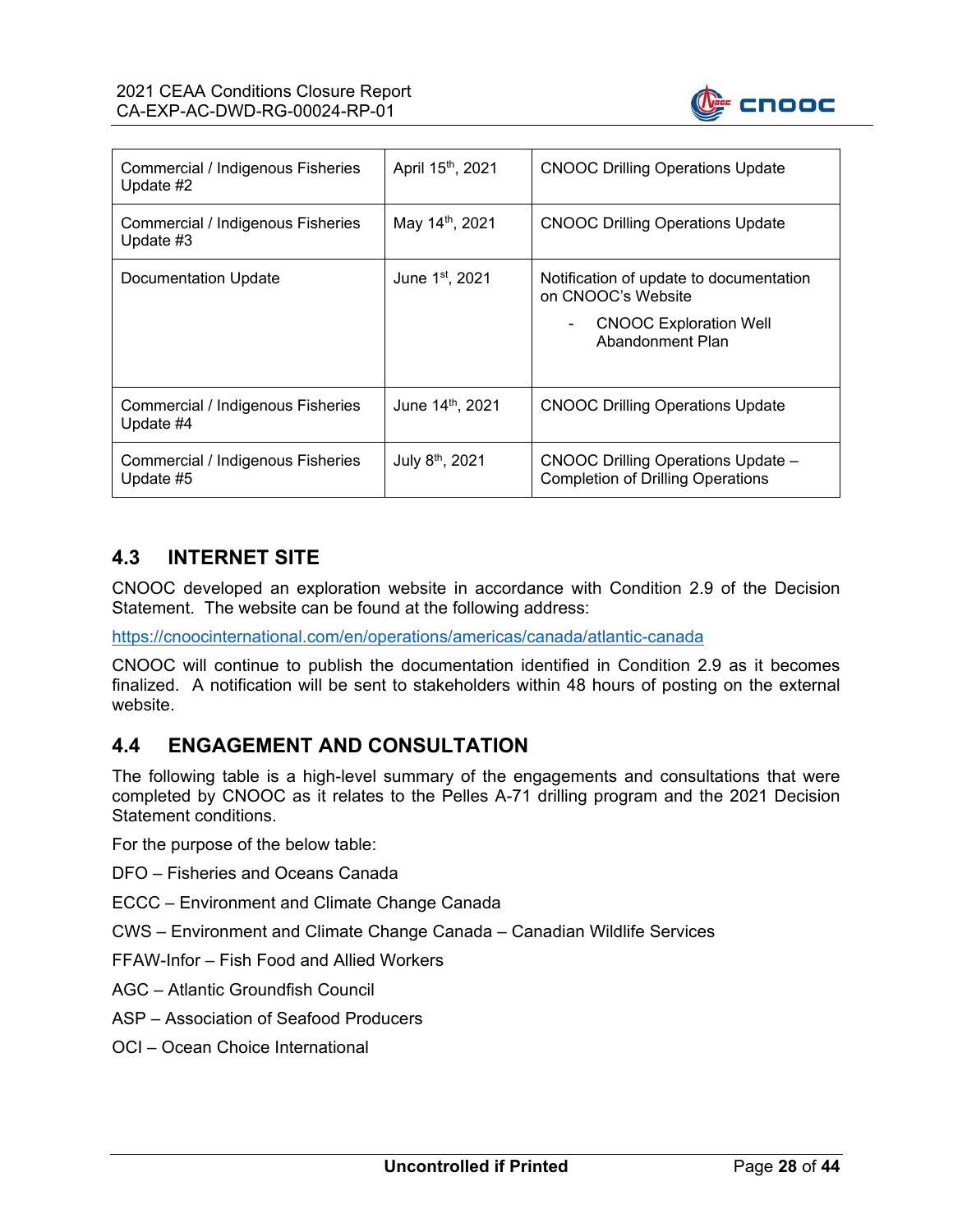

| Commercial / Indigenous Fisheries<br>Update #2 | April 15th, 2021            | <b>CNOOC Drilling Operations Update</b>                                                                            |
|------------------------------------------------|-----------------------------|--------------------------------------------------------------------------------------------------------------------|
| Commercial / Indigenous Fisheries<br>Update #3 | May 14 <sup>th</sup> , 2021 | <b>CNOOC Drilling Operations Update</b>                                                                            |
| Documentation Update                           | June 1 <sup>st</sup> , 2021 | Notification of update to documentation<br>on CNOOC's Website<br><b>CNOOC Exploration Well</b><br>Abandonment Plan |
| Commercial / Indigenous Fisheries<br>Update #4 | June 14th, 2021             | <b>CNOOC Drilling Operations Update</b>                                                                            |
| Commercial / Indigenous Fisheries<br>Update #5 | July 8 <sup>th</sup> , 2021 | <b>CNOOC Drilling Operations Update -</b><br><b>Completion of Drilling Operations</b>                              |

## **4.3 INTERNET SITE**

CNOOC developed an exploration website in accordance with Condition 2.9 of the Decision Statement. The website can be found at the following address:

https://cnoocinternational.com/en/operations/americas/canada/atlantic-canada

CNOOC will continue to publish the documentation identified in Condition 2.9 as it becomes finalized. A notification will be sent to stakeholders within 48 hours of posting on the external website.

#### **4.4 ENGAGEMENT AND CONSULTATION**

The following table is a high-level summary of the engagements and consultations that were completed by CNOOC as it relates to the Pelles A-71 drilling program and the 2021 Decision Statement conditions.

For the purpose of the below table:

DFO – Fisheries and Oceans Canada

- ECCC Environment and Climate Change Canada
- CWS Environment and Climate Change Canada Canadian Wildlife Services

FFAW-Infor – Fish Food and Allied Workers

AGC – Atlantic Groundfish Council

ASP – Association of Seafood Producers

OCI – Ocean Choice International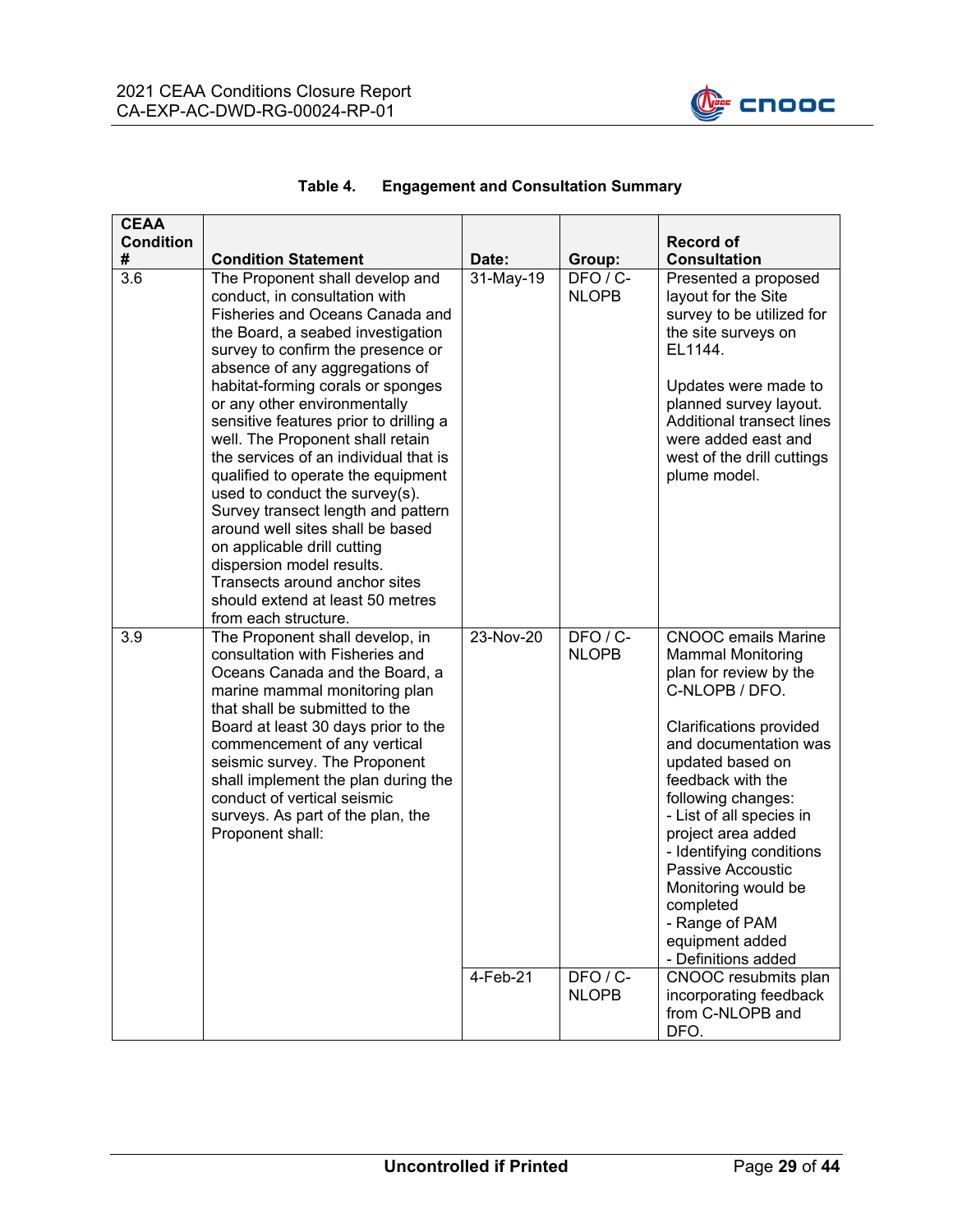

| <b>CEAA</b><br><b>Condition</b><br># | <b>Condition Statement</b>                                                                                                                                                                                                                                                                                                                                                                                                                                                                                                                                                                                                                                                                                             | Date:     | Group:                   | <b>Record of</b><br><b>Consultation</b>                                                                                                                                                                                                                                                                                                                                                                                  |
|--------------------------------------|------------------------------------------------------------------------------------------------------------------------------------------------------------------------------------------------------------------------------------------------------------------------------------------------------------------------------------------------------------------------------------------------------------------------------------------------------------------------------------------------------------------------------------------------------------------------------------------------------------------------------------------------------------------------------------------------------------------------|-----------|--------------------------|--------------------------------------------------------------------------------------------------------------------------------------------------------------------------------------------------------------------------------------------------------------------------------------------------------------------------------------------------------------------------------------------------------------------------|
| 3.6                                  | The Proponent shall develop and<br>conduct, in consultation with<br>Fisheries and Oceans Canada and<br>the Board, a seabed investigation<br>survey to confirm the presence or<br>absence of any aggregations of<br>habitat-forming corals or sponges<br>or any other environmentally<br>sensitive features prior to drilling a<br>well. The Proponent shall retain<br>the services of an individual that is<br>qualified to operate the equipment<br>used to conduct the survey(s).<br>Survey transect length and pattern<br>around well sites shall be based<br>on applicable drill cutting<br>dispersion model results.<br>Transects around anchor sites<br>should extend at least 50 metres<br>from each structure. | 31-May-19 | DFO / C-<br><b>NLOPB</b> | Presented a proposed<br>layout for the Site<br>survey to be utilized for<br>the site surveys on<br>EL1144.<br>Updates were made to<br>planned survey layout.<br>Additional transect lines<br>were added east and<br>west of the drill cuttings<br>plume model.                                                                                                                                                           |
| 3.9                                  | The Proponent shall develop, in<br>consultation with Fisheries and<br>Oceans Canada and the Board, a<br>marine mammal monitoring plan<br>that shall be submitted to the<br>Board at least 30 days prior to the<br>commencement of any vertical<br>seismic survey. The Proponent<br>shall implement the plan during the<br>conduct of vertical seismic<br>surveys. As part of the plan, the<br>Proponent shall:                                                                                                                                                                                                                                                                                                         | 23-Nov-20 | DFO / C-<br><b>NLOPB</b> | <b>CNOOC</b> emails Marine<br><b>Mammal Monitoring</b><br>plan for review by the<br>C-NLOPB / DFO.<br>Clarifications provided<br>and documentation was<br>updated based on<br>feedback with the<br>following changes:<br>- List of all species in<br>project area added<br>- Identifying conditions<br>Passive Accoustic<br>Monitoring would be<br>completed<br>- Range of PAM<br>equipment added<br>- Definitions added |
|                                      |                                                                                                                                                                                                                                                                                                                                                                                                                                                                                                                                                                                                                                                                                                                        | 4-Feb-21  | DFO / C-<br><b>NLOPB</b> | CNOOC resubmits plan<br>incorporating feedback<br>from C-NLOPB and<br>DFO.                                                                                                                                                                                                                                                                                                                                               |

#### **Table 4. Engagement and Consultation Summary**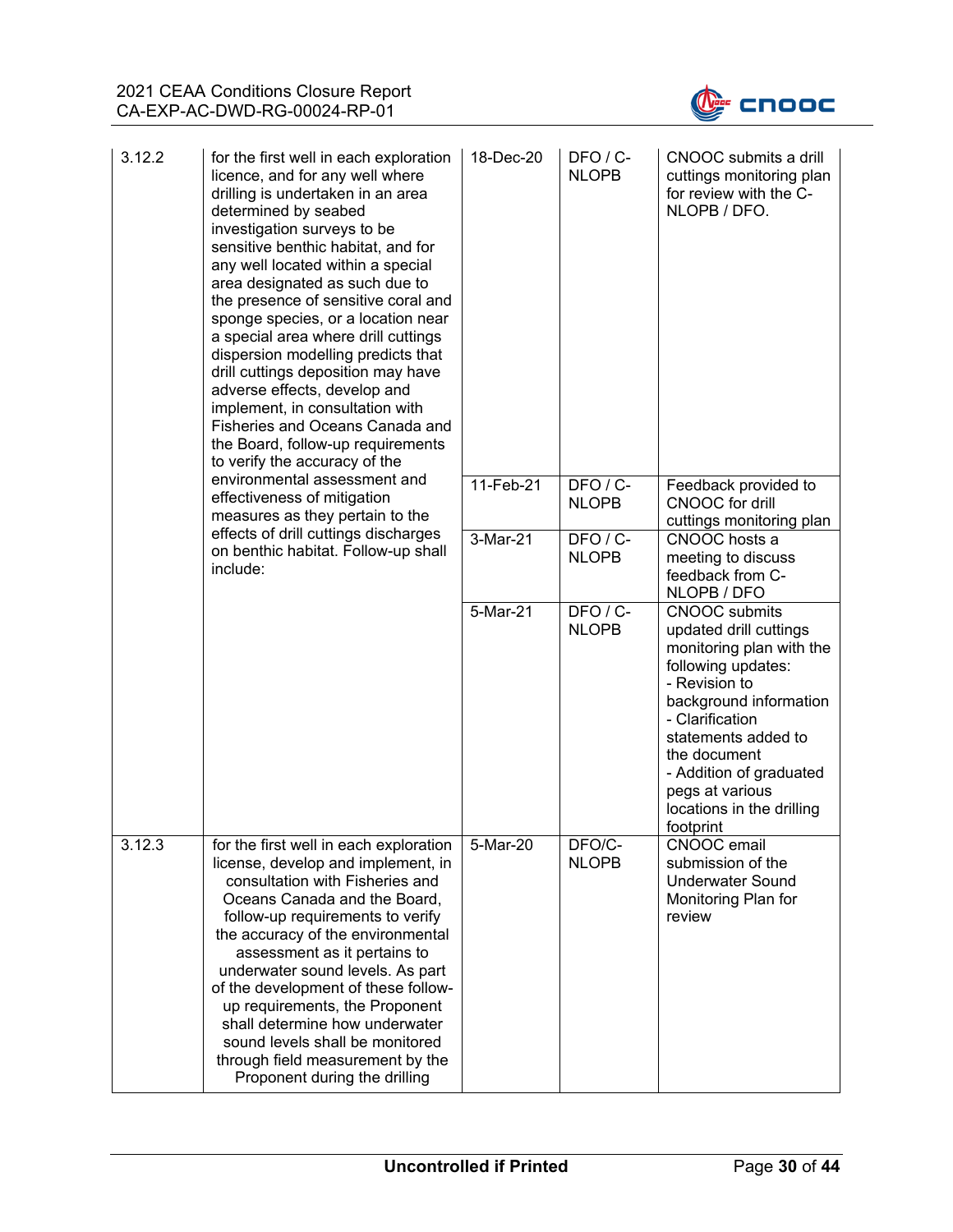

| 3.12.2 | for the first well in each exploration<br>licence, and for any well where<br>drilling is undertaken in an area<br>determined by seabed<br>investigation surveys to be<br>sensitive benthic habitat, and for<br>any well located within a special<br>area designated as such due to<br>the presence of sensitive coral and<br>sponge species, or a location near<br>a special area where drill cuttings<br>dispersion modelling predicts that<br>drill cuttings deposition may have<br>adverse effects, develop and<br>implement, in consultation with<br>Fisheries and Oceans Canada and<br>the Board, follow-up requirements<br>to verify the accuracy of the | 18-Dec-20 | $DFO / C$ -<br><b>NLOPB</b> | CNOOC submits a drill<br>cuttings monitoring plan<br>for review with the C-<br>NLOPB / DFO.                                                                                                                                                                                                   |
|--------|----------------------------------------------------------------------------------------------------------------------------------------------------------------------------------------------------------------------------------------------------------------------------------------------------------------------------------------------------------------------------------------------------------------------------------------------------------------------------------------------------------------------------------------------------------------------------------------------------------------------------------------------------------------|-----------|-----------------------------|-----------------------------------------------------------------------------------------------------------------------------------------------------------------------------------------------------------------------------------------------------------------------------------------------|
|        | environmental assessment and<br>effectiveness of mitigation<br>measures as they pertain to the                                                                                                                                                                                                                                                                                                                                                                                                                                                                                                                                                                 | 11-Feb-21 | DFO / C-<br><b>NLOPB</b>    | Feedback provided to<br>CNOOC for drill<br>cuttings monitoring plan                                                                                                                                                                                                                           |
|        | effects of drill cuttings discharges<br>on benthic habitat. Follow-up shall<br>include:                                                                                                                                                                                                                                                                                                                                                                                                                                                                                                                                                                        | 3-Mar-21  | DFO/C-<br><b>NLOPB</b>      | CNOOC hosts a<br>meeting to discuss<br>feedback from C-<br>NLOPB / DFO                                                                                                                                                                                                                        |
|        |                                                                                                                                                                                                                                                                                                                                                                                                                                                                                                                                                                                                                                                                | 5-Mar-21  | DFO/C-<br><b>NLOPB</b>      | <b>CNOOC</b> submits<br>updated drill cuttings<br>monitoring plan with the<br>following updates:<br>- Revision to<br>background information<br>- Clarification<br>statements added to<br>the document<br>- Addition of graduated<br>pegs at various<br>locations in the drilling<br>footprint |
| 3.12.3 | for the first well in each exploration<br>license, develop and implement, in<br>consultation with Fisheries and<br>Oceans Canada and the Board,<br>follow-up requirements to verify<br>the accuracy of the environmental<br>assessment as it pertains to<br>underwater sound levels. As part<br>of the development of these follow-<br>up requirements, the Proponent<br>shall determine how underwater<br>sound levels shall be monitored<br>through field measurement by the<br>Proponent during the drilling                                                                                                                                                | 5-Mar-20  | DFO/C-<br><b>NLOPB</b>      | CNOOC email<br>submission of the<br><b>Underwater Sound</b><br>Monitoring Plan for<br>review                                                                                                                                                                                                  |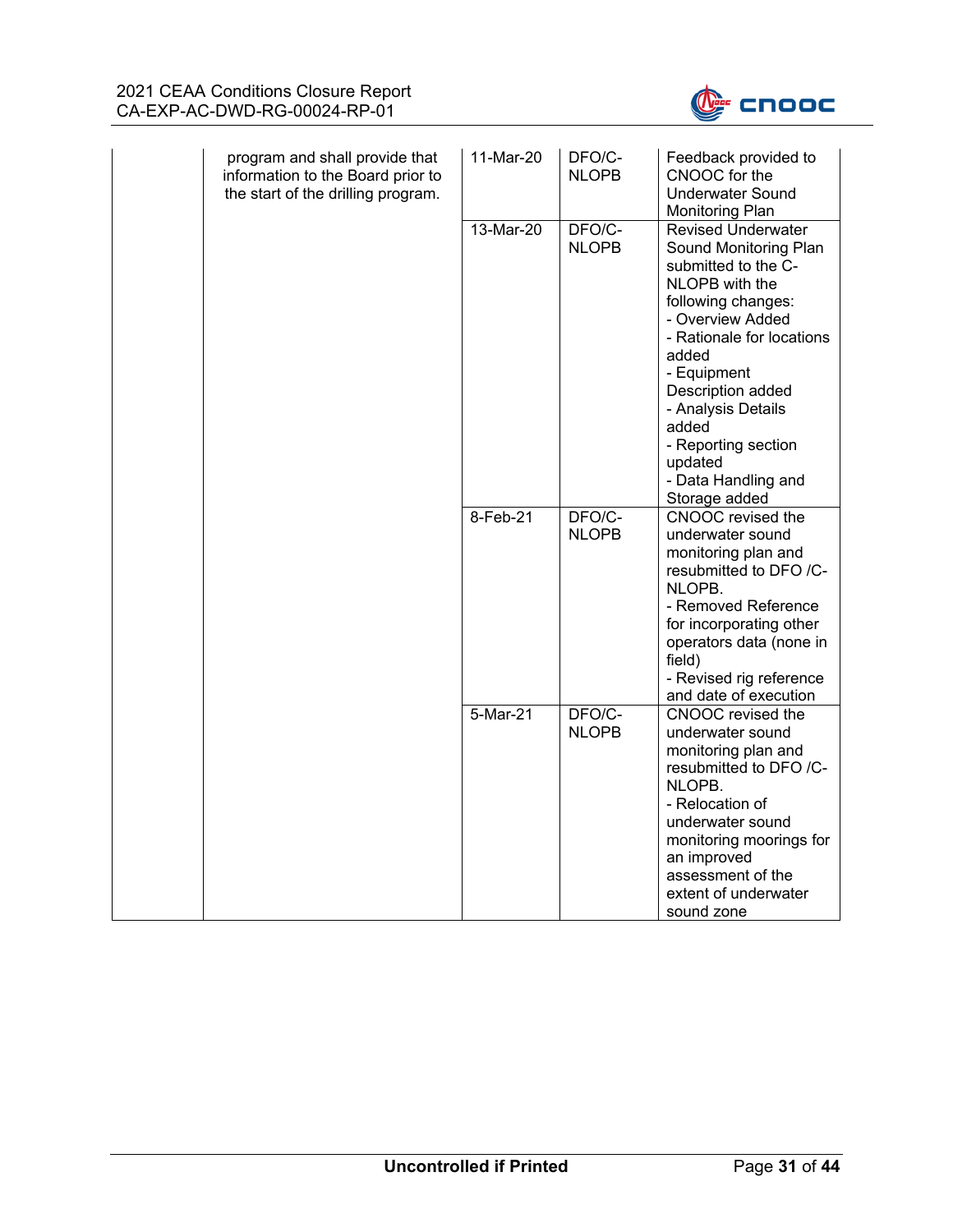

| program and shall provide that<br>information to the Board prior to<br>the start of the drilling program. | 11-Mar-20 | DFO/C-<br><b>NLOPB</b> | Feedback provided to<br>CNOOC for the<br><b>Underwater Sound</b><br>Monitoring Plan                                                                                                                                                                                                                                      |
|-----------------------------------------------------------------------------------------------------------|-----------|------------------------|--------------------------------------------------------------------------------------------------------------------------------------------------------------------------------------------------------------------------------------------------------------------------------------------------------------------------|
|                                                                                                           | 13-Mar-20 | DFO/C-<br><b>NLOPB</b> | <b>Revised Underwater</b><br>Sound Monitoring Plan<br>submitted to the C-<br>NLOPB with the<br>following changes:<br>- Overview Added<br>- Rationale for locations<br>added<br>- Equipment<br>Description added<br>- Analysis Details<br>added<br>- Reporting section<br>updated<br>- Data Handling and<br>Storage added |
|                                                                                                           | 8-Feb-21  | DFO/C-<br><b>NLOPB</b> | CNOOC revised the<br>underwater sound<br>monitoring plan and<br>resubmitted to DFO /C-<br>NLOPB.<br>- Removed Reference<br>for incorporating other<br>operators data (none in<br>field)<br>- Revised rig reference<br>and date of execution                                                                              |
|                                                                                                           | 5-Mar-21  | DFO/C-<br><b>NLOPB</b> | CNOOC revised the<br>underwater sound<br>monitoring plan and<br>resubmitted to DFO /C-<br>NLOPB.<br>- Relocation of<br>underwater sound<br>monitoring moorings for<br>an improved<br>assessment of the<br>extent of underwater<br>sound zone                                                                             |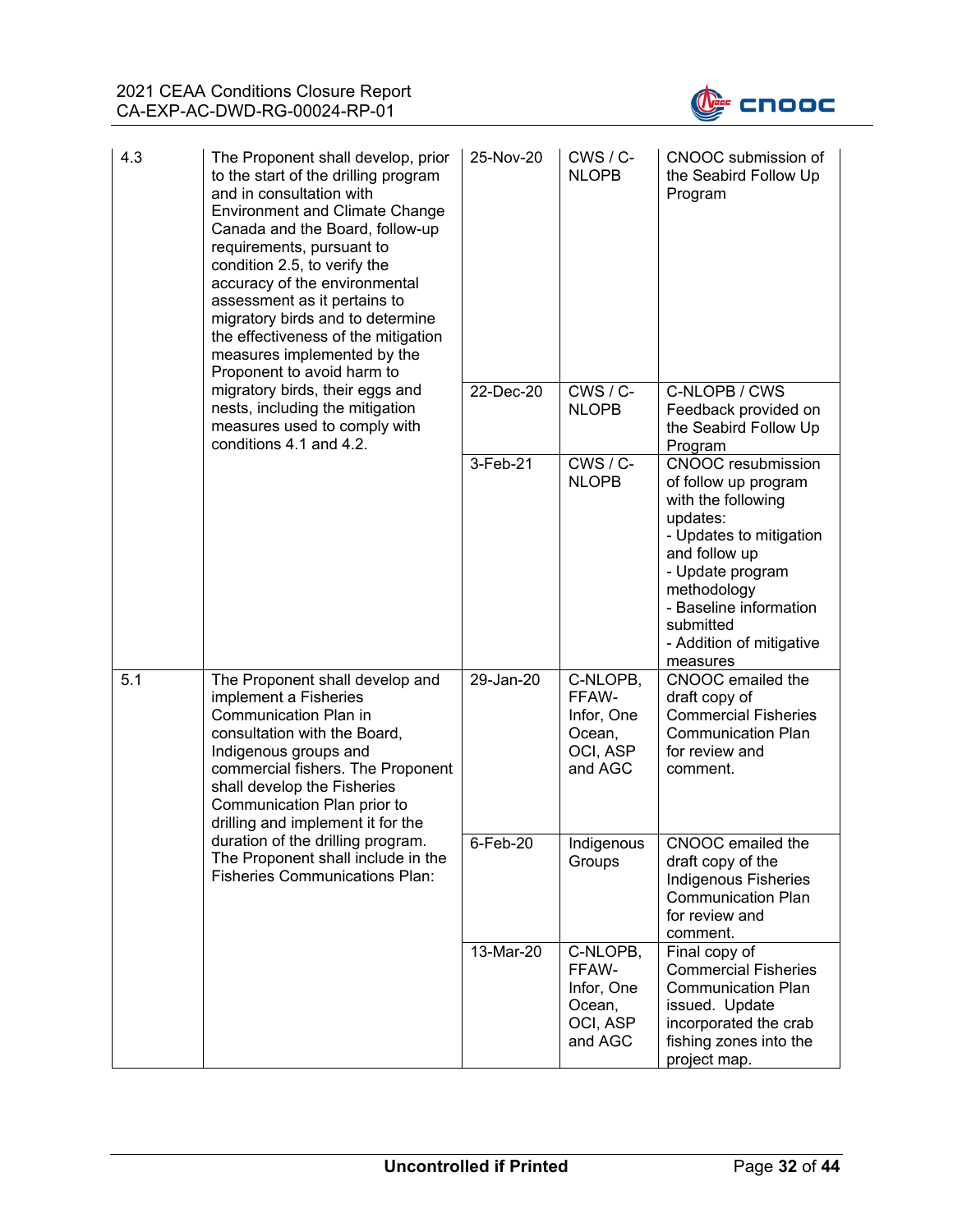

| 4.3 | The Proponent shall develop, prior<br>to the start of the drilling program<br>and in consultation with<br><b>Environment and Climate Change</b><br>Canada and the Board, follow-up<br>requirements, pursuant to<br>condition 2.5, to verify the<br>accuracy of the environmental<br>assessment as it pertains to<br>migratory birds and to determine<br>the effectiveness of the mitigation<br>measures implemented by the<br>Proponent to avoid harm to | 25-Nov-20   | $CWS / C$ -<br><b>NLOPB</b>                                      | CNOOC submission of<br>the Seabird Follow Up<br>Program                                                                                                                                                                                           |
|-----|----------------------------------------------------------------------------------------------------------------------------------------------------------------------------------------------------------------------------------------------------------------------------------------------------------------------------------------------------------------------------------------------------------------------------------------------------------|-------------|------------------------------------------------------------------|---------------------------------------------------------------------------------------------------------------------------------------------------------------------------------------------------------------------------------------------------|
|     | migratory birds, their eggs and<br>nests, including the mitigation<br>measures used to comply with<br>conditions 4.1 and 4.2.                                                                                                                                                                                                                                                                                                                            | 22-Dec-20   | $CWS / C$ -<br><b>NLOPB</b>                                      | C-NLOPB / CWS<br>Feedback provided on<br>the Seabird Follow Up<br>Program                                                                                                                                                                         |
|     |                                                                                                                                                                                                                                                                                                                                                                                                                                                          | 3-Feb-21    | $CWS / C$ -<br><b>NLOPB</b>                                      | <b>CNOOC</b> resubmission<br>of follow up program<br>with the following<br>updates:<br>- Updates to mitigation<br>and follow up<br>- Update program<br>methodology<br>- Baseline information<br>submitted<br>- Addition of mitigative<br>measures |
| 5.1 | The Proponent shall develop and<br>implement a Fisheries<br>Communication Plan in<br>consultation with the Board,<br>Indigenous groups and<br>commercial fishers. The Proponent<br>shall develop the Fisheries<br>Communication Plan prior to<br>drilling and implement it for the                                                                                                                                                                       | 29-Jan-20   | C-NLOPB,<br>FFAW-<br>Infor, One<br>Ocean,<br>OCI, ASP<br>and AGC | CNOOC emailed the<br>draft copy of<br><b>Commercial Fisheries</b><br><b>Communication Plan</b><br>for review and<br>comment.                                                                                                                      |
|     | duration of the drilling program.<br>The Proponent shall include in the<br><b>Fisheries Communications Plan:</b>                                                                                                                                                                                                                                                                                                                                         | $6$ -Feb-20 | Indigenous<br>Groups                                             | CNOOC emailed the<br>draft copy of the<br><b>Indigenous Fisheries</b><br><b>Communication Plan</b><br>for review and<br>comment.                                                                                                                  |
|     |                                                                                                                                                                                                                                                                                                                                                                                                                                                          | 13-Mar-20   | C-NLOPB,<br>FFAW-<br>Infor, One<br>Ocean,<br>OCI, ASP<br>and AGC | Final copy of<br><b>Commercial Fisheries</b><br><b>Communication Plan</b><br>issued. Update<br>incorporated the crab<br>fishing zones into the<br>project map.                                                                                    |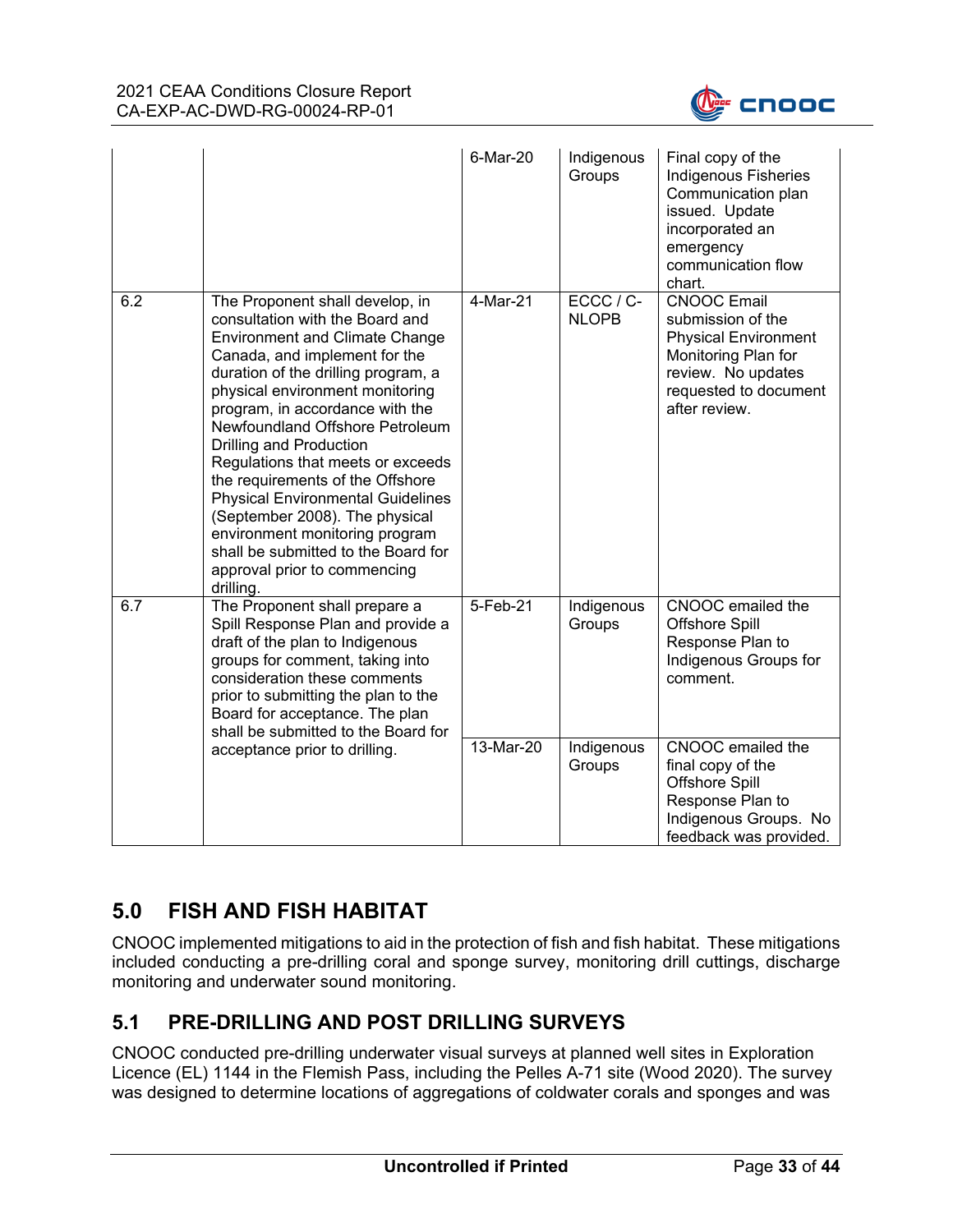

|     |                                                                                                                                                                                                                                                                                                                                                                                                                                                                                                                                                                                                      | 6-Mar-20  | Indigenous<br>Groups      | Final copy of the<br><b>Indigenous Fisheries</b><br>Communication plan<br>issued. Update<br>incorporated an<br>emergency<br>communication flow<br>chart.      |
|-----|------------------------------------------------------------------------------------------------------------------------------------------------------------------------------------------------------------------------------------------------------------------------------------------------------------------------------------------------------------------------------------------------------------------------------------------------------------------------------------------------------------------------------------------------------------------------------------------------------|-----------|---------------------------|---------------------------------------------------------------------------------------------------------------------------------------------------------------|
| 6.2 | The Proponent shall develop, in<br>consultation with the Board and<br><b>Environment and Climate Change</b><br>Canada, and implement for the<br>duration of the drilling program, a<br>physical environment monitoring<br>program, in accordance with the<br>Newfoundland Offshore Petroleum<br>Drilling and Production<br>Regulations that meets or exceeds<br>the requirements of the Offshore<br><b>Physical Environmental Guidelines</b><br>(September 2008). The physical<br>environment monitoring program<br>shall be submitted to the Board for<br>approval prior to commencing<br>drilling. | 4-Mar-21  | ECCC / C-<br><b>NLOPB</b> | <b>CNOOC Email</b><br>submission of the<br><b>Physical Environment</b><br>Monitoring Plan for<br>review. No updates<br>requested to document<br>after review. |
| 6.7 | The Proponent shall prepare a<br>Spill Response Plan and provide a<br>draft of the plan to Indigenous<br>groups for comment, taking into<br>consideration these comments<br>prior to submitting the plan to the<br>Board for acceptance. The plan<br>shall be submitted to the Board for                                                                                                                                                                                                                                                                                                             | 5-Feb-21  | Indigenous<br>Groups      | CNOOC emailed the<br><b>Offshore Spill</b><br>Response Plan to<br>Indigenous Groups for<br>comment.                                                           |
|     | acceptance prior to drilling.                                                                                                                                                                                                                                                                                                                                                                                                                                                                                                                                                                        | 13-Mar-20 | Indigenous<br>Groups      | CNOOC emailed the<br>final copy of the<br>Offshore Spill<br>Response Plan to<br>Indigenous Groups. No<br>feedback was provided.                               |

# **5.0 FISH AND FISH HABITAT**

CNOOC implemented mitigations to aid in the protection of fish and fish habitat. These mitigations included conducting a pre-drilling coral and sponge survey, monitoring drill cuttings, discharge monitoring and underwater sound monitoring.

## **5.1 PRE-DRILLING AND POST DRILLING SURVEYS**

CNOOC conducted pre-drilling underwater visual surveys at planned well sites in Exploration Licence (EL) 1144 in the Flemish Pass, including the Pelles A-71 site (Wood 2020). The survey was designed to determine locations of aggregations of coldwater corals and sponges and was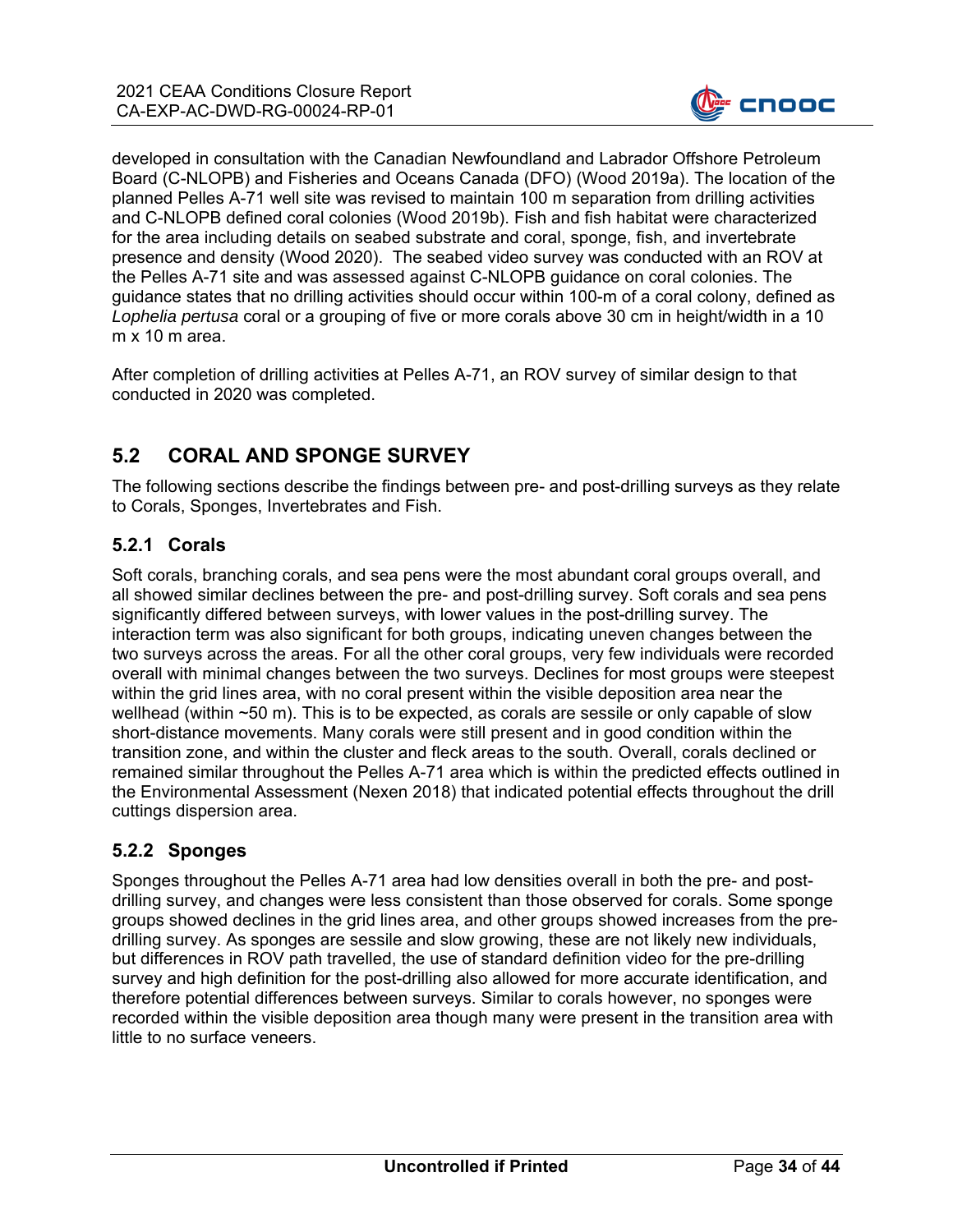

developed in consultation with the Canadian Newfoundland and Labrador Offshore Petroleum Board (C-NLOPB) and Fisheries and Oceans Canada (DFO) (Wood 2019a). The location of the planned Pelles A-71 well site was revised to maintain 100 m separation from drilling activities and C-NLOPB defined coral colonies (Wood 2019b). Fish and fish habitat were characterized for the area including details on seabed substrate and coral, sponge, fish, and invertebrate presence and density (Wood 2020). The seabed video survey was conducted with an ROV at the Pelles A-71 site and was assessed against C-NLOPB guidance on coral colonies. The guidance states that no drilling activities should occur within 100-m of a coral colony, defined as *Lophelia pertusa* coral or a grouping of five or more corals above 30 cm in height/width in a 10 m x 10 m area.

After completion of drilling activities at Pelles A-71, an ROV survey of similar design to that conducted in 2020 was completed.

## **5.2 CORAL AND SPONGE SURVEY**

The following sections describe the findings between pre- and post-drilling surveys as they relate to Corals, Sponges, Invertebrates and Fish.

#### **5.2.1 Corals**

Soft corals, branching corals, and sea pens were the most abundant coral groups overall, and all showed similar declines between the pre- and post-drilling survey. Soft corals and sea pens significantly differed between surveys, with lower values in the post-drilling survey. The interaction term was also significant for both groups, indicating uneven changes between the two surveys across the areas. For all the other coral groups, very few individuals were recorded overall with minimal changes between the two surveys. Declines for most groups were steepest within the grid lines area, with no coral present within the visible deposition area near the wellhead (within ~50 m). This is to be expected, as corals are sessile or only capable of slow short-distance movements. Many corals were still present and in good condition within the transition zone, and within the cluster and fleck areas to the south. Overall, corals declined or remained similar throughout the Pelles A-71 area which is within the predicted effects outlined in the Environmental Assessment (Nexen 2018) that indicated potential effects throughout the drill cuttings dispersion area.

#### **5.2.2 Sponges**

Sponges throughout the Pelles A-71 area had low densities overall in both the pre- and postdrilling survey, and changes were less consistent than those observed for corals. Some sponge groups showed declines in the grid lines area, and other groups showed increases from the predrilling survey. As sponges are sessile and slow growing, these are not likely new individuals, but differences in ROV path travelled, the use of standard definition video for the pre-drilling survey and high definition for the post-drilling also allowed for more accurate identification, and therefore potential differences between surveys. Similar to corals however, no sponges were recorded within the visible deposition area though many were present in the transition area with little to no surface veneers.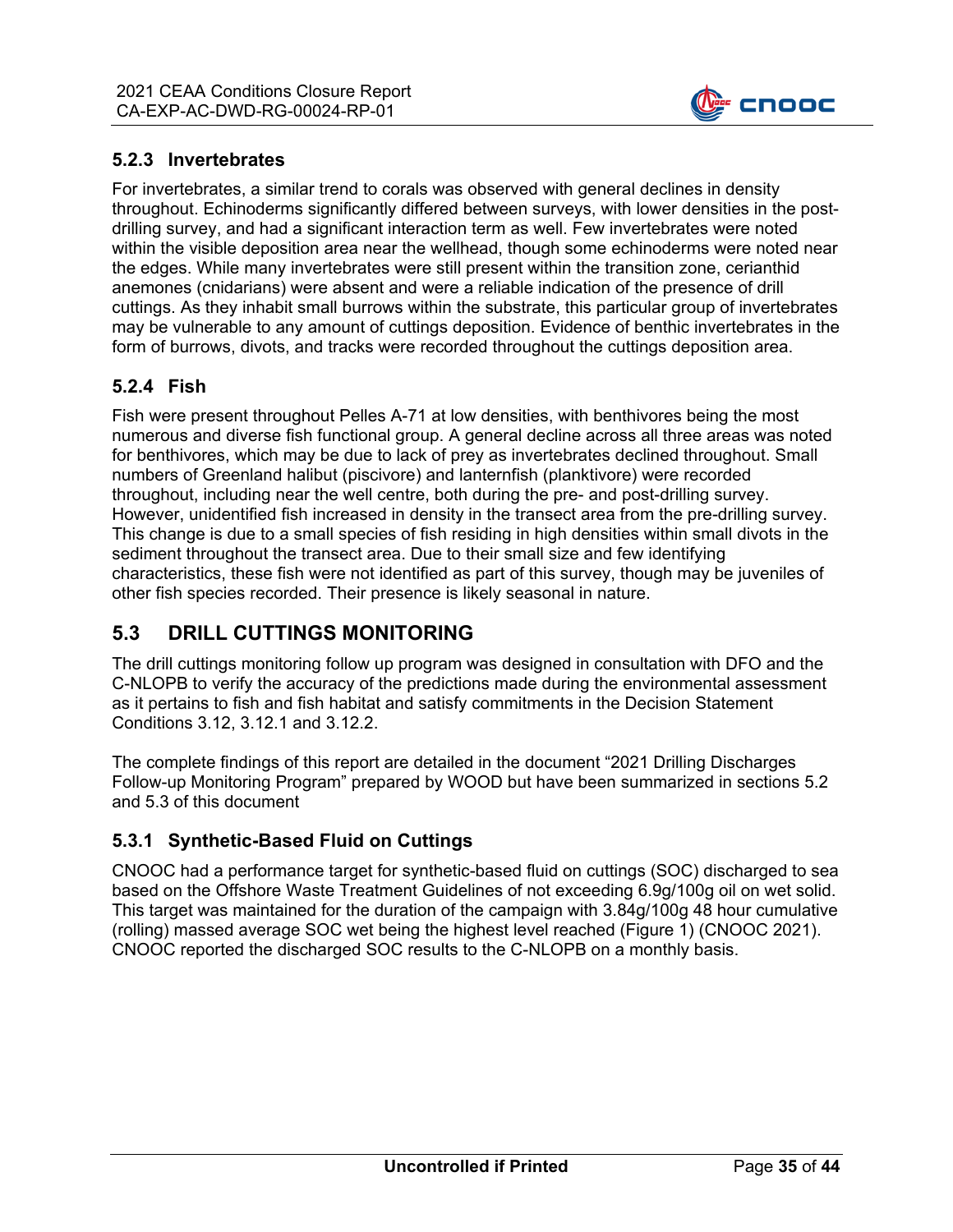

#### **5.2.3 Invertebrates**

For invertebrates, a similar trend to corals was observed with general declines in density throughout. Echinoderms significantly differed between surveys, with lower densities in the postdrilling survey, and had a significant interaction term as well. Few invertebrates were noted within the visible deposition area near the wellhead, though some echinoderms were noted near the edges. While many invertebrates were still present within the transition zone, cerianthid anemones (cnidarians) were absent and were a reliable indication of the presence of drill cuttings. As they inhabit small burrows within the substrate, this particular group of invertebrates may be vulnerable to any amount of cuttings deposition. Evidence of benthic invertebrates in the form of burrows, divots, and tracks were recorded throughout the cuttings deposition area.

#### **5.2.4 Fish**

Fish were present throughout Pelles A-71 at low densities, with benthivores being the most numerous and diverse fish functional group. A general decline across all three areas was noted for benthivores, which may be due to lack of prey as invertebrates declined throughout. Small numbers of Greenland halibut (piscivore) and lanternfish (planktivore) were recorded throughout, including near the well centre, both during the pre- and post-drilling survey. However, unidentified fish increased in density in the transect area from the pre-drilling survey. This change is due to a small species of fish residing in high densities within small divots in the sediment throughout the transect area. Due to their small size and few identifying characteristics, these fish were not identified as part of this survey, though may be juveniles of other fish species recorded. Their presence is likely seasonal in nature.

## **5.3 DRILL CUTTINGS MONITORING**

The drill cuttings monitoring follow up program was designed in consultation with DFO and the C-NLOPB to verify the accuracy of the predictions made during the environmental assessment as it pertains to fish and fish habitat and satisfy commitments in the Decision Statement Conditions 3.12, 3.12.1 and 3.12.2.

The complete findings of this report are detailed in the document "2021 Drilling Discharges Follow-up Monitoring Program" prepared by WOOD but have been summarized in sections 5.2 and 5.3 of this document

#### **5.3.1 Synthetic-Based Fluid on Cuttings**

CNOOC had a performance target for synthetic-based fluid on cuttings (SOC) discharged to sea based on the Offshore Waste Treatment Guidelines of not exceeding 6.9g/100g oil on wet solid. This target was maintained for the duration of the campaign with 3.84g/100g 48 hour cumulative (rolling) massed average SOC wet being the highest level reached (Figure 1) (CNOOC 2021). CNOOC reported the discharged SOC results to the C-NLOPB on a monthly basis.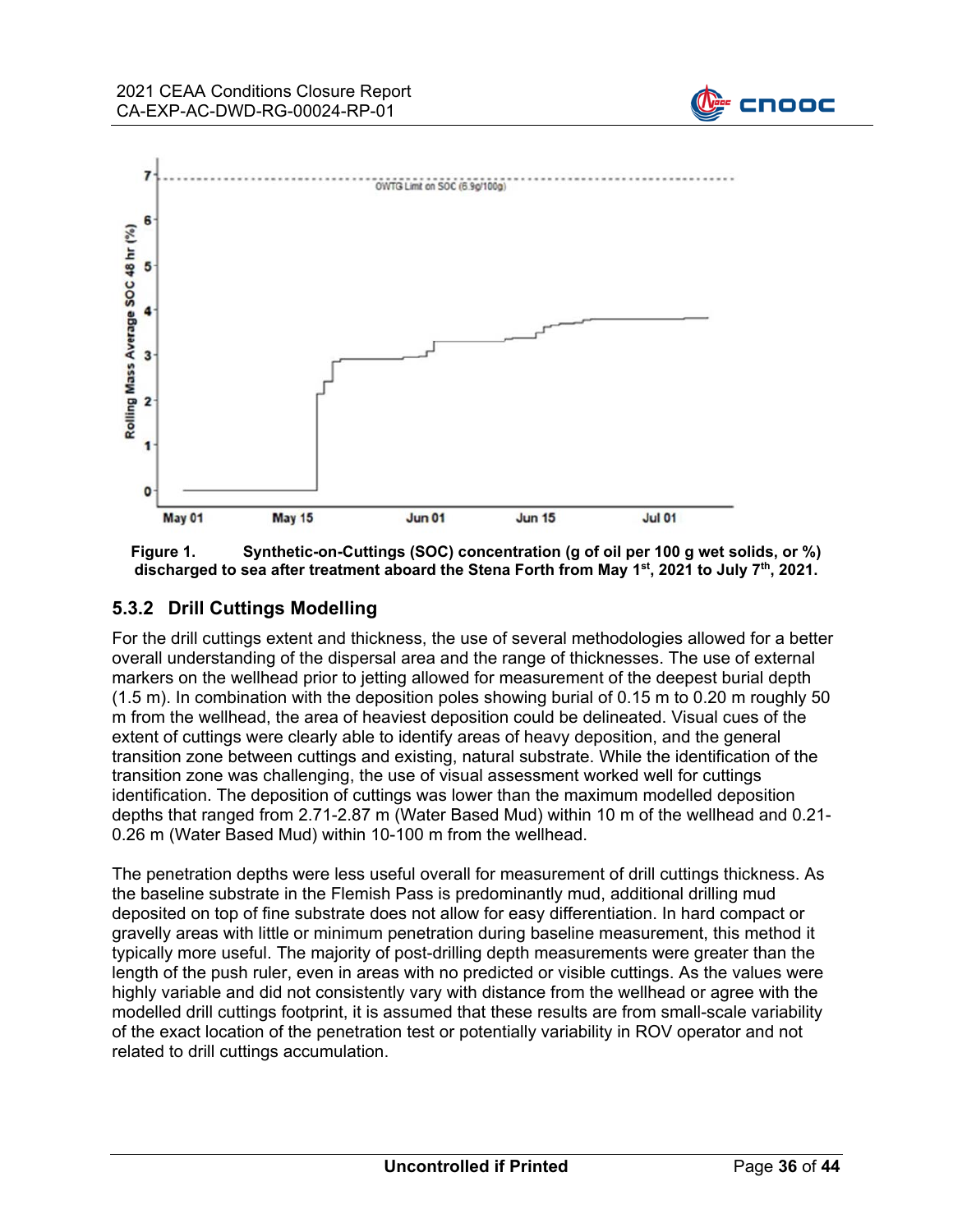





#### **5.3.2 Drill Cuttings Modelling**

For the drill cuttings extent and thickness, the use of several methodologies allowed for a better overall understanding of the dispersal area and the range of thicknesses. The use of external markers on the wellhead prior to jetting allowed for measurement of the deepest burial depth (1.5 m). In combination with the deposition poles showing burial of 0.15 m to 0.20 m roughly 50 m from the wellhead, the area of heaviest deposition could be delineated. Visual cues of the extent of cuttings were clearly able to identify areas of heavy deposition, and the general transition zone between cuttings and existing, natural substrate. While the identification of the transition zone was challenging, the use of visual assessment worked well for cuttings identification. The deposition of cuttings was lower than the maximum modelled deposition depths that ranged from 2.71-2.87 m (Water Based Mud) within 10 m of the wellhead and 0.21- 0.26 m (Water Based Mud) within 10-100 m from the wellhead.

The penetration depths were less useful overall for measurement of drill cuttings thickness. As the baseline substrate in the Flemish Pass is predominantly mud, additional drilling mud deposited on top of fine substrate does not allow for easy differentiation. In hard compact or gravelly areas with little or minimum penetration during baseline measurement, this method it typically more useful. The majority of post-drilling depth measurements were greater than the length of the push ruler, even in areas with no predicted or visible cuttings. As the values were highly variable and did not consistently vary with distance from the wellhead or agree with the modelled drill cuttings footprint, it is assumed that these results are from small-scale variability of the exact location of the penetration test or potentially variability in ROV operator and not related to drill cuttings accumulation.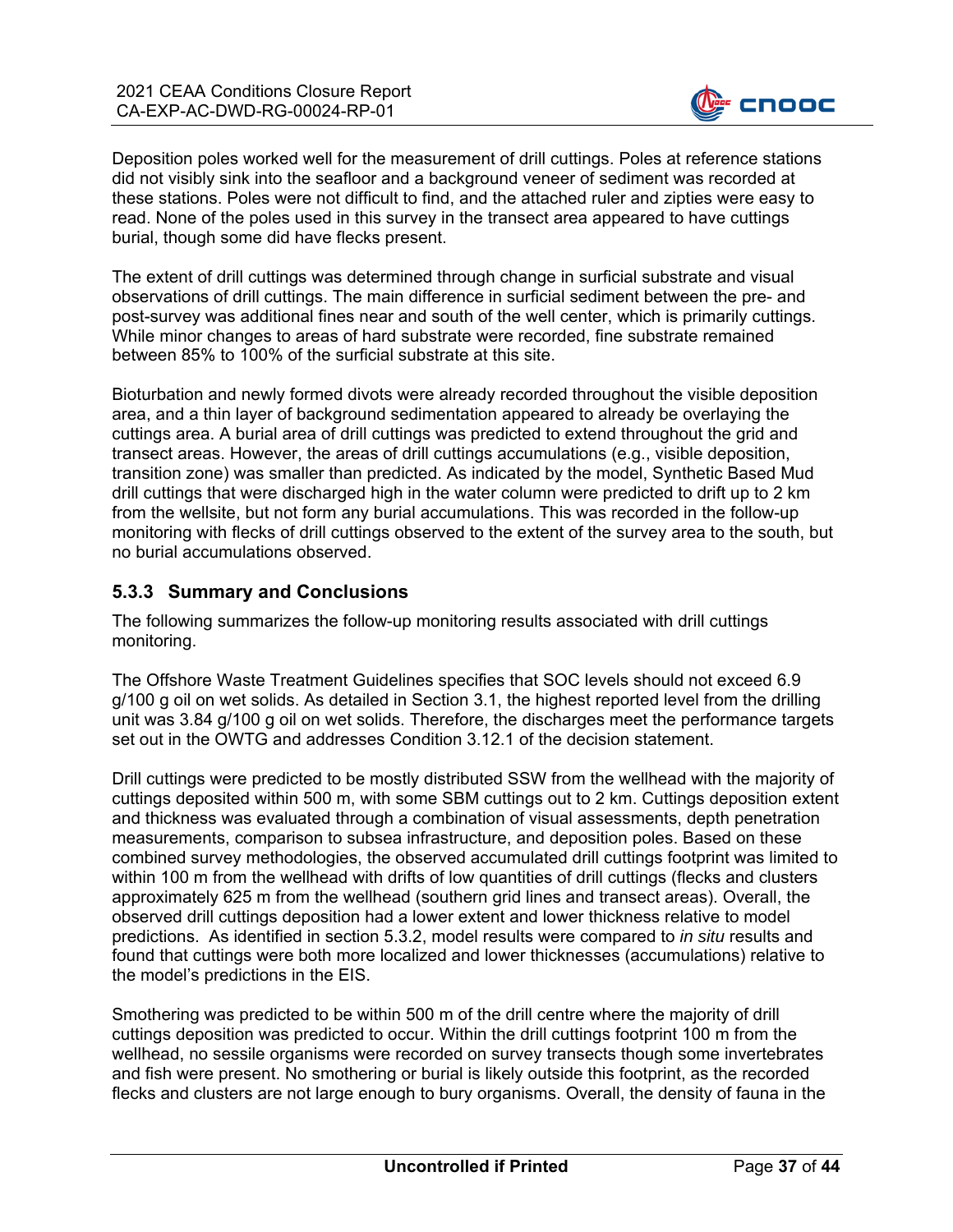

Deposition poles worked well for the measurement of drill cuttings. Poles at reference stations did not visibly sink into the seafloor and a background veneer of sediment was recorded at these stations. Poles were not difficult to find, and the attached ruler and zipties were easy to read. None of the poles used in this survey in the transect area appeared to have cuttings burial, though some did have flecks present.

The extent of drill cuttings was determined through change in surficial substrate and visual observations of drill cuttings. The main difference in surficial sediment between the pre- and post-survey was additional fines near and south of the well center, which is primarily cuttings. While minor changes to areas of hard substrate were recorded, fine substrate remained between 85% to 100% of the surficial substrate at this site.

Bioturbation and newly formed divots were already recorded throughout the visible deposition area, and a thin layer of background sedimentation appeared to already be overlaying the cuttings area. A burial area of drill cuttings was predicted to extend throughout the grid and transect areas. However, the areas of drill cuttings accumulations (e.g., visible deposition, transition zone) was smaller than predicted. As indicated by the model, Synthetic Based Mud drill cuttings that were discharged high in the water column were predicted to drift up to 2 km from the wellsite, but not form any burial accumulations. This was recorded in the follow-up monitoring with flecks of drill cuttings observed to the extent of the survey area to the south, but no burial accumulations observed.

#### **5.3.3 Summary and Conclusions**

The following summarizes the follow-up monitoring results associated with drill cuttings monitoring.

The Offshore Waste Treatment Guidelines specifies that SOC levels should not exceed 6.9 g/100 g oil on wet solids. As detailed in Section 3.1, the highest reported level from the drilling unit was 3.84 g/100 g oil on wet solids. Therefore, the discharges meet the performance targets set out in the OWTG and addresses Condition 3.12.1 of the decision statement.

Drill cuttings were predicted to be mostly distributed SSW from the wellhead with the majority of cuttings deposited within 500 m, with some SBM cuttings out to 2 km. Cuttings deposition extent and thickness was evaluated through a combination of visual assessments, depth penetration measurements, comparison to subsea infrastructure, and deposition poles. Based on these combined survey methodologies, the observed accumulated drill cuttings footprint was limited to within 100 m from the wellhead with drifts of low quantities of drill cuttings (flecks and clusters approximately 625 m from the wellhead (southern grid lines and transect areas). Overall, the observed drill cuttings deposition had a lower extent and lower thickness relative to model predictions. As identified in section 5.3.2, model results were compared to *in situ* results and found that cuttings were both more localized and lower thicknesses (accumulations) relative to the model's predictions in the EIS.

Smothering was predicted to be within 500 m of the drill centre where the majority of drill cuttings deposition was predicted to occur. Within the drill cuttings footprint 100 m from the wellhead, no sessile organisms were recorded on survey transects though some invertebrates and fish were present. No smothering or burial is likely outside this footprint, as the recorded flecks and clusters are not large enough to bury organisms. Overall, the density of fauna in the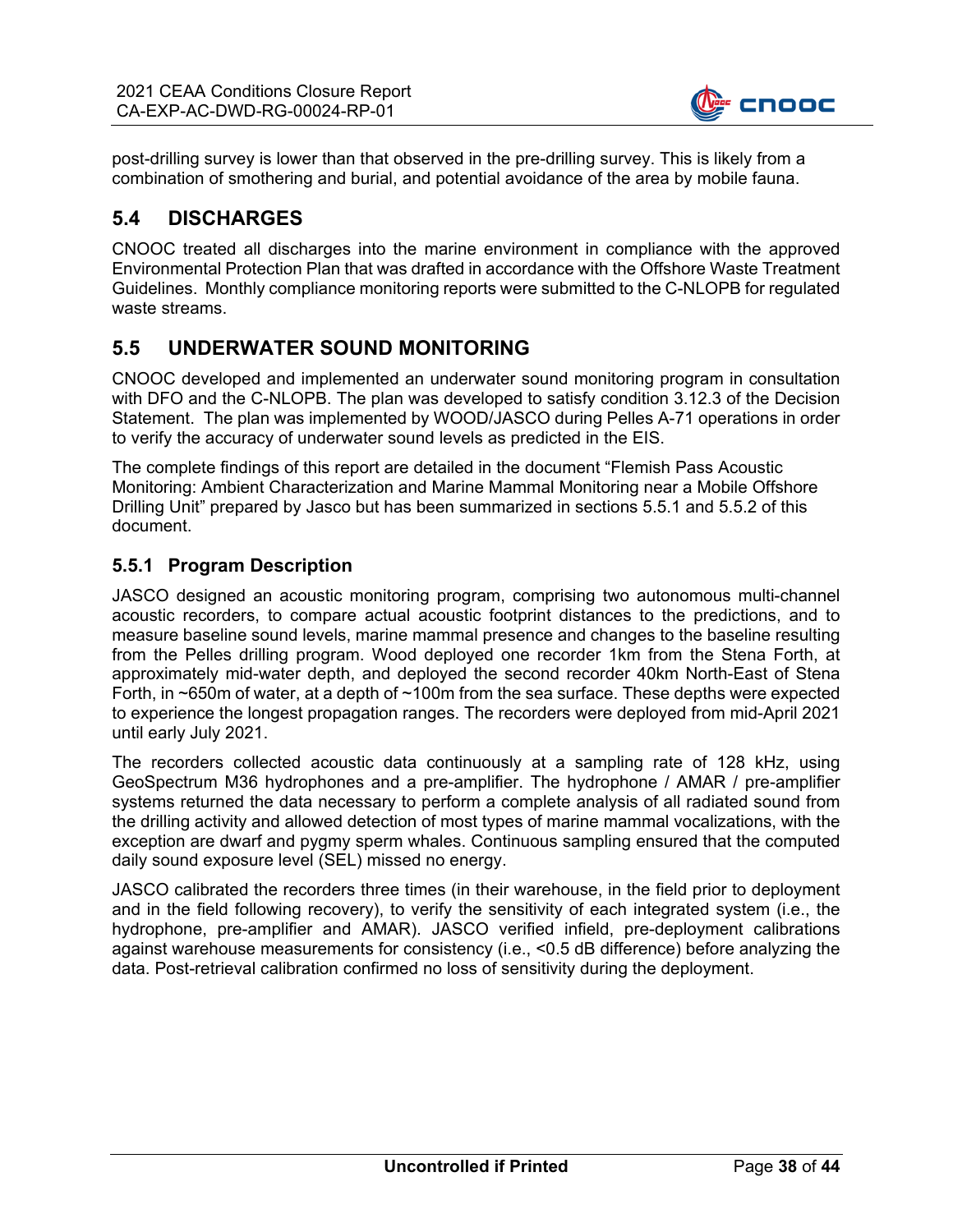

post-drilling survey is lower than that observed in the pre-drilling survey. This is likely from a combination of smothering and burial, and potential avoidance of the area by mobile fauna.

## **5.4 DISCHARGES**

CNOOC treated all discharges into the marine environment in compliance with the approved Environmental Protection Plan that was drafted in accordance with the Offshore Waste Treatment Guidelines. Monthly compliance monitoring reports were submitted to the C-NLOPB for regulated waste streams.

## **5.5 UNDERWATER SOUND MONITORING**

CNOOC developed and implemented an underwater sound monitoring program in consultation with DFO and the C-NLOPB. The plan was developed to satisfy condition 3.12.3 of the Decision Statement. The plan was implemented by WOOD/JASCO during Pelles A-71 operations in order to verify the accuracy of underwater sound levels as predicted in the EIS.

The complete findings of this report are detailed in the document "Flemish Pass Acoustic Monitoring: Ambient Characterization and Marine Mammal Monitoring near a Mobile Offshore Drilling Unit" prepared by Jasco but has been summarized in sections 5.5.1 and 5.5.2 of this document.

#### **5.5.1 Program Description**

JASCO designed an acoustic monitoring program, comprising two autonomous multi-channel acoustic recorders, to compare actual acoustic footprint distances to the predictions, and to measure baseline sound levels, marine mammal presence and changes to the baseline resulting from the Pelles drilling program. Wood deployed one recorder 1km from the Stena Forth, at approximately mid-water depth, and deployed the second recorder 40km North-East of Stena Forth, in ~650m of water, at a depth of ~100m from the sea surface. These depths were expected to experience the longest propagation ranges. The recorders were deployed from mid-April 2021 until early July 2021.

The recorders collected acoustic data continuously at a sampling rate of 128 kHz, using GeoSpectrum M36 hydrophones and a pre-amplifier. The hydrophone / AMAR / pre-amplifier systems returned the data necessary to perform a complete analysis of all radiated sound from the drilling activity and allowed detection of most types of marine mammal vocalizations, with the exception are dwarf and pygmy sperm whales. Continuous sampling ensured that the computed daily sound exposure level (SEL) missed no energy.

JASCO calibrated the recorders three times (in their warehouse, in the field prior to deployment and in the field following recovery), to verify the sensitivity of each integrated system (i.e., the hydrophone, pre-amplifier and AMAR). JASCO verified infield, pre-deployment calibrations against warehouse measurements for consistency (i.e., <0.5 dB difference) before analyzing the data. Post-retrieval calibration confirmed no loss of sensitivity during the deployment.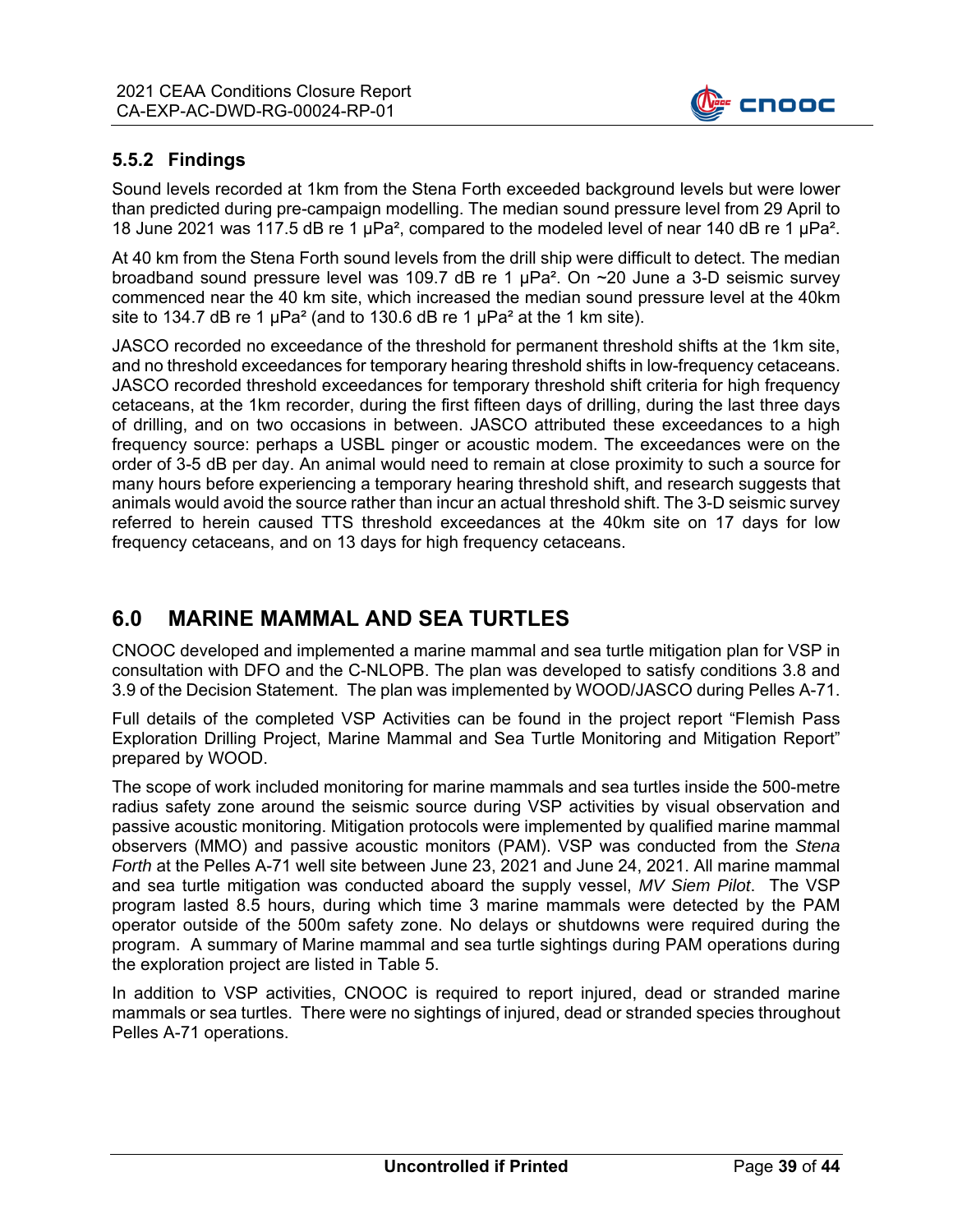

#### **5.5.2 Findings**

Sound levels recorded at 1km from the Stena Forth exceeded background levels but were lower than predicted during pre-campaign modelling. The median sound pressure level from 29 April to 18 June 2021 was 117.5 dB re 1  $\mu$ Pa<sup>2</sup>, compared to the modeled level of near 140 dB re 1  $\mu$ Pa<sup>2</sup>.

At 40 km from the Stena Forth sound levels from the drill ship were difficult to detect. The median broadband sound pressure level was 109.7 dB re 1  $\mu$ Pa<sup>2</sup>. On  $\sim$ 20 June a 3-D seismic survey commenced near the 40 km site, which increased the median sound pressure level at the 40km site to 134.7 dB re 1  $\mu$ Pa<sup>2</sup> (and to 130.6 dB re 1  $\mu$ Pa<sup>2</sup> at the 1 km site).

JASCO recorded no exceedance of the threshold for permanent threshold shifts at the 1km site, and no threshold exceedances for temporary hearing threshold shifts in low-frequency cetaceans. JASCO recorded threshold exceedances for temporary threshold shift criteria for high frequency cetaceans, at the 1km recorder, during the first fifteen days of drilling, during the last three days of drilling, and on two occasions in between. JASCO attributed these exceedances to a high frequency source: perhaps a USBL pinger or acoustic modem. The exceedances were on the order of 3-5 dB per day. An animal would need to remain at close proximity to such a source for many hours before experiencing a temporary hearing threshold shift, and research suggests that animals would avoid the source rather than incur an actual threshold shift. The 3-D seismic survey referred to herein caused TTS threshold exceedances at the 40km site on 17 days for low frequency cetaceans, and on 13 days for high frequency cetaceans.

## **6.0 MARINE MAMMAL AND SEA TURTLES**

CNOOC developed and implemented a marine mammal and sea turtle mitigation plan for VSP in consultation with DFO and the C-NLOPB. The plan was developed to satisfy conditions 3.8 and 3.9 of the Decision Statement. The plan was implemented by WOOD/JASCO during Pelles A-71.

Full details of the completed VSP Activities can be found in the project report "Flemish Pass Exploration Drilling Project, Marine Mammal and Sea Turtle Monitoring and Mitigation Report" prepared by WOOD.

The scope of work included monitoring for marine mammals and sea turtles inside the 500-metre radius safety zone around the seismic source during VSP activities by visual observation and passive acoustic monitoring. Mitigation protocols were implemented by qualified marine mammal observers (MMO) and passive acoustic monitors (PAM). VSP was conducted from the *Stena Forth* at the Pelles A-71 well site between June 23, 2021 and June 24, 2021. All marine mammal and sea turtle mitigation was conducted aboard the supply vessel, *MV Siem Pilot*. The VSP program lasted 8.5 hours, during which time 3 marine mammals were detected by the PAM operator outside of the 500m safety zone. No delays or shutdowns were required during the program. A summary of Marine mammal and sea turtle sightings during PAM operations during the exploration project are listed in Table 5.

In addition to VSP activities, CNOOC is required to report injured, dead or stranded marine mammals or sea turtles. There were no sightings of injured, dead or stranded species throughout Pelles A-71 operations.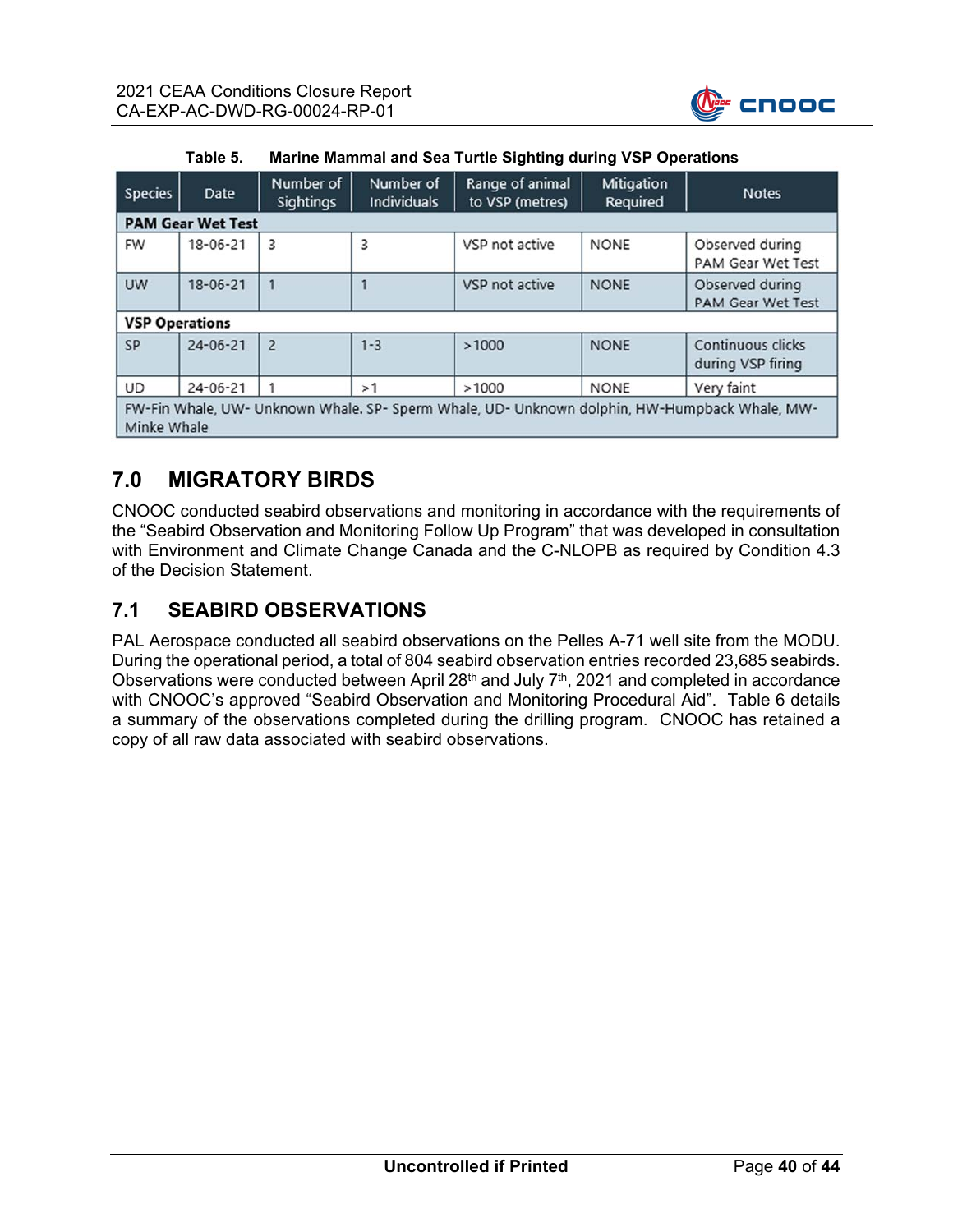

| <b>Species</b>                                                                                               | Date           | Number of<br><b>Sightings</b> | Number of<br><b>Individuals</b> | Range of animal<br>Mitigation<br>Required<br>to VSP (metres) |             | <b>Notes</b>                           |  |  |
|--------------------------------------------------------------------------------------------------------------|----------------|-------------------------------|---------------------------------|--------------------------------------------------------------|-------------|----------------------------------------|--|--|
| <b>PAM Gear Wet Test</b>                                                                                     |                |                               |                                 |                                                              |             |                                        |  |  |
| <b>FW</b>                                                                                                    | $18 - 06 - 21$ | 3                             | 3                               | VSP not active                                               | <b>NONE</b> | Observed during<br>PAM Gear Wet Test   |  |  |
| <b>UW</b>                                                                                                    | $18 - 06 - 21$ | 1                             |                                 | VSP not active<br><b>NONE</b>                                |             | Observed during<br>PAM Gear Wet Test   |  |  |
| <b>VSP Operations</b>                                                                                        |                |                               |                                 |                                                              |             |                                        |  |  |
| <b>SP</b>                                                                                                    | $24 - 06 - 21$ | $\overline{2}$                | $1 - 3$                         | >1000                                                        | <b>NONE</b> | Continuous clicks<br>during VSP firing |  |  |
| <b>UD</b>                                                                                                    | $24 - 06 - 21$ |                               | >1                              | >1000                                                        | <b>NONE</b> | Very faint                             |  |  |
| FW-Fin Whale, UW- Unknown Whale. SP- Sperm Whale, UD- Unknown dolphin, HW-Humpback Whale, MW-<br>Minke Whale |                |                               |                                 |                                                              |             |                                        |  |  |

| Table 5. | Marine Mammal and Sea Turtle Sighting during VSP Operations |
|----------|-------------------------------------------------------------|
|----------|-------------------------------------------------------------|

# **7.0 MIGRATORY BIRDS**

CNOOC conducted seabird observations and monitoring in accordance with the requirements of the "Seabird Observation and Monitoring Follow Up Program" that was developed in consultation with Environment and Climate Change Canada and the C-NLOPB as required by Condition 4.3 of the Decision Statement.

## **7.1 SEABIRD OBSERVATIONS**

PAL Aerospace conducted all seabird observations on the Pelles A-71 well site from the MODU. During the operational period, a total of 804 seabird observation entries recorded 23,685 seabirds. Observations were conducted between April  $28<sup>th</sup>$  and July  $7<sup>th</sup>$ , 2021 and completed in accordance with CNOOC's approved "Seabird Observation and Monitoring Procedural Aid". Table 6 details a summary of the observations completed during the drilling program. CNOOC has retained a copy of all raw data associated with seabird observations.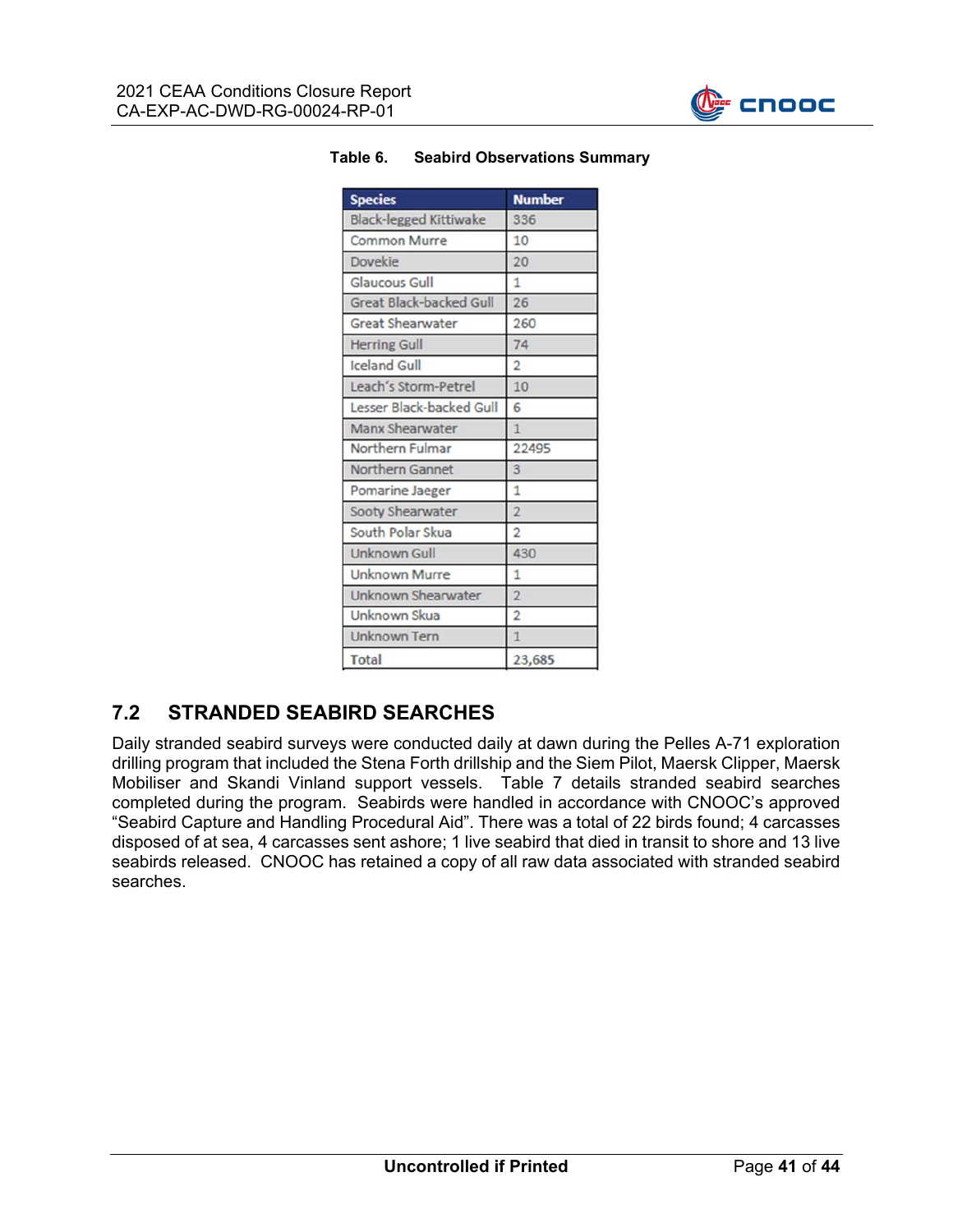

| <b>Species</b>                 | <b>Number</b>  |  |  |  |
|--------------------------------|----------------|--|--|--|
| <b>Black-legged Kittiwake</b>  | 336            |  |  |  |
| <b>Common Murre</b>            | 10             |  |  |  |
| <b>Dovekie</b>                 | 20             |  |  |  |
| <b>Glaucous Gull</b>           | $\overline{1}$ |  |  |  |
| <b>Great Black-backed Gull</b> | 26             |  |  |  |
| <b>Great Shearwater</b>        | 260            |  |  |  |
| <b>Herring Gull</b>            | 74             |  |  |  |
| <b>Iceland Gull</b>            | $\overline{2}$ |  |  |  |
| Leach's Storm-Petrel           | 10             |  |  |  |
| Lesser Black-backed Gull       | 6              |  |  |  |
| Manx Shearwater                | $\mathbf{1}$   |  |  |  |
| Northern Fulmar                | 22495          |  |  |  |
| <b>Northern Gannet</b>         | 3              |  |  |  |
| Pomarine Jaeger                | 1              |  |  |  |
| Sooty Shearwater               | $\overline{2}$ |  |  |  |
| South Polar Skua               | $\overline{2}$ |  |  |  |
| <b>Unknown Gull</b>            | 430            |  |  |  |
| <b>Unknown Murre</b>           | $\overline{1}$ |  |  |  |
| Unknown Shearwater             | $\overline{2}$ |  |  |  |
| Unknown Skua                   | $\overline{2}$ |  |  |  |
| <b>Unknown Tern</b>            | $\overline{1}$ |  |  |  |
| <b>Total</b>                   | 23,685         |  |  |  |

#### **Table 6. Seabird Observations Summary**

## **7.2 STRANDED SEABIRD SEARCHES**

Daily stranded seabird surveys were conducted daily at dawn during the Pelles A-71 exploration drilling program that included the Stena Forth drillship and the Siem Pilot, Maersk Clipper, Maersk Mobiliser and Skandi Vinland support vessels. Table 7 details stranded seabird searches completed during the program. Seabirds were handled in accordance with CNOOC's approved "Seabird Capture and Handling Procedural Aid". There was a total of 22 birds found; 4 carcasses disposed of at sea, 4 carcasses sent ashore; 1 live seabird that died in transit to shore and 13 live seabirds released. CNOOC has retained a copy of all raw data associated with stranded seabird searches.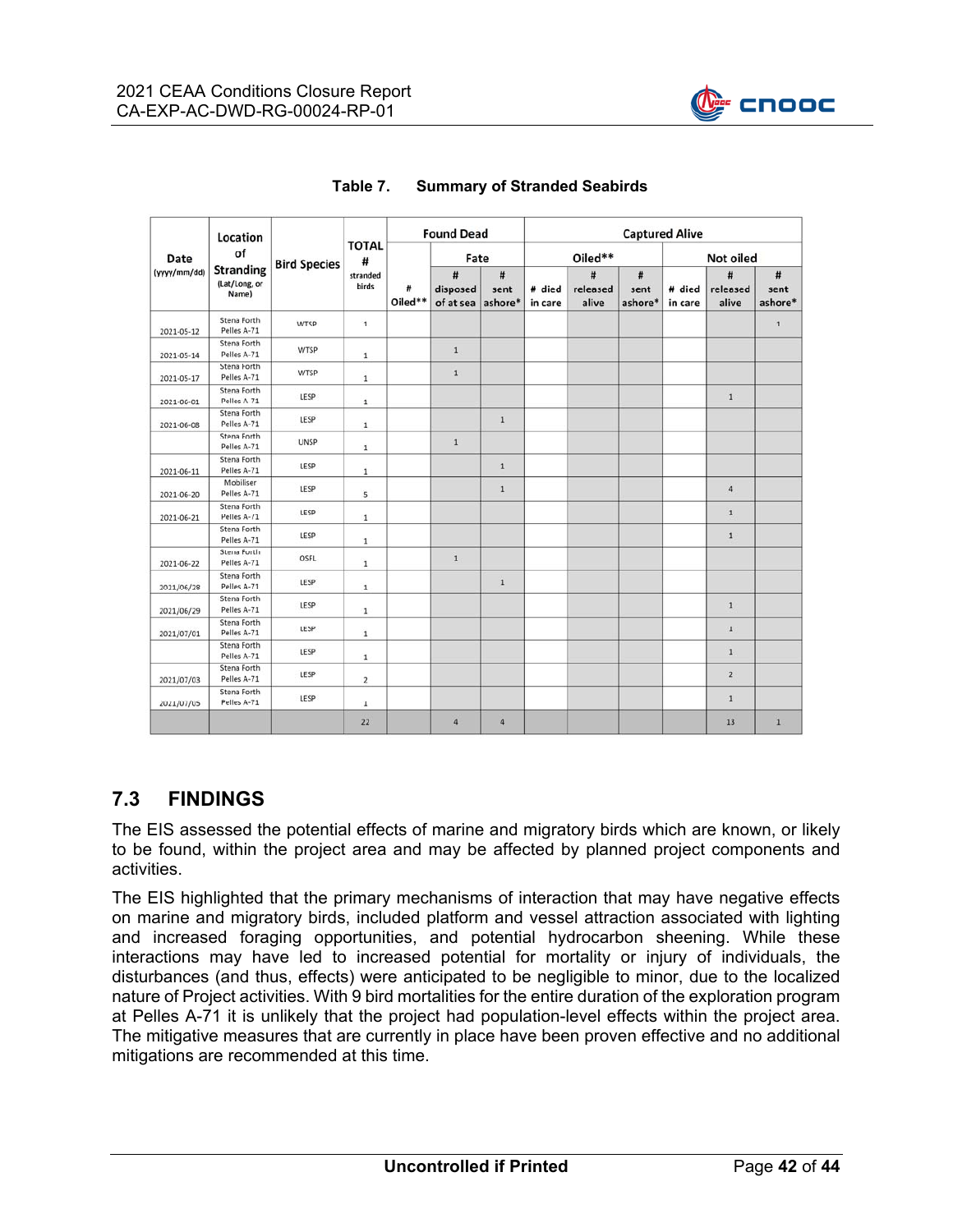

| Date<br>(yyyy/mm/dd) | Location<br>of<br><b>Stranding</b><br>(Lat/Long, or<br>Name) | <b>Bird Species</b> | <b>TOTAL</b><br>#<br>stranded<br>birds | <b>Found Dead</b> |                            | <b>Captured Alive</b> |                   |                        |                      |                   |                        |                      |
|----------------------|--------------------------------------------------------------|---------------------|----------------------------------------|-------------------|----------------------------|-----------------------|-------------------|------------------------|----------------------|-------------------|------------------------|----------------------|
|                      |                                                              |                     |                                        | #<br>Oiled**      | Fate                       |                       | Oiled**           |                        |                      | <b>Not oiled</b>  |                        |                      |
|                      |                                                              |                     |                                        |                   | #<br>disposed<br>of at sea | #<br>sent<br>ashore*  | # died<br>in care | #<br>released<br>alive | #<br>sent<br>ashore* | # died<br>in care | #<br>released<br>alive | #<br>sent<br>ashore* |
| 2021-05-12           | Stena Forth<br>Pelles A-71                                   | WTSP                | $1\,$                                  |                   |                            |                       |                   |                        |                      |                   |                        | $\mathbf{1}$         |
| 2021-05-14           | Stena Forth<br>Pelles A-71                                   | WTSP                | $1\,$                                  |                   | $\mathbf{1}$               |                       |                   |                        |                      |                   |                        |                      |
| 2021-05-17           | Stena Forth<br>Pelles A-71                                   | WTSP                | $\,1\,$                                |                   | $1\,$                      |                       |                   |                        |                      |                   |                        |                      |
| 2021-06-01           | Stena Forth<br>Pelles A-71                                   | LESP                | $\mathbf 1$                            |                   |                            |                       |                   |                        |                      |                   | $\mathbf{1}$           |                      |
| 2021-06-08           | Stena Forth<br>Pelles A-71                                   | LESP                | $\mathbf 1$                            |                   |                            | $1\,$                 |                   |                        |                      |                   |                        |                      |
|                      | Stena Forth<br>Pelles A-71                                   | UNSP                | $\,1\,$                                |                   | $\,1\,$                    |                       |                   |                        |                      |                   |                        |                      |
| 2021-06-11           | Stena Forth<br>Pelles A-71                                   | LESP                | $\,1\,$                                |                   |                            | $\mathbf{1}$          |                   |                        |                      |                   |                        |                      |
| 2021-06-20           | Mobiliser<br>Pelles A-71                                     | LESP                | 5                                      |                   |                            | $\,1$                 |                   |                        |                      |                   | $\sqrt{4}$             |                      |
| 2021-06-21           | Stena Forth<br>Pelles A-71                                   | LESP                | $\mathbf{1}$                           |                   |                            |                       |                   |                        |                      |                   | $1\,$                  |                      |
|                      | Stena Forth<br>Pelles A-71                                   | LESP                | $\mathbf 1$                            |                   |                            |                       |                   |                        |                      |                   | $\mathbf{1}$           |                      |
| 2021-06-22           | Stena Forth<br>Pelles A-71                                   | OSFL                | $\mathbf 1$                            |                   | $\mathbf{1}$               |                       |                   |                        |                      |                   |                        |                      |
| 2021/06/28           | Stena Forth<br>Pelles A-71                                   | LESP                | $\mathbf 1$                            |                   |                            | $\,1$                 |                   |                        |                      |                   |                        |                      |
| 2021/06/29           | Stena Forth<br>Pelles A-71                                   | LESP                | $\,1$                                  |                   |                            |                       |                   |                        |                      |                   | $\mathbf{1}$           |                      |
| 2021/07/01           | Stena Forth<br>Pelles A-71                                   | LESP                | $\,1\,$                                |                   |                            |                       |                   |                        |                      |                   | $1\,$                  |                      |
|                      | Stena Forth<br>Pelles A-71                                   | LESP                | $\,1\,$                                |                   |                            |                       |                   |                        |                      |                   | $\mathbf{1}$           |                      |
| 2021/07/03           | Stena Forth<br>Pelles A-71                                   | LESP                | $\overline{2}$                         |                   |                            |                       |                   |                        |                      |                   | $\overline{2}$         |                      |
| 2021/07/05           | Stena Forth<br>Pelles A-71                                   | LESP                | $\mathbf{1}$                           |                   |                            |                       |                   |                        |                      |                   | $1\,$                  |                      |
|                      |                                                              |                     | 22                                     |                   | 4                          | $\overline{4}$        |                   |                        |                      |                   | 13                     | $\overline{1}$       |

#### **Table 7. Summary of Stranded Seabirds**

## **7.3 FINDINGS**

The EIS assessed the potential effects of marine and migratory birds which are known, or likely to be found, within the project area and may be affected by planned project components and activities.

The EIS highlighted that the primary mechanisms of interaction that may have negative effects on marine and migratory birds, included platform and vessel attraction associated with lighting and increased foraging opportunities, and potential hydrocarbon sheening. While these interactions may have led to increased potential for mortality or injury of individuals, the disturbances (and thus, effects) were anticipated to be negligible to minor, due to the localized nature of Project activities. With 9 bird mortalities for the entire duration of the exploration program at Pelles A-71 it is unlikely that the project had population-level effects within the project area. The mitigative measures that are currently in place have been proven effective and no additional mitigations are recommended at this time.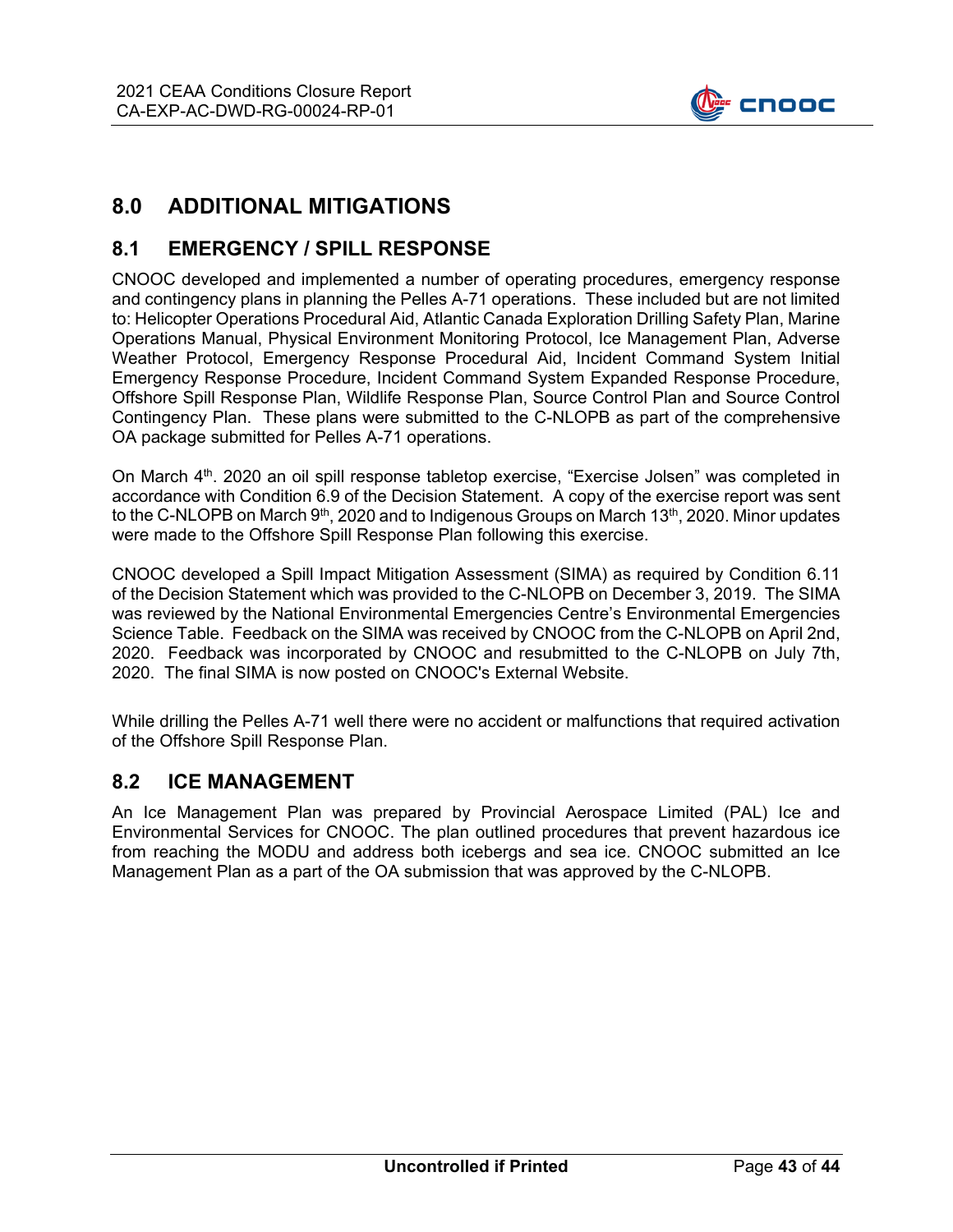

## **8.0 ADDITIONAL MITIGATIONS**

#### **8.1 EMERGENCY / SPILL RESPONSE**

CNOOC developed and implemented a number of operating procedures, emergency response and contingency plans in planning the Pelles A-71 operations. These included but are not limited to: Helicopter Operations Procedural Aid, Atlantic Canada Exploration Drilling Safety Plan, Marine Operations Manual, Physical Environment Monitoring Protocol, Ice Management Plan, Adverse Weather Protocol, Emergency Response Procedural Aid, Incident Command System Initial Emergency Response Procedure, Incident Command System Expanded Response Procedure, Offshore Spill Response Plan, Wildlife Response Plan, Source Control Plan and Source Control Contingency Plan. These plans were submitted to the C-NLOPB as part of the comprehensive OA package submitted for Pelles A-71 operations.

On March 4<sup>th</sup>. 2020 an oil spill response tabletop exercise, "Exercise Jolsen" was completed in accordance with Condition 6.9 of the Decision Statement. A copy of the exercise report was sent to the C-NLOPB on March 9<sup>th</sup>, 2020 and to Indigenous Groups on March 13<sup>th</sup>, 2020. Minor updates were made to the Offshore Spill Response Plan following this exercise.

CNOOC developed a Spill Impact Mitigation Assessment (SIMA) as required by Condition 6.11 of the Decision Statement which was provided to the C-NLOPB on December 3, 2019. The SIMA was reviewed by the National Environmental Emergencies Centre's Environmental Emergencies Science Table. Feedback on the SIMA was received by CNOOC from the C-NLOPB on April 2nd, 2020. Feedback was incorporated by CNOOC and resubmitted to the C-NLOPB on July 7th, 2020. The final SIMA is now posted on CNOOC's External Website.

While drilling the Pelles A-71 well there were no accident or malfunctions that required activation of the Offshore Spill Response Plan.

#### **8.2 ICE MANAGEMENT**

An Ice Management Plan was prepared by Provincial Aerospace Limited (PAL) Ice and Environmental Services for CNOOC. The plan outlined procedures that prevent hazardous ice from reaching the MODU and address both icebergs and sea ice. CNOOC submitted an Ice Management Plan as a part of the OA submission that was approved by the C-NLOPB.